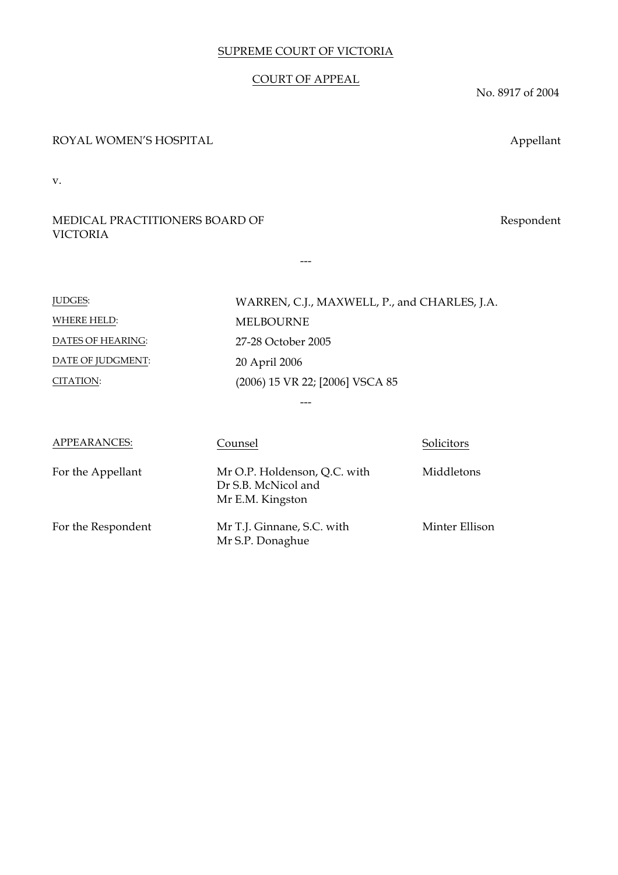## SUPREME COURT OF VICTORIA

### COURT OF APPEAL

---

No. 8917 of 2004

Respondent

#### ROYAL WOMEN'S HOSPITAL **Appellant**

v.

## MEDICAL PRACTITIONERS BOARD OF VICTORIA

JUDGES: WARREN, C.J., MAXWELL, P., and CHARLES, J.A. WHERE HELD: MELBOURNE DATES OF HEARING: 27-28 October 2005 DATE OF JUDGMENT: 20 April 2006 CITATION: (2006) 15 VR 22; [2006] VSCA 85 ---

| APPEARANCES:       | Counsel                                                                 | Solicitors     |
|--------------------|-------------------------------------------------------------------------|----------------|
| For the Appellant  | Mr O.P. Holdenson, Q.C. with<br>Dr S.B. McNicol and<br>Mr E.M. Kingston | Middletons     |
| For the Respondent | Mr T.J. Ginnane, S.C. with<br>Mr S.P. Donaghue                          | Minter Ellison |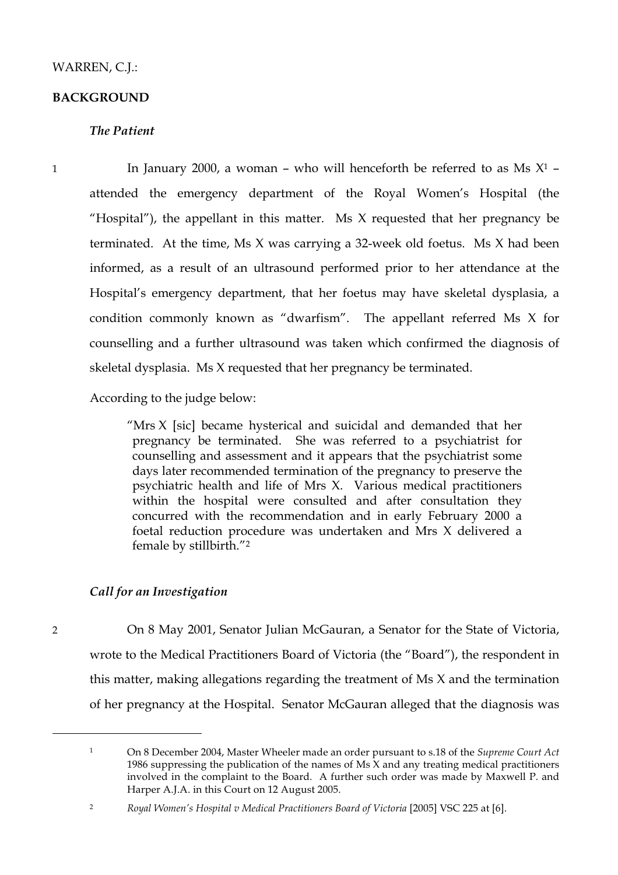## WARREN, C.J.:

## **BACKGROUND**

## *The Patient*

1 In January 2000, a woman – who will henceforth be referred to as Ms  $X^1$  – attended the emergency department of the Royal Women's Hospital (the "Hospital"), the appellant in this matter. Ms  $X$  requested that her pregnancy be terminated. At the time, Ms X was carrying a 32-week old foetus. Ms X had been informed, as a result of an ultrasound performed prior to her attendance at the Hospital's emergency department, that her foetus may have skeletal dysplasia, a condition commonly known as "dwarfism". The appellant referred Ms X for counselling and a further ultrasound was taken which confirmed the diagnosis of skeletal dysplasia. Ms X requested that her pregnancy be terminated.

According to the judge below:

"Mrs X [sic] became hysterical and suicidal and demanded that her pregnancy be terminated. She was referred to a psychiatrist for counselling and assessment and it appears that the psychiatrist some days later recommended termination of the pregnancy to preserve the psychiatric health and life of Mrs X. Various medical practitioners within the hospital were consulted and after consultation they concurred with the recommendation and in early February 2000 a foetal reduction procedure was undertaken and Mrs X delivered a female by stillbirth."2

## *Call for an Investigation*

2 On 8 May 2001, Senator Julian McGauran, a Senator for the State of Victoria, wrote to the Medical Practitioners Board of Victoria (the "Board"), the respondent in this matter, making allegations regarding the treatment of Ms X and the termination of her pregnancy at the Hospital. Senator McGauran alleged that the diagnosis was

<sup>1</sup> On 8 December 2004, Master Wheeler made an order pursuant to s.18 of the *Supreme Court Act* 1986 suppressing the publication of the names of Ms X and any treating medical practitioners involved in the complaint to the Board. A further such order was made by Maxwell P. and Harper A.J.A. in this Court on 12 August 2005.

<sup>2</sup> *Royal Women's Hospital v Medical Practitioners Board of Victoria* [2005] VSC 225 at [6].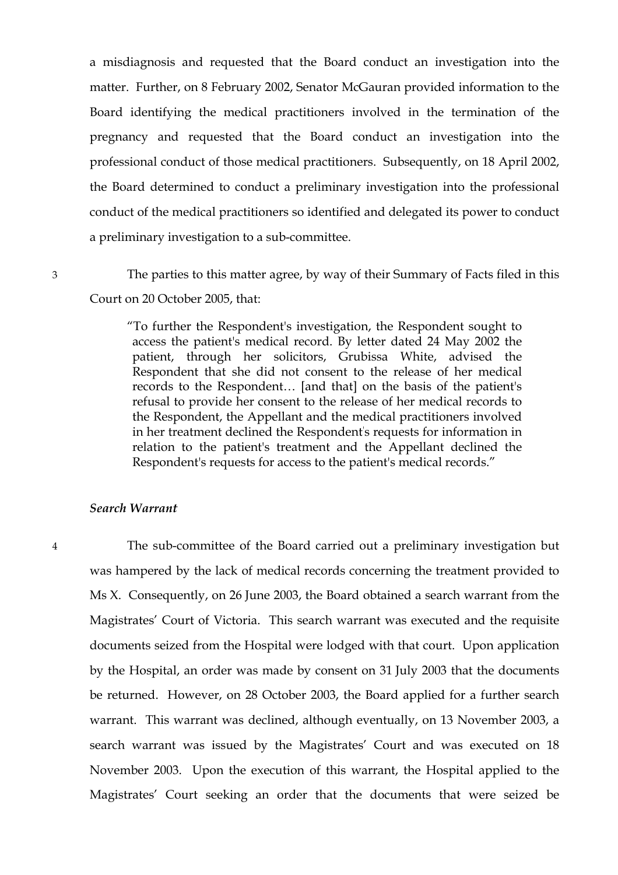a misdiagnosis and requested that the Board conduct an investigation into the matter. Further, on 8 February 2002, Senator McGauran provided information to the Board identifying the medical practitioners involved in the termination of the pregnancy and requested that the Board conduct an investigation into the professional conduct of those medical practitioners. Subsequently, on 18 April 2002, the Board determined to conduct a preliminary investigation into the professional conduct of the medical practitioners so identified and delegated its power to conduct a preliminary investigation to a sub-committee.

3 The parties to this matter agree, by way of their Summary of Facts filed in this Court on 20 October 2005, that:

> "To further the Respondent's investigation, the Respondent sought to access the patient's medical record. By letter dated 24 May 2002 the patient, through her solicitors, Grubissa White, advised the Respondent that she did not consent to the release of her medical records to the Respondent… [and that] on the basis of the patient's refusal to provide her consent to the release of her medical records to the Respondent, the Appellant and the medical practitioners involved in her treatment declined the Respondent' s requests for information in relation to the patient's treatment and the Appellant declined the Respondent's requests for access to the patient's medical records."

#### *Search Warrant*

4 The sub-committee of the Board carried out a preliminary investigation but was hampered by the lack of medical records concerning the treatment provided to Ms X. Consequently, on 26 June 2003, the Board obtained a search warrant from the Magistrates' Court of Victoria. This search warrant was executed and the requisite documents seized from the Hospital were lodged with that court. Upon application by the Hospital, an order was made by consent on 31 July 2003 that the documents be returned. However, on 28 October 2003, the Board applied for a further search warrant. This warrant was declined, although eventually, on 13 November 2003, a search warrant was issued by the Magistrates' Court and was executed on 18 November 2003. Upon the execution of this warrant, the Hospital applied to the Magistrates' Court seeking an order that the documents that were seized be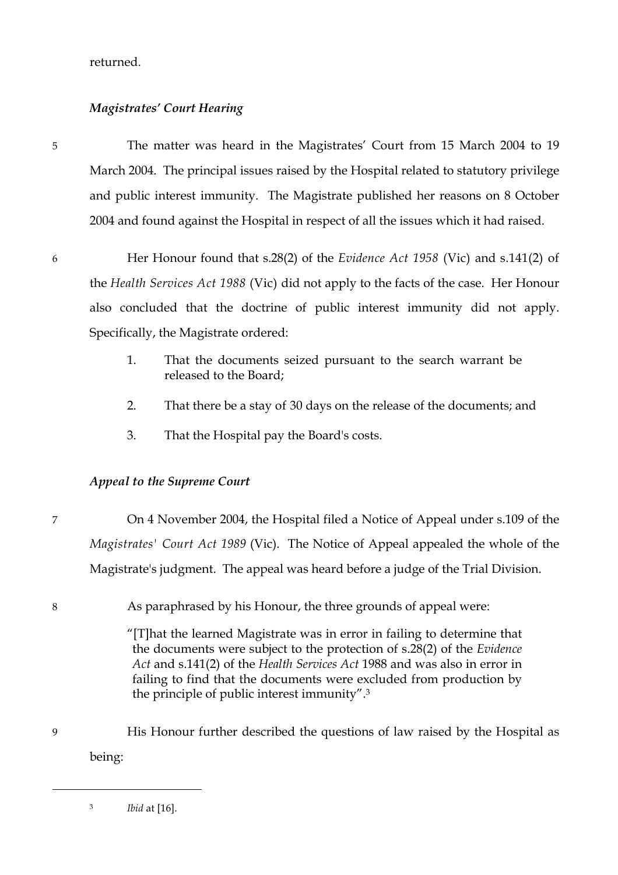### returned.

### *Magistrates' Court Hearing*

5 The matter was heard in the Magistrates' Court from 15 March 2004 to 19 March 2004. The principal issues raised by the Hospital related to statutory privilege and public interest immunity. The Magistrate published her reasons on 8 October 2004 and found against the Hospital in respect of all the issues which it had raised.

6 Her Honour found that s.28(2) of the *Evidence Act 1958* (Vic) and s.141(2) of the *Health Services Act 1988* (Vic) did not apply to the facts of the case. Her Honour also concluded that the doctrine of public interest immunity did not apply. Specifically, the Magistrate ordered:

- 1. That the documents seized pursuant to the search warrant be released to the Board;
- 2. That there be a stay of 30 days on the release of the documents; and
- 3. That the Hospital pay the Board's costs.

## *Appeal to the Supreme Court*

7 On 4 November 2004, the Hospital filed a Notice of Appeal under s.109 of the *Magistrates' Court Act 1989* (Vic). The Notice of Appeal appealed the whole of the Magistrate's judgment. The appeal was heard before a judge of the Trial Division.

8 As paraphrased by his Honour, the three grounds of appeal were:

"[T]hat the learned Magistrate was in error in failing to determine that the documents were subject to the protection of s.28(2) of the *Evidence Act* and s.141(2) of the *Health Services Act* 1988 and was also in error in failing to find that the documents were excluded from production by the principle of public interest immunity".3

9 His Honour further described the questions of law raised by the Hospital as being:

<sup>3</sup> *Ibid* at [16].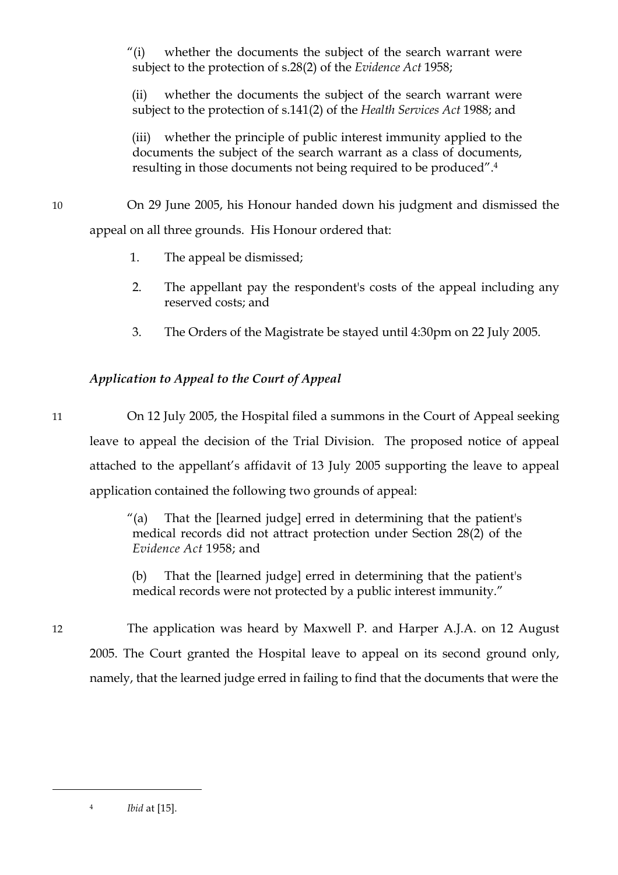"(i) whether the documents the subject of the search warrant were subject to the protection of s.28(2) of the *Evidence Act* 1958;

(ii) whether the documents the subject of the search warrant were subject to the protection of s.141(2) of the *Health Services Act* 1988; and

(iii) whether the principle of public interest immunity applied to the documents the subject of the search warrant as a class of documents, resulting in those documents not being required to be produced".4

10 On 29 June 2005, his Honour handed down his judgment and dismissed the appeal on all three grounds. His Honour ordered that:

- 1. The appeal be dismissed;
- 2. The appellant pay the respondent's costs of the appeal including any reserved costs; and
- 3. The Orders of the Magistrate be stayed until 4:30pm on 22 July 2005.

# *Application to Appeal to the Court of Appeal*

11 On 12 July 2005, the Hospital filed a summons in the Court of Appeal seeking leave to appeal the decision of the Trial Division. The proposed notice of appeal attached to the appellant's affidavit of 13 July 2005 supporting the leave to appeal application contained the following two grounds of appeal:

> "(a) That the [learned judge] erred in determining that the patient's medical records did not attract protection under Section 28(2) of the *Evidence Act* 1958; and

(b) That the [learned judge] erred in determining that the patient's medical records were not protected by a public interest immunity."

12 The application was heard by Maxwell P. and Harper A.J.A. on 12 August 2005. The Court granted the Hospital leave to appeal on its second ground only, namely, that the learned judge erred in failing to find that the documents that were the

<sup>4</sup> *Ibid* at [15].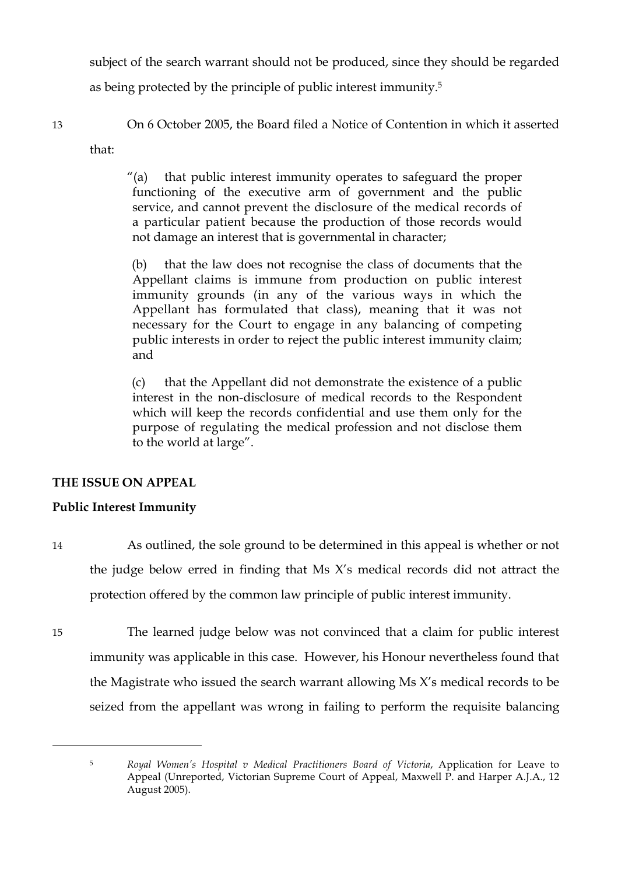subject of the search warrant should not be produced, since they should be regarded as being protected by the principle of public interest immunity.5

13 On 6 October 2005, the Board filed a Notice of Contention in which it asserted

that:

"(a) that public interest immunity operates to safeguard the proper functioning of the executive arm of government and the public service, and cannot prevent the disclosure of the medical records of a particular patient because the production of those records would not damage an interest that is governmental in character;

(b) that the law does not recognise the class of documents that the Appellant claims is immune from production on public interest immunity grounds (in any of the various ways in which the Appellant has formulated that class), meaning that it was not necessary for the Court to engage in any balancing of competing public interests in order to reject the public interest immunity claim; and

(c) that the Appellant did not demonstrate the existence of a public interest in the non-disclosure of medical records to the Respondent which will keep the records confidential and use them only for the purpose of regulating the medical profession and not disclose them to the world at large".

## **THE ISSUE ON APPEAL**

## **Public Interest Immunity**

14 As outlined, the sole ground to be determined in this appeal is whether or not the judge below erred in finding that Ms X's medical records did not attract the protection offered by the common law principle of public interest immunity.

15 The learned judge below was not convinced that a claim for public interest immunity was applicable in this case. However, his Honour nevertheless found that the Magistrate who issued the search warrant allowing Ms X's medical records to be seized from the appellant was wrong in failing to perform the requisite balancing

<sup>5</sup> *Royal Women's Hospital v Medical Practitioners Board of Victoria*, Application for Leave to Appeal (Unreported, Victorian Supreme Court of Appeal, Maxwell P. and Harper A.J.A., 12 August 2005).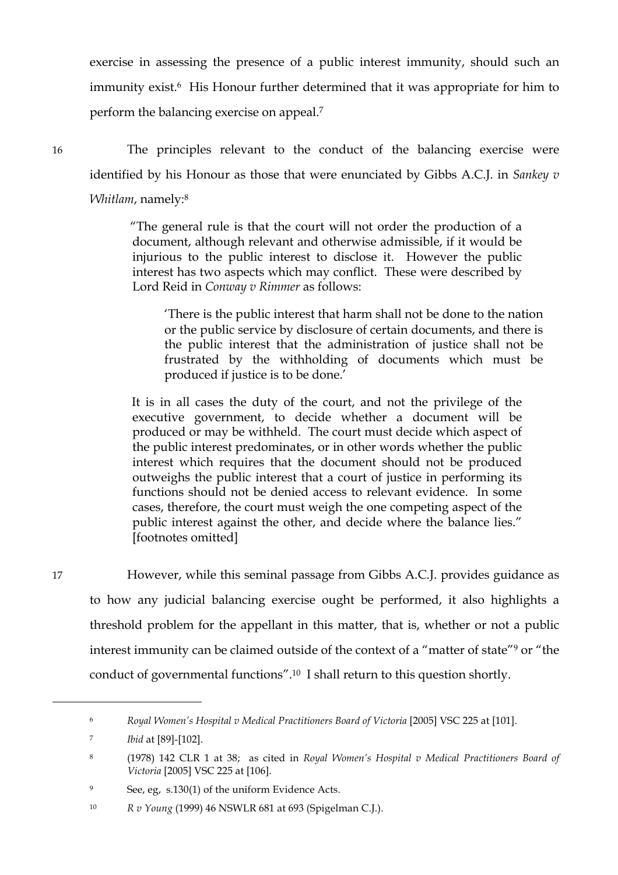exercise in assessing the presence of a public interest immunity, should such an immunity exist. 6 His Honour further determined that it was appropriate for him to perform the balancing exercise on appeal. 7

16 The principles relevant to the conduct of the balancing exercise were identified by his Honour as those that were enunciated by Gibbs A.C.J. in *Sankey v Whitlam*, namely:8

> "The general rule is that the court will not order the production of a document, although relevant and otherwise admissible, if it would be injurious to the public interest to disclose it. However the public interest has two aspects which may conflict. These were described by Lord Reid in *Conway v Rimmer* as follows:

'There is the public interest that harm shall not be done to the nation or the public service by disclosure of certain documents, and there is the public interest that the administration of justice shall not be frustrated by the withholding of documents which must be produced if justice is to be done.'

It is in all cases the duty of the court, and not the privilege of the executive government, to decide whether a document will be produced or may be withheld. The court must decide which aspect of the public interest predominates, or in other words whether the public interest which requires that the document should not be produced outweighs the public interest that a court of justice in performing its functions should not be denied access to relevant evidence. In some cases, therefore, the court must weigh the one competing aspect of the public interest against the other, and decide where the balance lies." [footnotes omitted]

 $\overline{a}$ 

17 However, while this seminal passage from Gibbs A.C.J. provides guidance as to how any judicial balancing exercise ought be performed, it also highlights a threshold problem for the appellant in this matter, that is, whether or not a public interest immunity can be claimed outside of the context of a "matter of state"9 or "the conduct of governmental functions".10 I shall return to this question shortly.

<sup>6</sup> *Royal Women's Hospital v Medical Practitioners Board of Victoria* [2005] VSC 225 at [101].

<sup>7</sup> *Ibid* at [89]-[102].

<sup>8</sup> (1978) 142 CLR 1 at 38; as cited in *Royal Women's Hospital v Medical Practitioners Board of Victoria* [2005] VSC 225 at [106].

<sup>9</sup> See, eg, s.130(1) of the uniform Evidence Acts.

<sup>10</sup> *R v Young* (1999) 46 NSWLR 681 at 693 (Spigelman C.J.).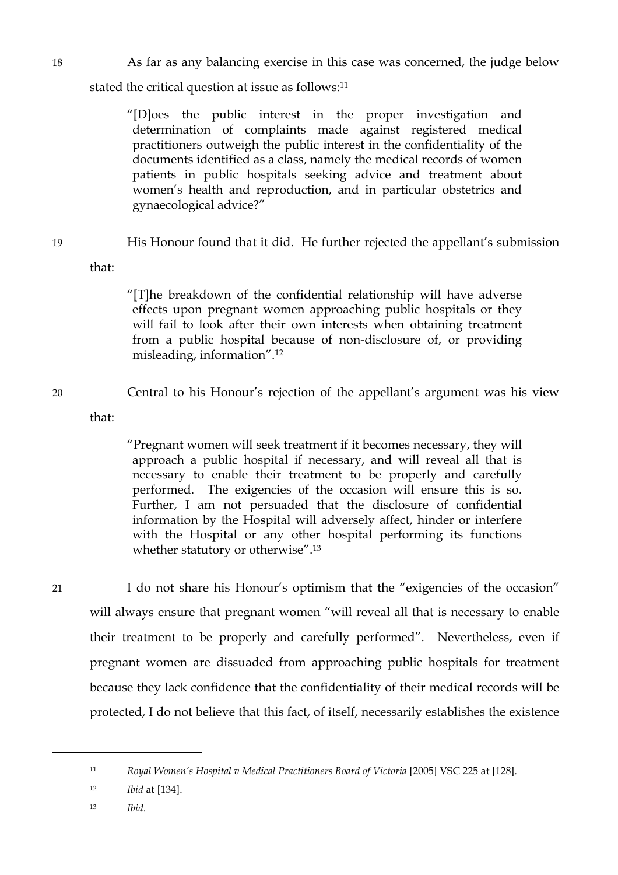18 As far as any balancing exercise in this case was concerned, the judge below

stated the critical question at issue as follows:<sup>11</sup>

"[D]oes the public interest in the proper investigation and determination of complaints made against registered medical practitioners outweigh the public interest in the confidentiality of the documents identified as a class, namely the medical records of women patients in public hospitals seeking advice and treatment about women's health and reproduction, and in particular obstetrics and gynaecological advice?"

19 His Honour found that it did. He further rejected the appellant's submission

that:

"[T]he breakdown of the confidential relationship will have adverse effects upon pregnant women approaching public hospitals or they will fail to look after their own interests when obtaining treatment from a public hospital because of non-disclosure of, or providing misleading, information".12

20 Central to his Honour's rejection of the appellant's argument was his view

that:

"Pregnant women will seek treatment if it becomes necessary, they will approach a public hospital if necessary, and will reveal all that is necessary to enable their treatment to be properly and carefully performed. The exigencies of the occasion will ensure this is so. Further, I am not persuaded that the disclosure of confidential information by the Hospital will adversely affect, hinder or interfere with the Hospital or any other hospital performing its functions whether statutory or otherwise".13

 $\overline{a}$ 

21 I do not share his Honour's optimism that the "exigencies of the occasion" will always ensure that pregnant women "will reveal all that is necessary to enable their treatment to be properly and carefully performed". Nevertheless, even if pregnant women are dissuaded from approaching public hospitals for treatment because they lack confidence that the confidentiality of their medical records will be protected, I do not believe that this fact, of itself, necessarily establishes the existence

<sup>11</sup> *Royal Women's Hospital v Medical Practitioners Board of Victoria* [2005] VSC 225 at [128].

<sup>12</sup> *Ibid* at [134].

<sup>13</sup> *Ibid.*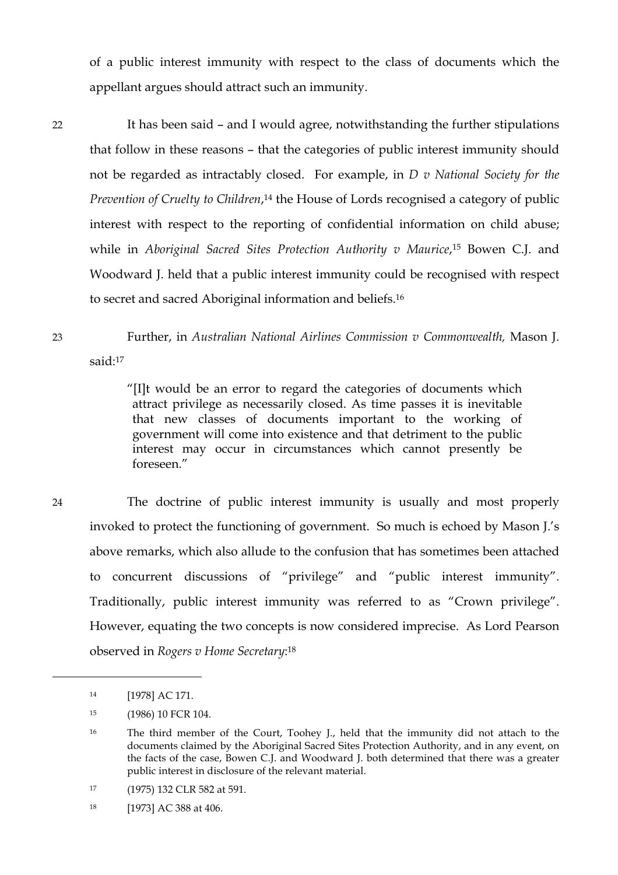of a public interest immunity with respect to the class of documents which the appellant argues should attract such an immunity.

22 It has been said – and I would agree, notwithstanding the further stipulations that follow in these reasons – that the categories of public interest immunity should not be regarded as intractably closed. For example, in *D v National Society for the Prevention of Cruelty to Children*, <sup>14</sup> the House of Lords recognised a category of public interest with respect to the reporting of confidential information on child abuse; while in *Aboriginal Sacred Sites Protection Authority v Maurice*, <sup>15</sup> Bowen C.J. and Woodward J. held that a public interest immunity could be recognised with respect to secret and sacred Aboriginal information and beliefs.16

23 Further, in *Australian National Airlines Commission v Commonwealth,* Mason J. said:17

> "[I]t would be an error to regard the categories of documents which attract privilege as necessarily closed. As time passes it is inevitable that new classes of documents important to the working of government will come into existence and that detriment to the public interest may occur in circumstances which cannot presently be foreseen."

24 The doctrine of public interest immunity is usually and most properly invoked to protect the functioning of government. So much is echoed by Mason J.'s above remarks, which also allude to the confusion that has sometimes been attached to concurrent discussions of "privilege" and "public interest immunity". Traditionally, public interest immunity was referred to as "Crown privilege". However, equating the two concepts is now considered imprecise. As Lord Pearson observed in *Rogers v Home Secretary*: 18

<sup>14</sup> [1978] AC 171.

<sup>15</sup> (1986) 10 FCR 104.

<sup>16</sup> The third member of the Court, Toohey J., held that the immunity did not attach to the documents claimed by the Aboriginal Sacred Sites Protection Authority, and in any event, on the facts of the case, Bowen C.J. and Woodward J. both determined that there was a greater public interest in disclosure of the relevant material.

<sup>17</sup> (1975) 132 CLR 582 at 591.

<sup>18 [1973]</sup> AC 388 at 406.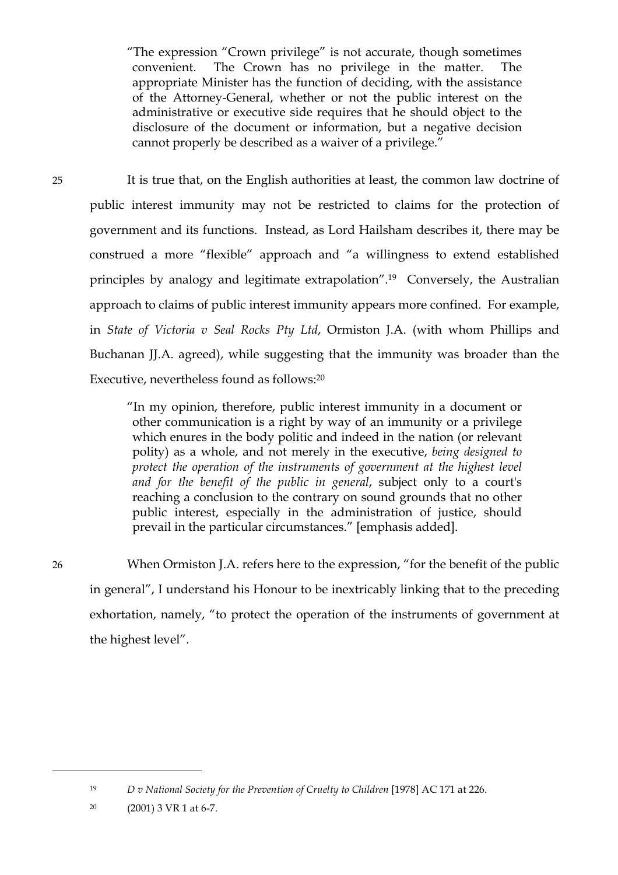"The expression "Crown privilege" is not accurate, though sometimes convenient. The Crown has no privilege in the matter. The appropriate Minister has the function of deciding, with the assistance of the Attorney-General, whether or not the public interest on the administrative or executive side requires that he should object to the disclosure of the document or information, but a negative decision cannot properly be described as a waiver of a privilege."

25 It is true that, on the English authorities at least, the common law doctrine of public interest immunity may not be restricted to claims for the protection of government and its functions. Instead, as Lord Hailsham describes it, there may be construed a more "flexible" approach and "a willingness to extend established principles by analogy and legitimate extrapolation".19 Conversely, the Australian approach to claims of public interest immunity appears more confined. For example, in *State of Victoria v Seal Rocks Pty Ltd*, Ormiston J.A. (with whom Phillips and Buchanan JJ.A. agreed), while suggesting that the immunity was broader than the Executive, nevertheless found as follows:20

> "In my opinion, therefore, public interest immunity in a document or other communication is a right by way of an immunity or a privilege which enures in the body politic and indeed in the nation (or relevant polity) as a whole, and not merely in the executive, *being designed to protect the operation of the instruments of government at the highest level and for the benefit of the public in general*, subject only to a court's reaching a conclusion to the contrary on sound grounds that no other public interest, especially in the administration of justice, should prevail in the particular circumstances." [emphasis added].

26 When Ormiston J.A. refers here to the expression, "for the benefit of the public in general", I understand his Honour to be inextricably linking that to the preceding exhortation, namely, "to protect the operation of the instruments of government at the highest level".

<sup>19</sup> *D v National Society for the Prevention of Cruelty to Children* [1978] AC 171 at 226.

<sup>20</sup> (2001) 3 VR 1 at 6-7.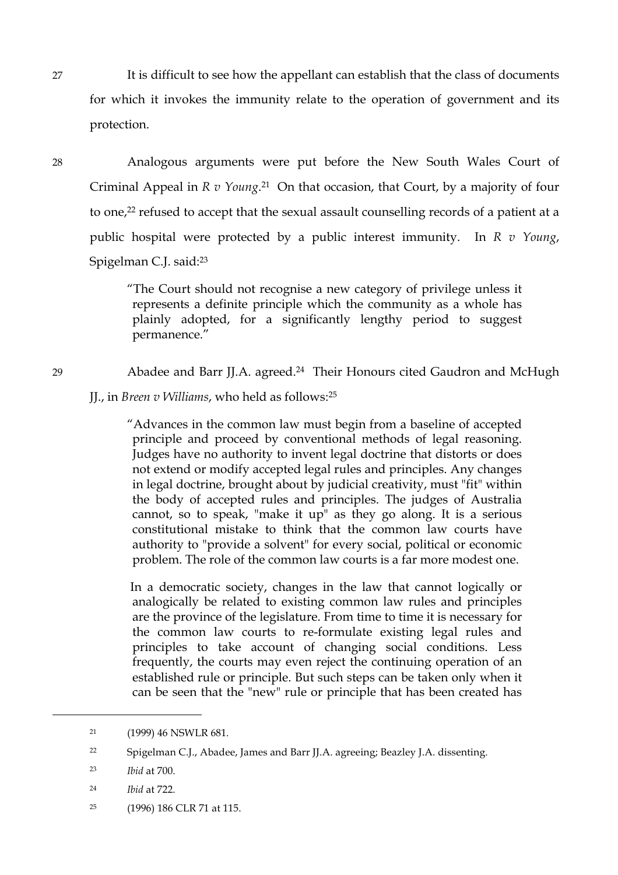27 It is difficult to see how the appellant can establish that the class of documents for which it invokes the immunity relate to the operation of government and its protection.

28 Analogous arguments were put before the New South Wales Court of Criminal Appeal in *R v Young*. 21 On that occasion, that Court, by a majority of four to one,<sup>22</sup> refused to accept that the sexual assault counselling records of a patient at a public hospital were protected by a public interest immunity. In *R v Young*, Spigelman C.J. said:23

> "The Court should not recognise a new category of privilege unless it represents a definite principle which the community as a whole has plainly adopted, for a significantly lengthy period to suggest permanence."

29 Abadee and Barr JJ.A. agreed.<sup>24</sup> Their Honours cited Gaudron and McHugh

JJ., in *Breen v Williams*, who held as follows:25

"Advances in the common law must begin from a baseline of accepted principle and proceed by conventional methods of legal reasoning. Judges have no authority to invent legal doctrine that distorts or does not extend or modify accepted legal rules and principles. Any changes in legal doctrine, brought about by judicial creativity, must "fit" within the body of accepted rules and principles. The judges of Australia cannot, so to speak, "make it up" as they go along. It is a serious constitutional mistake to think that the common law courts have authority to "provide a solvent" for every social, political or economic problem. The role of the common law courts is a far more modest one.

In a democratic society, changes in the law that cannot logically or analogically be related to existing common law rules and principles are the province of the legislature. From time to time it is necessary for the common law courts to re-formulate existing legal rules and principles to take account of changing social conditions. Less frequently, the courts may even reject the continuing operation of an established rule or principle. But such steps can be taken only when it can be seen that the "new" rule or principle that has been created has

<sup>21</sup> (1999) 46 NSWLR 681.

<sup>22</sup> Spigelman C.J., Abadee, James and Barr JJ.A. agreeing; Beazley J.A. dissenting.

<sup>23</sup> *Ibid* at 700.

<sup>24</sup> *Ibid* at 722.

<sup>25</sup> (1996) 186 CLR 71 at 115.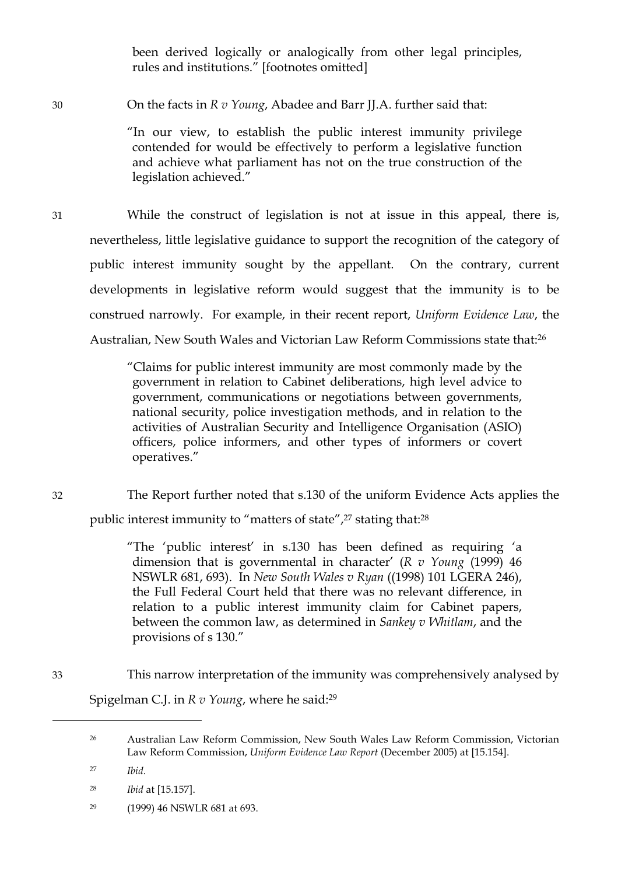been derived logically or analogically from other legal principles, rules and institutions." [footnotes omitted]

30 On the facts in *R v Young*, Abadee and Barr JJ.A. further said that:

"In our view, to establish the public interest immunity privilege contended for would be effectively to perform a legislative function and achieve what parliament has not on the true construction of the legislation achieved."

31 While the construct of legislation is not at issue in this appeal, there is, nevertheless, little legislative guidance to support the recognition of the category of public interest immunity sought by the appellant. On the contrary, current developments in legislative reform would suggest that the immunity is to be construed narrowly. For example, in their recent report, *Uniform Evidence Law*, the Australian, New South Wales and Victorian Law Reform Commissions state that:26

> "Claims for public interest immunity are most commonly made by the government in relation to Cabinet deliberations, high level advice to government, communications or negotiations between governments, national security, police investigation methods, and in relation to the activities of Australian Security and Intelligence Organisation (ASIO) officers, police informers, and other types of informers or covert operatives."

32 The Report further noted that s.130 of the uniform Evidence Acts applies the

public interest immunity to "matters of state",27 stating that:28

"The 'public interest' in s.130 has been defined as requiring 'a dimension that is governmental in character' (*R v Young* (1999) 46 NSWLR 681, 693). In *New South Wales v Ryan* ((1998) 101 LGERA 246), the Full Federal Court held that there was no relevant difference, in relation to a public interest immunity claim for Cabinet papers, between the common law, as determined in *Sankey v Whitlam*, and the provisions of s 130."

- 33 This narrow interpretation of the immunity was comprehensively analysed by Spigelman C.J. in *R v Young*, where he said: 29
	- <sup>26</sup> Australian Law Reform Commission, New South Wales Law Reform Commission, Victorian Law Reform Commission, *Uniform Evidence Law Report* (December 2005) at [15.154].
	- <sup>27</sup> *Ibid.*
	- <sup>28</sup> *Ibid* at [15.157].
	- <sup>29</sup> (1999) 46 NSWLR 681 at 693.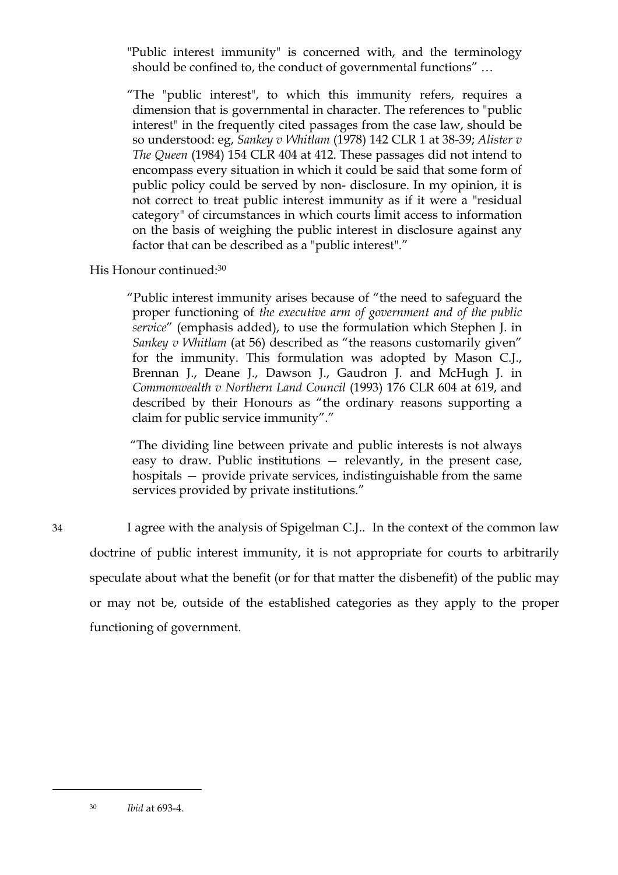"Public interest immunity" is concerned with, and the terminology should be confined to, the conduct of governmental functions" …

"The "public interest", to which this immunity refers, requires a dimension that is governmental in character. The references to "public interest" in the frequently cited passages from the case law, should be so understood: eg, *Sankey v Whitlam* (1978) 142 CLR 1 at 38-39; *Alister v The Queen* (1984) 154 CLR 404 at 412. These passages did not intend to encompass every situation in which it could be said that some form of public policy could be served by non- disclosure. In my opinion, it is not correct to treat public interest immunity as if it were a "residual category" of circumstances in which courts limit access to information on the basis of weighing the public interest in disclosure against any factor that can be described as a "public interest"."

## His Honour continued:30

"Public interest immunity arises because of "the need to safeguard the proper functioning of *the executive arm of government and of the public service*" (emphasis added), to use the formulation which Stephen J. in *Sankey v Whitlam* (at 56) described as "the reasons customarily given" for the immunity. This formulation was adopted by Mason C.J., Brennan J., Deane J., Dawson J., Gaudron J. and McHugh J. in *Commonwealth v Northern Land Council* (1993) 176 CLR 604 at 619, and described by their Honours as "the ordinary reasons supporting a claim for public service immunity"."

"The dividing line between private and public interests is not always easy to draw. Public institutions — relevantly, in the present case, hospitals — provide private services, indistinguishable from the same services provided by private institutions."

34 I agree with the analysis of Spigelman C.J.. In the context of the common law doctrine of public interest immunity, it is not appropriate for courts to arbitrarily speculate about what the benefit (or for that matter the disbenefit) of the public may or may not be, outside of the established categories as they apply to the proper functioning of government.

<sup>30</sup> *Ibid* at 693-4.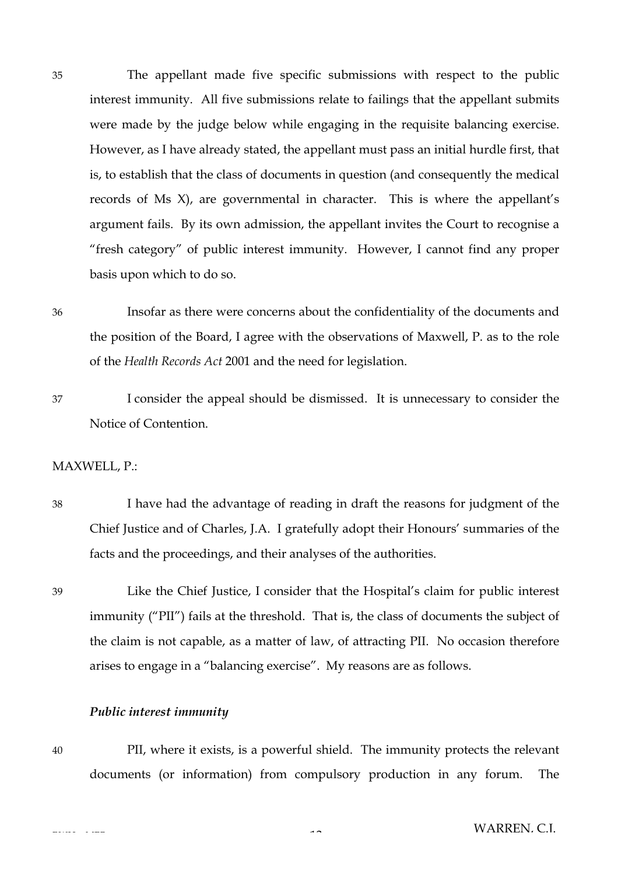35 The appellant made five specific submissions with respect to the public interest immunity. All five submissions relate to failings that the appellant submits were made by the judge below while engaging in the requisite balancing exercise. However, as I have already stated, the appellant must pass an initial hurdle first, that is, to establish that the class of documents in question (and consequently the medical records of Ms X), are governmental in character. This is where the appellant's argument fails. By its own admission, the appellant invites the Court to recognise a "fresh category" of public interest immunity. However, I cannot find any proper basis upon which to do so.

36 Insofar as there were concerns about the confidentiality of the documents and the position of the Board, I agree with the observations of Maxwell, P. as to the role of the *Health Records Act* 2001 and the need for legislation.

37 I consider the appeal should be dismissed. It is unnecessary to consider the Notice of Contention.

## MAXWELL, P.:

- 38 I have had the advantage of reading in draft the reasons for judgment of the Chief Justice and of Charles, J.A. I gratefully adopt their Honours' summaries of the facts and the proceedings, and their analyses of the authorities.
- 39 Like the Chief Justice, I consider that the Hospital's claim for public interest immunity ("PII") fails at the threshold. That is, the class of documents the subject of the claim is not capable, as a matter of law, of attracting PII. No occasion therefore arises to engage in a "balancing exercise". My reasons are as follows.

## *Public interest immunity*

40 PII, where it exists, is a powerful shield. The immunity protects the relevant documents (or information) from compulsory production in any forum. The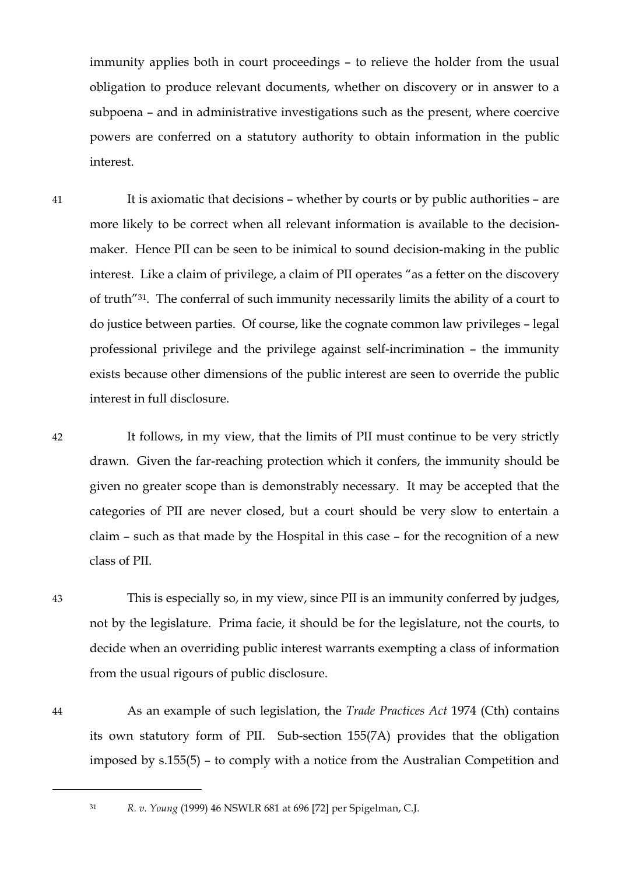immunity applies both in court proceedings – to relieve the holder from the usual obligation to produce relevant documents, whether on discovery or in answer to a subpoena – and in administrative investigations such as the present, where coercive powers are conferred on a statutory authority to obtain information in the public interest.

41 It is axiomatic that decisions – whether by courts or by public authorities – are more likely to be correct when all relevant information is available to the decisionmaker. Hence PII can be seen to be inimical to sound decision-making in the public interest. Like a claim of privilege, a claim of PII operates "as a fetter on the discovery of truth"31. The conferral of such immunity necessarily limits the ability of a court to do justice between parties. Of course, like the cognate common law privileges – legal professional privilege and the privilege against self-incrimination – the immunity exists because other dimensions of the public interest are seen to override the public interest in full disclosure.

42 It follows, in my view, that the limits of PII must continue to be very strictly drawn. Given the far-reaching protection which it confers, the immunity should be given no greater scope than is demonstrably necessary. It may be accepted that the categories of PII are never closed, but a court should be very slow to entertain a claim – such as that made by the Hospital in this case – for the recognition of a new class of PII.

43 This is especially so, in my view, since PII is an immunity conferred by judges, not by the legislature. Prima facie, it should be for the legislature, not the courts, to decide when an overriding public interest warrants exempting a class of information from the usual rigours of public disclosure.

44 As an example of such legislation, the *Trade Practices Act* 1974 (Cth) contains its own statutory form of PII. Sub-section 155(7A) provides that the obligation imposed by s.155(5) – to comply with a notice from the Australian Competition and

<sup>31</sup> *R. v. Young* (1999) 46 NSWLR 681 at 696 [72] per Spigelman, C.J.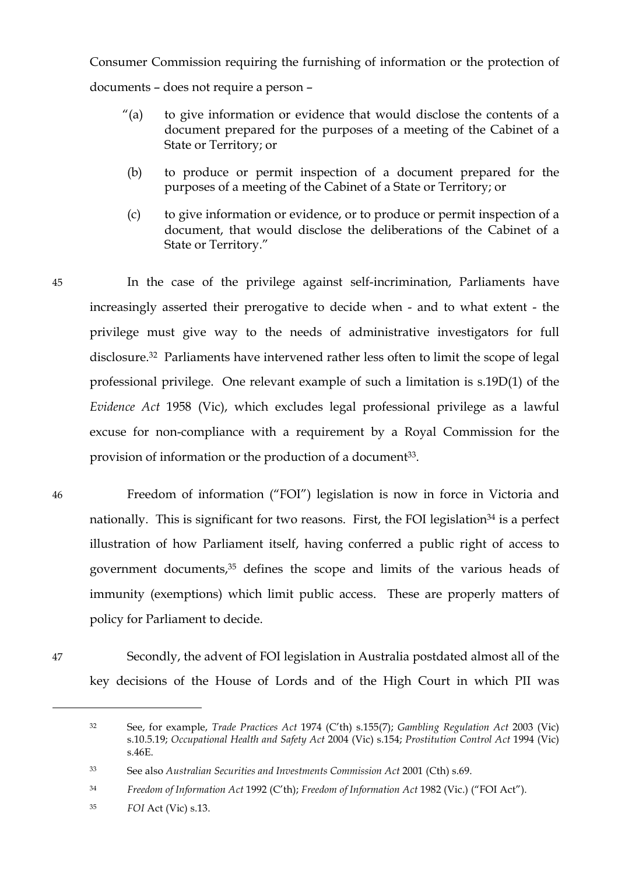Consumer Commission requiring the furnishing of information or the protection of documents – does not require a person –

- "(a) to give information or evidence that would disclose the contents of a document prepared for the purposes of a meeting of the Cabinet of a State or Territory; or
- (b) to produce or permit inspection of a document prepared for the purposes of a meeting of the Cabinet of a State or Territory; or
- (c) to give information or evidence, or to produce or permit inspection of a document, that would disclose the deliberations of the Cabinet of a State or Territory."

45 In the case of the privilege against self-incrimination, Parliaments have increasingly asserted their prerogative to decide when - and to what extent - the privilege must give way to the needs of administrative investigators for full disclosure.32 Parliaments have intervened rather less often to limit the scope of legal professional privilege. One relevant example of such a limitation is s.19D(1) of the *Evidence Act* 1958 (Vic), which excludes legal professional privilege as a lawful excuse for non-compliance with a requirement by a Royal Commission for the provision of information or the production of a document<sup>33</sup>.

- 46 Freedom of information ("FOI") legislation is now in force in Victoria and nationally. This is significant for two reasons. First, the FOI legislation<sup>34</sup> is a perfect illustration of how Parliament itself, having conferred a public right of access to government documents,<sup>35</sup> defines the scope and limits of the various heads of immunity (exemptions) which limit public access. These are properly matters of policy for Parliament to decide.
- 

 $\overline{a}$ 

47 Secondly, the advent of FOI legislation in Australia postdated almost all of the key decisions of the House of Lords and of the High Court in which PII was

<sup>32</sup> See, for example, *Trade Practices Act* 1974 (C'th) s.155(7); *Gambling Regulation Act* 2003 (Vic) s.10.5.19; *Occupational Health and Safety Act* 2004 (Vic) s.154; *Prostitution Control Act* 1994 (Vic) s.46E.

<sup>33</sup> See also *Australian Securities and Investments Commission Act* 2001 (Cth) s.69.

<sup>34</sup> *Freedom of Information Act* 1992 (C'th); *Freedom of Information Act* 1982 (Vic.) ("FOI Act").

<sup>35</sup> *FOI* Act (Vic) s.13.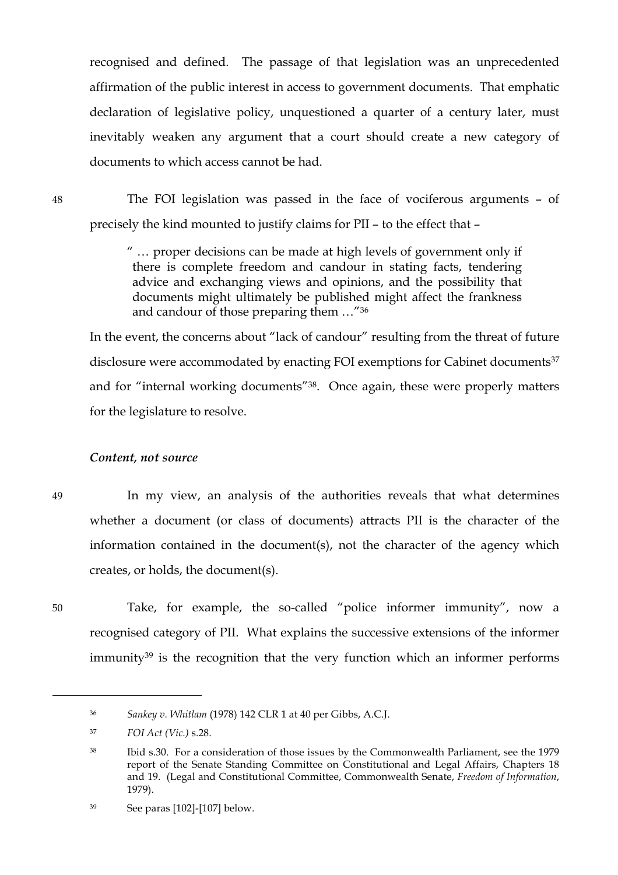recognised and defined. The passage of that legislation was an unprecedented affirmation of the public interest in access to government documents. That emphatic declaration of legislative policy, unquestioned a quarter of a century later, must inevitably weaken any argument that a court should create a new category of documents to which access cannot be had.

48 The FOI legislation was passed in the face of vociferous arguments – of precisely the kind mounted to justify claims for PII – to the effect that –

> " … proper decisions can be made at high levels of government only if there is complete freedom and candour in stating facts, tendering advice and exchanging views and opinions, and the possibility that documents might ultimately be published might affect the frankness and candour of those preparing them …"36

In the event, the concerns about "lack of candour" resulting from the threat of future disclosure were accommodated by enacting FOI exemptions for Cabinet documents<sup>37</sup> and for "internal working documents"38. Once again, these were properly matters for the legislature to resolve.

## *Content, not source*

49 In my view, an analysis of the authorities reveals that what determines whether a document (or class of documents) attracts PII is the character of the information contained in the document(s), not the character of the agency which creates, or holds, the document(s).

 $\overline{a}$ 

50 Take, for example, the so-called "police informer immunity", now a recognised category of PII. What explains the successive extensions of the informer immunity<sup>39</sup> is the recognition that the very function which an informer performs

<sup>36</sup> *Sankey v. Whitlam* (1978) 142 CLR 1 at 40 per Gibbs, A.C.J.

<sup>37</sup> *FOI Act (Vic.)* s.28.

<sup>38</sup> Ibid s.30. For a consideration of those issues by the Commonwealth Parliament, see the 1979 report of the Senate Standing Committee on Constitutional and Legal Affairs, Chapters 18 and 19. (Legal and Constitutional Committee, Commonwealth Senate, *Freedom of Information*, 1979).

<sup>39</sup> See paras [102]-[107] below.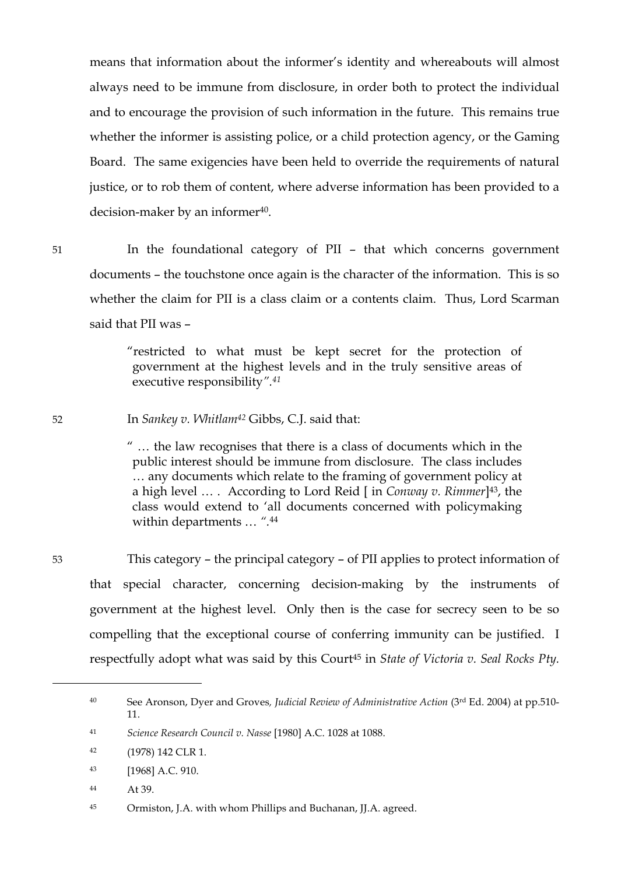means that information about the informer's identity and whereabouts will almost always need to be immune from disclosure, in order both to protect the individual and to encourage the provision of such information in the future. This remains true whether the informer is assisting police, or a child protection agency, or the Gaming Board. The same exigencies have been held to override the requirements of natural justice, or to rob them of content, where adverse information has been provided to a decision-maker by an informer<sup>40</sup>.

51 In the foundational category of PII – that which concerns government documents – the touchstone once again is the character of the information. This is so whether the claim for PII is a class claim or a contents claim. Thus, Lord Scarman said that PII was –

> "restricted to what must be kept secret for the protection of government at the highest levels and in the truly sensitive areas of executive responsibility*".41*

52 In *Sankey v. Whitlam42* Gibbs, C.J. said that:

" … the law recognises that there is a class of documents which in the public interest should be immune from disclosure. The class includes … any documents which relate to the framing of government policy at a high level … . According to Lord Reid [ in *Conway v. Rimmer*]43, the class would extend to 'all documents concerned with policymaking within departments … *".*<sup>44</sup>

53 This category – the principal category – of PII applies to protect information of that special character, concerning decision-making by the instruments of government at the highest level. Only then is the case for secrecy seen to be so compelling that the exceptional course of conferring immunity can be justified. I respectfully adopt what was said by this Court<sup>45</sup> in *State of Victoria v. Seal Rocks Pty.* 

<sup>40</sup> See Aronson, Dyer and Groves*, Judicial Review of Administrative Action* (3rd Ed. 2004) at pp.510- 11.

<sup>41</sup> *Science Research Council v. Nasse* [1980] A.C. 1028 at 1088.

<sup>42</sup> (1978) 142 CLR 1.

<sup>43</sup> [1968] A.C. 910.

<sup>44</sup> At 39.

<sup>45</sup> Ormiston, J.A. with whom Phillips and Buchanan, JJ.A. agreed.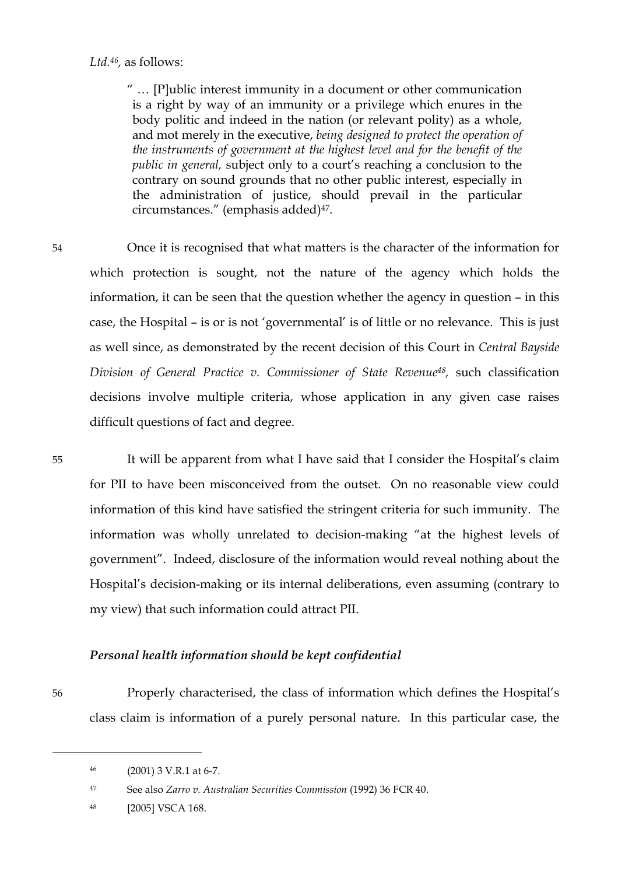#### *Ltd.46,* as follows:

" … [P]ublic interest immunity in a document or other communication is a right by way of an immunity or a privilege which enures in the body politic and indeed in the nation (or relevant polity) as a whole, and mot merely in the executive, *being designed to protect the operation of the instruments of government at the highest level and for the benefit of the public in general,* subject only to a court's reaching a conclusion to the contrary on sound grounds that no other public interest, especially in the administration of justice, should prevail in the particular circumstances." (emphasis added)47.

54 Once it is recognised that what matters is the character of the information for which protection is sought, not the nature of the agency which holds the information, it can be seen that the question whether the agency in question – in this case, the Hospital – is or is not 'governmental' is of little or no relevance. This is just as well since, as demonstrated by the recent decision of this Court in *Central Bayside Division of General Practice v. Commissioner of State Revenue48,* such classification decisions involve multiple criteria, whose application in any given case raises difficult questions of fact and degree.

55 It will be apparent from what I have said that I consider the Hospital's claim for PII to have been misconceived from the outset. On no reasonable view could information of this kind have satisfied the stringent criteria for such immunity. The information was wholly unrelated to decision-making "at the highest levels of government". Indeed, disclosure of the information would reveal nothing about the Hospital's decision-making or its internal deliberations, even assuming (contrary to my view) that such information could attract PII.

## *Personal health information should be kept confidential*

 $\overline{a}$ 

56 Properly characterised, the class of information which defines the Hospital's class claim is information of a purely personal nature. In this particular case, the

<sup>47</sup> See also *Zarro v. Australian Securities Commission* (1992) 36 FCR 40.

<sup>46</sup> (2001) 3 V.R.1 at 6-7.

<sup>48</sup> [2005] VSCA 168.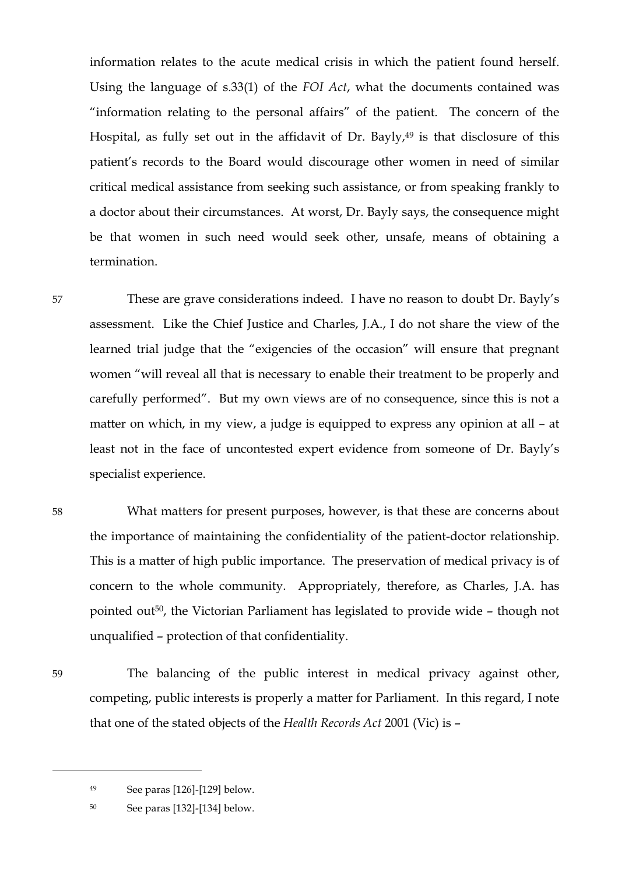information relates to the acute medical crisis in which the patient found herself. Using the language of s.33(1) of the *FOI Act*, what the documents contained was "information relating to the personal affairs" of the patient. The concern of the Hospital, as fully set out in the affidavit of Dr. Bayly,<sup>49</sup> is that disclosure of this patient's records to the Board would discourage other women in need of similar critical medical assistance from seeking such assistance, or from speaking frankly to a doctor about their circumstances. At worst, Dr. Bayly says, the consequence might be that women in such need would seek other, unsafe, means of obtaining a termination.

57 These are grave considerations indeed. I have no reason to doubt Dr. Bayly's assessment. Like the Chief Justice and Charles, J.A., I do not share the view of the learned trial judge that the "exigencies of the occasion" will ensure that pregnant women "will reveal all that is necessary to enable their treatment to be properly and carefully performed". But my own views are of no consequence, since this is not a matter on which, in my view, a judge is equipped to express any opinion at all – at least not in the face of uncontested expert evidence from someone of Dr. Bayly's specialist experience.

58 What matters for present purposes, however, is that these are concerns about the importance of maintaining the confidentiality of the patient-doctor relationship. This is a matter of high public importance. The preservation of medical privacy is of concern to the whole community. Appropriately, therefore, as Charles, J.A. has pointed out50, the Victorian Parliament has legislated to provide wide – though not unqualified – protection of that confidentiality.

59 The balancing of the public interest in medical privacy against other, competing, public interests is properly a matter for Parliament. In this regard, I note that one of the stated objects of the *Health Records Act* 2001 (Vic) is –

 $\overline{a}$ 

RWH v MPB 2000 19 MAXWELL, P.

<sup>49</sup> See paras [126]-[129] below.

<sup>50</sup> See paras [132]-[134] below.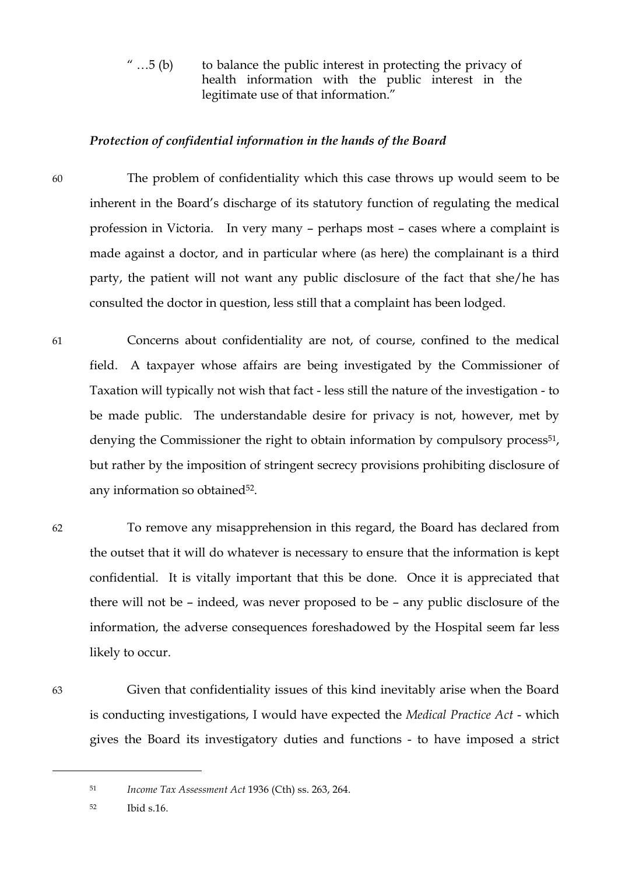" $...5$  (b) to balance the public interest in protecting the privacy of health information with the public interest in the legitimate use of that information."

## *Protection of confidential information in the hands of the Board*

60 The problem of confidentiality which this case throws up would seem to be inherent in the Board's discharge of its statutory function of regulating the medical profession in Victoria. In very many – perhaps most – cases where a complaint is made against a doctor, and in particular where (as here) the complainant is a third party, the patient will not want any public disclosure of the fact that she/he has consulted the doctor in question, less still that a complaint has been lodged.

61 Concerns about confidentiality are not, of course, confined to the medical field. A taxpayer whose affairs are being investigated by the Commissioner of Taxation will typically not wish that fact - less still the nature of the investigation - to be made public. The understandable desire for privacy is not, however, met by denying the Commissioner the right to obtain information by compulsory process<sup>51</sup>, but rather by the imposition of stringent secrecy provisions prohibiting disclosure of any information so obtained<sup>52</sup>.

62 To remove any misapprehension in this regard, the Board has declared from the outset that it will do whatever is necessary to ensure that the information is kept confidential. It is vitally important that this be done. Once it is appreciated that there will not be – indeed, was never proposed to be – any public disclosure of the information, the adverse consequences foreshadowed by the Hospital seem far less likely to occur.

63 Given that confidentiality issues of this kind inevitably arise when the Board is conducting investigations, I would have expected the *Medical Practice Act* - which gives the Board its investigatory duties and functions - to have imposed a strict

<sup>51</sup> *Income Tax Assessment Act* 1936 (Cth) ss. 263, 264.

<sup>52</sup> Ibid s.16.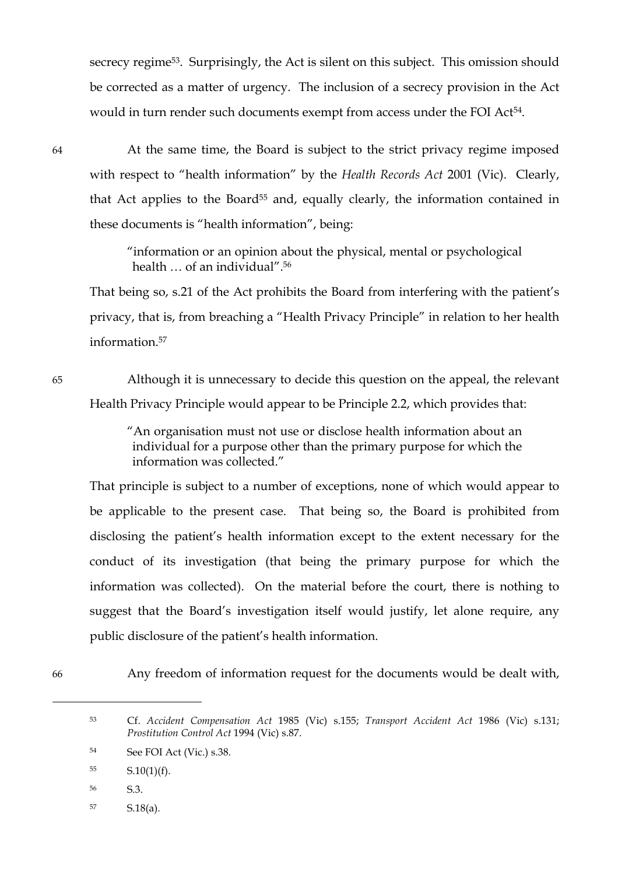secrecy regime<sup>53</sup>. Surprisingly, the Act is silent on this subject. This omission should be corrected as a matter of urgency. The inclusion of a secrecy provision in the Act would in turn render such documents exempt from access under the FOI Act<sup>54</sup>.

64 At the same time, the Board is subject to the strict privacy regime imposed with respect to "health information" by the *Health Records Act* 2001 (Vic). Clearly, that Act applies to the Board<sup>55</sup> and, equally clearly, the information contained in these documents is "health information", being:

> "information or an opinion about the physical, mental or psychological health … of an individual".56

That being so, s.21 of the Act prohibits the Board from interfering with the patient's privacy, that is, from breaching a "Health Privacy Principle" in relation to her health information<sup>57</sup>

65 Although it is unnecessary to decide this question on the appeal, the relevant Health Privacy Principle would appear to be Principle 2.2, which provides that:

> "An organisation must not use or disclose health information about an individual for a purpose other than the primary purpose for which the information was collected."

That principle is subject to a number of exceptions, none of which would appear to be applicable to the present case. That being so, the Board is prohibited from disclosing the patient's health information except to the extent necessary for the conduct of its investigation (that being the primary purpose for which the information was collected). On the material before the court, there is nothing to suggest that the Board's investigation itself would justify, let alone require, any public disclosure of the patient's health information.

 $\overline{a}$ 

66 Any freedom of information request for the documents would be dealt with,

- <sup>56</sup> S.3.
- <sup>57</sup> S.18(a).

<sup>53</sup> Cf. *Accident Compensation Act* 1985 (Vic) s.155; *Transport Accident Act* 1986 (Vic) s.131; *Prostitution Control Act* 1994 (Vic) s.87.

<sup>54</sup> See FOI Act (Vic.) s.38.

<sup>55</sup>  $S.10(1)(f)$ .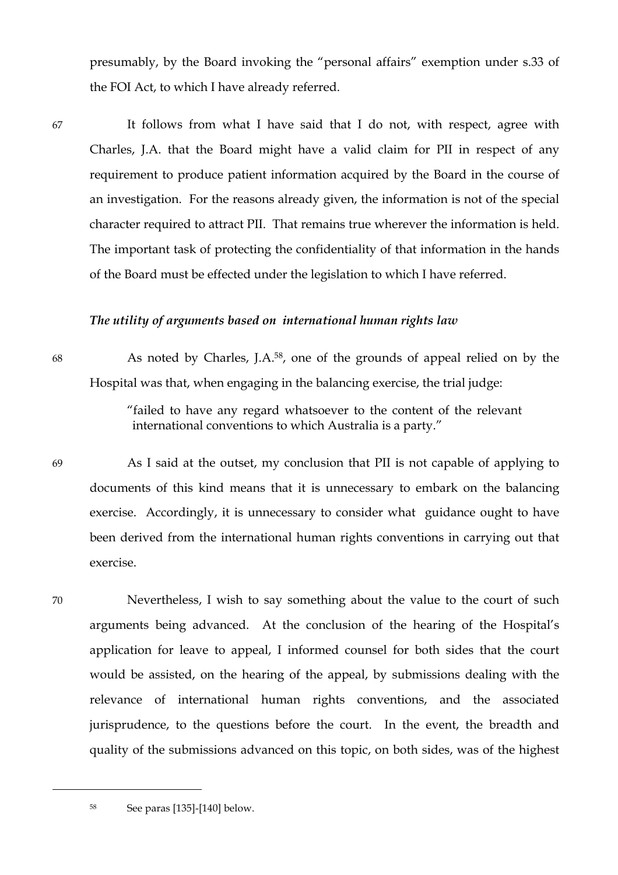presumably, by the Board invoking the "personal affairs" exemption under s.33 of the FOI Act, to which I have already referred.

67 It follows from what I have said that I do not, with respect, agree with Charles, J.A. that the Board might have a valid claim for PII in respect of any requirement to produce patient information acquired by the Board in the course of an investigation. For the reasons already given, the information is not of the special character required to attract PII. That remains true wherever the information is held. The important task of protecting the confidentiality of that information in the hands of the Board must be effected under the legislation to which I have referred.

## *The utility of arguments based on international human rights law*

68 As noted by Charles, J.A.58, one of the grounds of appeal relied on by the Hospital was that, when engaging in the balancing exercise, the trial judge:

> "failed to have any regard whatsoever to the content of the relevant international conventions to which Australia is a party."

69 As I said at the outset, my conclusion that PII is not capable of applying to documents of this kind means that it is unnecessary to embark on the balancing exercise. Accordingly, it is unnecessary to consider what guidance ought to have been derived from the international human rights conventions in carrying out that exercise.

70 Nevertheless, I wish to say something about the value to the court of such arguments being advanced. At the conclusion of the hearing of the Hospital's application for leave to appeal, I informed counsel for both sides that the court would be assisted, on the hearing of the appeal, by submissions dealing with the relevance of international human rights conventions, and the associated jurisprudence, to the questions before the court. In the event, the breadth and quality of the submissions advanced on this topic, on both sides, was of the highest

<sup>58</sup> See paras [135]-[140] below.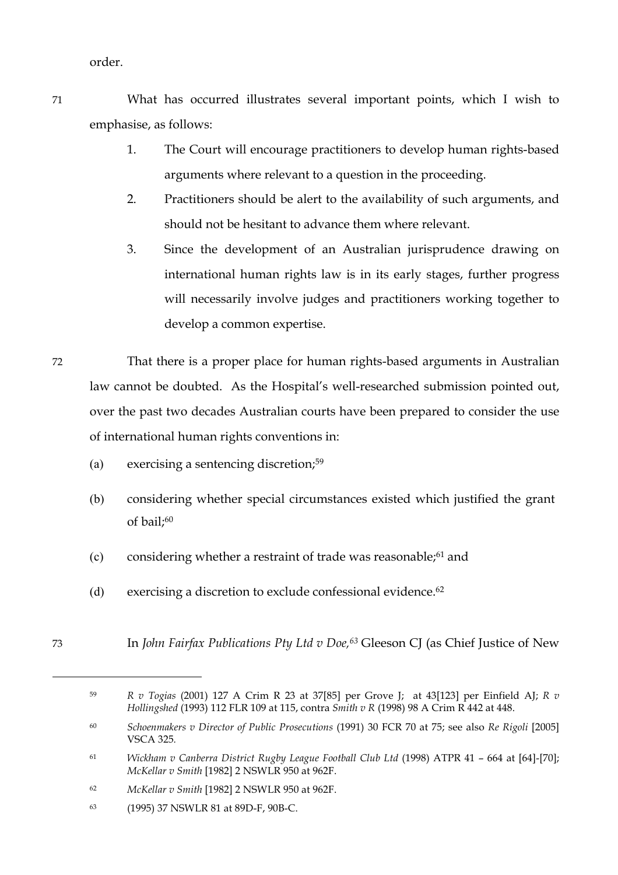order.

71 What has occurred illustrates several important points, which I wish to emphasise, as follows:

- 1. The Court will encourage practitioners to develop human rights-based arguments where relevant to a question in the proceeding.
- 2. Practitioners should be alert to the availability of such arguments, and should not be hesitant to advance them where relevant.
- 3. Since the development of an Australian jurisprudence drawing on international human rights law is in its early stages, further progress will necessarily involve judges and practitioners working together to develop a common expertise.
- 72 That there is a proper place for human rights-based arguments in Australian law cannot be doubted. As the Hospital's well-researched submission pointed out, over the past two decades Australian courts have been prepared to consider the use of international human rights conventions in:
	- (a) exercising a sentencing discretion;59
	- (b) considering whether special circumstances existed which justified the grant of bail; 60
	- (c) considering whether a restraint of trade was reasonable;61 and
	- (d) exercising a discretion to exclude confessional evidence.62
- 

 $\overline{a}$ 

73 In *John Fairfax Publications Pty Ltd v Doe,63* Gleeson CJ (as Chief Justice of New

<sup>59</sup> *R v Togias* (2001) 127 A Crim R 23 at 37[85] per Grove J; at 43[123] per Einfield AJ; *R v Hollingshed* (1993) 112 FLR 109 at 115, contra *Smith v R* (1998) 98 A Crim R 442 at 448.

<sup>60</sup> *Schoenmakers v Director of Public Prosecutions* (1991) 30 FCR 70 at 75; see also *Re Rigoli* [2005] VSCA 325*.*

<sup>61</sup> *Wickham v Canberra District Rugby League Football Club Ltd* (1998) ATPR 41 – 664 at [64]-[70]; *McKellar v Smith* [1982] 2 NSWLR 950 at 962F.

<sup>62</sup> *McKellar v Smith* [1982] 2 NSWLR 950 at 962F.

<sup>63</sup> (1995) 37 NSWLR 81 at 89D-F, 90B-C.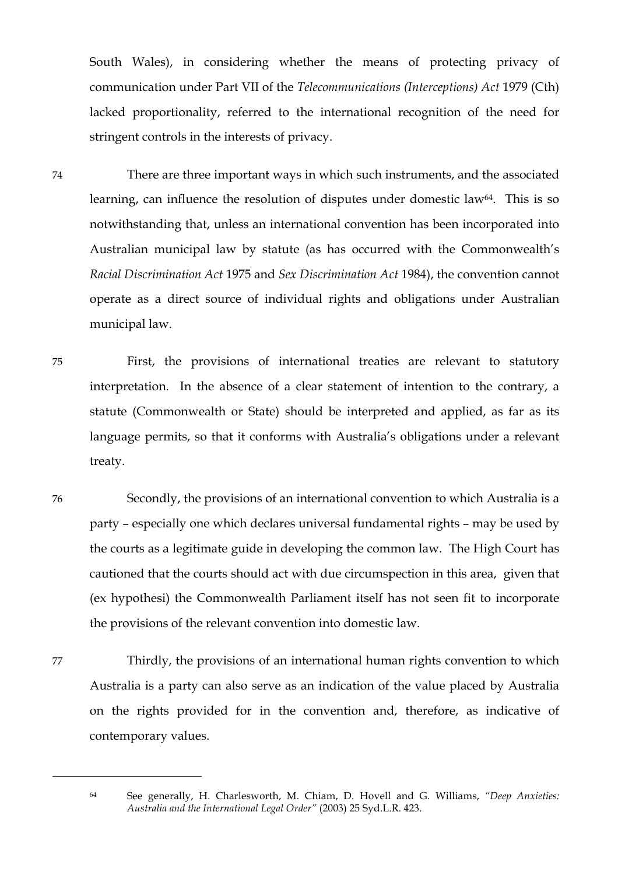South Wales), in considering whether the means of protecting privacy of communication under Part VII of the *Telecommunications (Interceptions) Act* 1979 (Cth) lacked proportionality, referred to the international recognition of the need for stringent controls in the interests of privacy.

74 There are three important ways in which such instruments, and the associated learning, can influence the resolution of disputes under domestic law $64$ . This is so notwithstanding that, unless an international convention has been incorporated into Australian municipal law by statute (as has occurred with the Commonwealth's *Racial Discrimination Act* 1975 and *Sex Discrimination Act* 1984), the convention cannot operate as a direct source of individual rights and obligations under Australian municipal law.

75 First, the provisions of international treaties are relevant to statutory interpretation. In the absence of a clear statement of intention to the contrary, a statute (Commonwealth or State) should be interpreted and applied, as far as its language permits, so that it conforms with Australia's obligations under a relevant treaty.

76 Secondly, the provisions of an international convention to which Australia is a party – especially one which declares universal fundamental rights – may be used by the courts as a legitimate guide in developing the common law. The High Court has cautioned that the courts should act with due circumspection in this area, given that (ex hypothesi) the Commonwealth Parliament itself has not seen fit to incorporate the provisions of the relevant convention into domestic law.

77 Thirdly, the provisions of an international human rights convention to which Australia is a party can also serve as an indication of the value placed by Australia on the rights provided for in the convention and, therefore, as indicative of contemporary values.

<sup>64</sup> See generally, H. Charlesworth, M. Chiam, D. Hovell and G. Williams, *"Deep Anxieties: Australia and the International Legal Order"* (2003) 25 Syd.L.R. 423.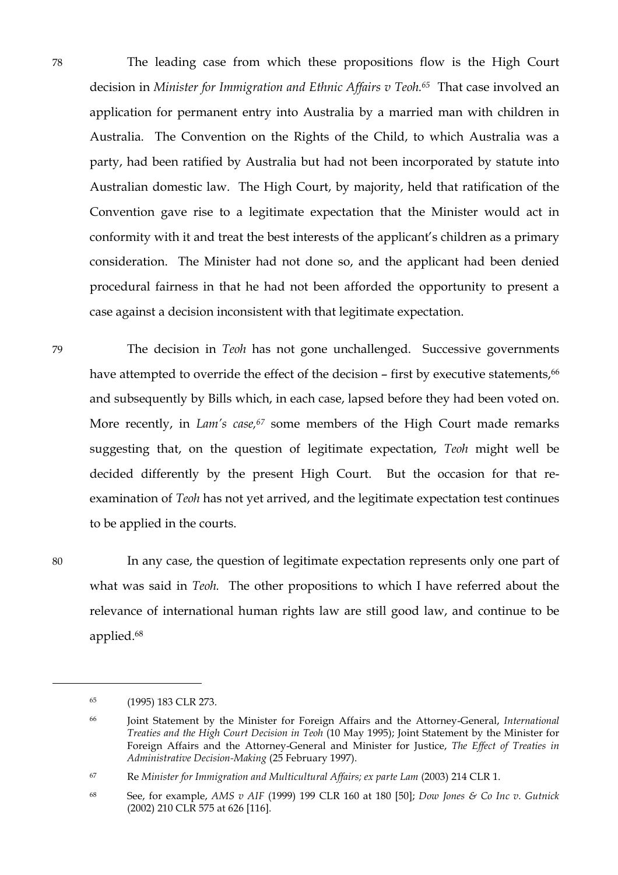78 The leading case from which these propositions flow is the High Court decision in *Minister for Immigration and Ethnic Affairs v Teoh.65* That case involved an application for permanent entry into Australia by a married man with children in Australia. The Convention on the Rights of the Child, to which Australia was a party, had been ratified by Australia but had not been incorporated by statute into Australian domestic law. The High Court, by majority, held that ratification of the Convention gave rise to a legitimate expectation that the Minister would act in conformity with it and treat the best interests of the applicant's children as a primary consideration. The Minister had not done so, and the applicant had been denied procedural fairness in that he had not been afforded the opportunity to present a case against a decision inconsistent with that legitimate expectation.

79 The decision in *Teoh* has not gone unchallenged. Successive governments have attempted to override the effect of the decision – first by executive statements,<sup>66</sup> and subsequently by Bills which, in each case, lapsed before they had been voted on. More recently, in *Lam's case*,<sup>67</sup> some members of the High Court made remarks suggesting that, on the question of legitimate expectation, *Teoh* might well be decided differently by the present High Court. But the occasion for that reexamination of *Teoh* has not yet arrived, and the legitimate expectation test continues to be applied in the courts.

 $\overline{a}$ 

80 In any case, the question of legitimate expectation represents only one part of what was said in *Teoh.* The other propositions to which I have referred about the relevance of international human rights law are still good law, and continue to be applied.68

<sup>65</sup> (1995) 183 CLR 273.

<sup>66</sup> Joint Statement by the Minister for Foreign Affairs and the Attorney-General, *International Treaties and the High Court Decision in Teoh* (10 May 1995); Joint Statement by the Minister for Foreign Affairs and the Attorney-General and Minister for Justice, *The Effect of Treaties in Administrative Decision-Making* (25 February 1997).

<sup>67</sup> Re *Minister for Immigration and Multicultural Affairs; ex parte Lam* (2003) 214 CLR 1.

<sup>68</sup> See, for example, *AMS v AIF* (1999) 199 CLR 160 at 180 [50]; *Dow Jones & Co Inc v. Gutnick* (2002) 210 CLR 575 at 626 [116].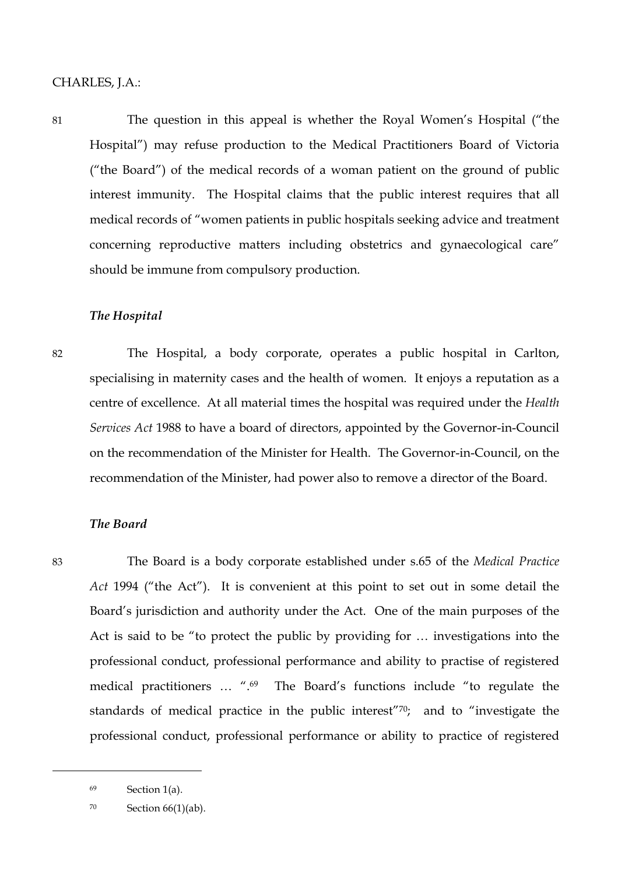#### CHARLES, J.A.:

81 The question in this appeal is whether the Royal Women's Hospital ("the Hospital") may refuse production to the Medical Practitioners Board of Victoria ("the Board") of the medical records of a woman patient on the ground of public interest immunity. The Hospital claims that the public interest requires that all medical records of "women patients in public hospitals seeking advice and treatment concerning reproductive matters including obstetrics and gynaecological care" should be immune from compulsory production.

#### *The Hospital*

82 The Hospital, a body corporate, operates a public hospital in Carlton, specialising in maternity cases and the health of women. It enjoys a reputation as a centre of excellence. At all material times the hospital was required under the *Health Services Act* 1988 to have a board of directors, appointed by the Governor-in-Council on the recommendation of the Minister for Health. The Governor-in-Council, on the recommendation of the Minister, had power also to remove a director of the Board.

## *The Board*

83 The Board is a body corporate established under s.65 of the *Medical Practice Act* 1994 ("the Act"). It is convenient at this point to set out in some detail the Board's jurisdiction and authority under the Act. One of the main purposes of the Act is said to be "to protect the public by providing for … investigations into the professional conduct, professional performance and ability to practise of registered medical practitioners … ".69 The Board's functions include "to regulate the standards of medical practice in the public interest"70; and to "investigate the professional conduct, professional performance or ability to practice of registered

<sup>69</sup> Section 1(a).

 $70$  Section  $66(1)(ab)$ .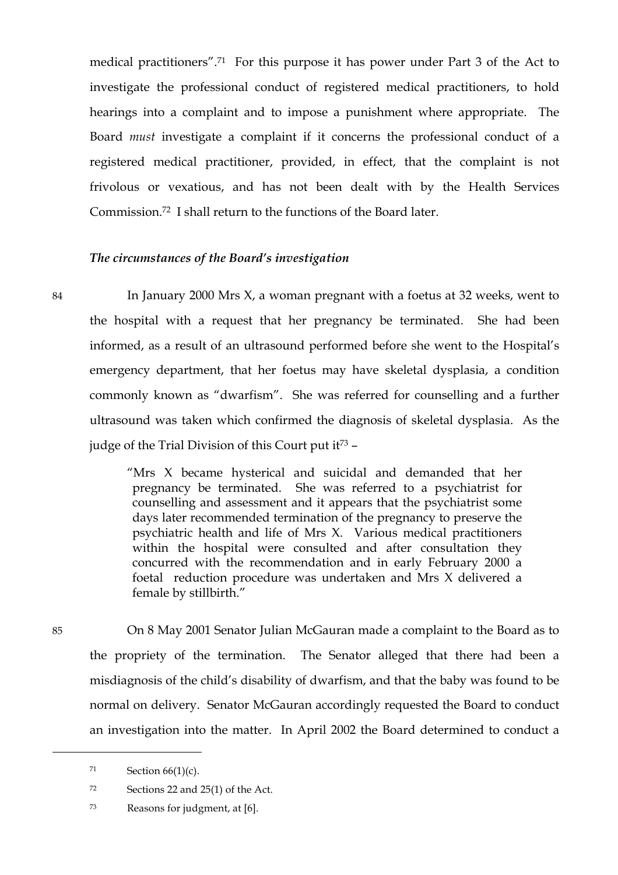medical practitioners".71 For this purpose it has power under Part 3 of the Act to investigate the professional conduct of registered medical practitioners, to hold hearings into a complaint and to impose a punishment where appropriate. The Board *must* investigate a complaint if it concerns the professional conduct of a registered medical practitioner, provided, in effect, that the complaint is not frivolous or vexatious, and has not been dealt with by the Health Services Commission.72 I shall return to the functions of the Board later.

### *The circumstances of the Board's investigation*

84 In January 2000 Mrs X, a woman pregnant with a foetus at 32 weeks, went to the hospital with a request that her pregnancy be terminated. She had been informed, as a result of an ultrasound performed before she went to the Hospital's emergency department, that her foetus may have skeletal dysplasia, a condition commonly known as "dwarfism". She was referred for counselling and a further ultrasound was taken which confirmed the diagnosis of skeletal dysplasia. As the judge of the Trial Division of this Court put it<sup> $73$ </sup> –

> "Mrs X became hysterical and suicidal and demanded that her pregnancy be terminated. She was referred to a psychiatrist for counselling and assessment and it appears that the psychiatrist some days later recommended termination of the pregnancy to preserve the psychiatric health and life of Mrs X. Various medical practitioners within the hospital were consulted and after consultation they concurred with the recommendation and in early February 2000 a foetal reduction procedure was undertaken and Mrs X delivered a female by stillbirth."

85 On 8 May 2001 Senator Julian McGauran made a complaint to the Board as to the propriety of the termination. The Senator alleged that there had been a misdiagnosis of the child's disability of dwarfism, and that the baby was found to be normal on delivery. Senator McGauran accordingly requested the Board to conduct an investigation into the matter. In April 2002 the Board determined to conduct a

 $71$  Section  $66(1)(c)$ .

<sup>72</sup> Sections 22 and 25(1) of the Act.

<sup>73</sup> Reasons for judgment, at [6].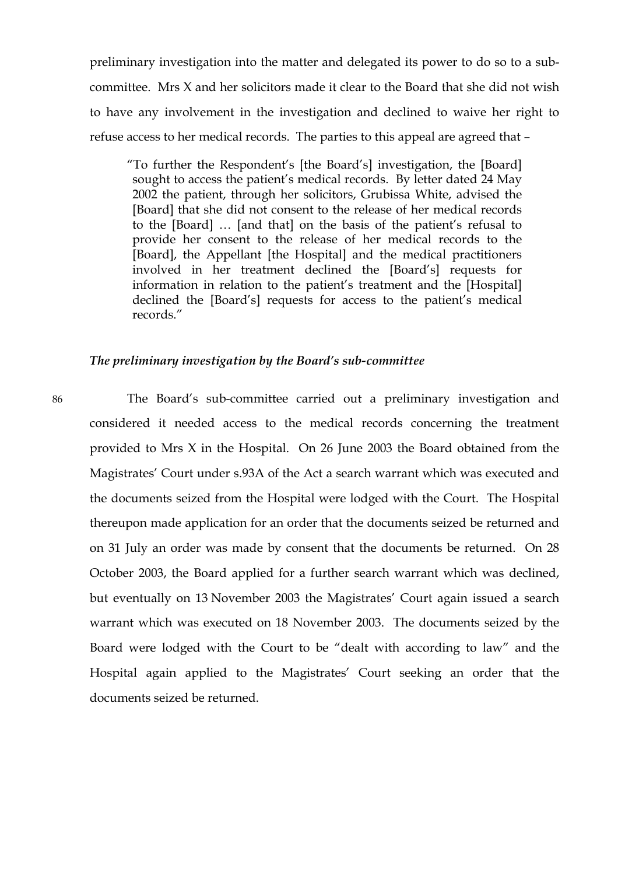preliminary investigation into the matter and delegated its power to do so to a subcommittee. Mrs X and her solicitors made it clear to the Board that she did not wish to have any involvement in the investigation and declined to waive her right to refuse access to her medical records. The parties to this appeal are agreed that –

"To further the Respondent's [the Board's] investigation, the [Board] sought to access the patient's medical records. By letter dated 24 May 2002 the patient, through her solicitors, Grubissa White, advised the [Board] that she did not consent to the release of her medical records to the [Board] … [and that] on the basis of the patient's refusal to provide her consent to the release of her medical records to the [Board], the Appellant [the Hospital] and the medical practitioners involved in her treatment declined the [Board's] requests for information in relation to the patient's treatment and the [Hospital] declined the [Board's] requests for access to the patient's medical records."

#### *The preliminary investigation by the Board's sub-committee*

86 The Board's sub-committee carried out a preliminary investigation and considered it needed access to the medical records concerning the treatment provided to Mrs X in the Hospital. On 26 June 2003 the Board obtained from the Magistrates' Court under s.93A of the Act a search warrant which was executed and the documents seized from the Hospital were lodged with the Court. The Hospital thereupon made application for an order that the documents seized be returned and on 31 July an order was made by consent that the documents be returned. On 28 October 2003, the Board applied for a further search warrant which was declined, but eventually on 13 November 2003 the Magistrates' Court again issued a search warrant which was executed on 18 November 2003. The documents seized by the Board were lodged with the Court to be "dealt with according to law" and the Hospital again applied to the Magistrates' Court seeking an order that the documents seized be returned.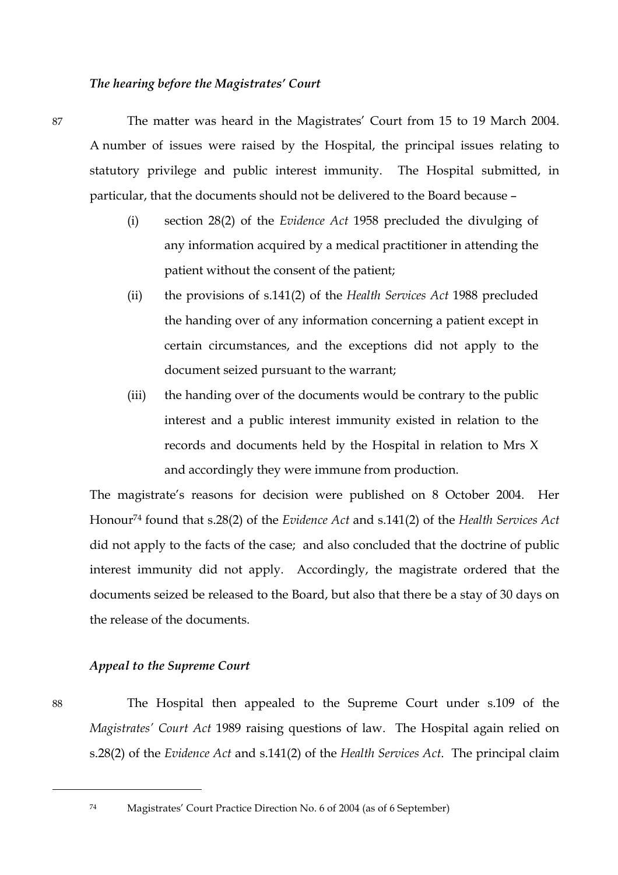#### *The hearing before the Magistrates' Court*

87 The matter was heard in the Magistrates' Court from 15 to 19 March 2004. A number of issues were raised by the Hospital, the principal issues relating to statutory privilege and public interest immunity. The Hospital submitted, in particular, that the documents should not be delivered to the Board because –

- (i) section 28(2) of the *Evidence Act* 1958 precluded the divulging of any information acquired by a medical practitioner in attending the patient without the consent of the patient;
- (ii) the provisions of s.141(2) of the *Health Services Act* 1988 precluded the handing over of any information concerning a patient except in certain circumstances, and the exceptions did not apply to the document seized pursuant to the warrant;
- (iii) the handing over of the documents would be contrary to the public interest and a public interest immunity existed in relation to the records and documents held by the Hospital in relation to Mrs X and accordingly they were immune from production.

The magistrate's reasons for decision were published on 8 October 2004. Her Honour74 found that s.28(2) of the *Evidence Act* and s.141(2) of the *Health Services Act* did not apply to the facts of the case; and also concluded that the doctrine of public interest immunity did not apply. Accordingly, the magistrate ordered that the documents seized be released to the Board, but also that there be a stay of 30 days on the release of the documents.

## *Appeal to the Supreme Court*

 $\overline{a}$ 

88 The Hospital then appealed to the Supreme Court under s.109 of the *Magistrates' Court Act* 1989 raising questions of law. The Hospital again relied on s.28(2) of the *Evidence Act* and s.141(2) of the *Health Services Act*. The principal claim

<sup>74</sup> Magistrates' Court Practice Direction No. 6 of 2004 (as of 6 September)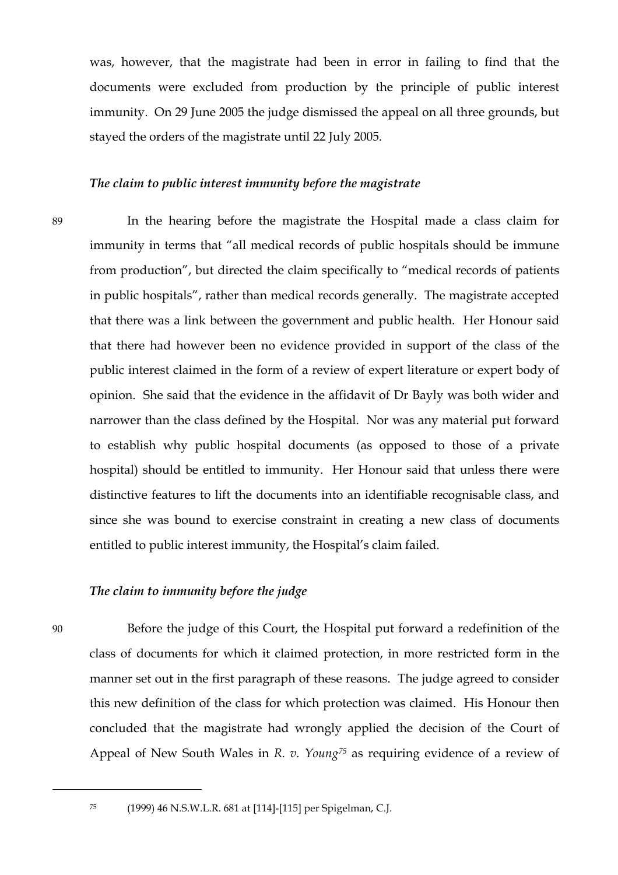was, however, that the magistrate had been in error in failing to find that the documents were excluded from production by the principle of public interest immunity. On 29 June 2005 the judge dismissed the appeal on all three grounds, but stayed the orders of the magistrate until 22 July 2005.

#### *The claim to public interest immunity before the magistrate*

89 In the hearing before the magistrate the Hospital made a class claim for immunity in terms that "all medical records of public hospitals should be immune from production", but directed the claim specifically to "medical records of patients in public hospitals", rather than medical records generally. The magistrate accepted that there was a link between the government and public health. Her Honour said that there had however been no evidence provided in support of the class of the public interest claimed in the form of a review of expert literature or expert body of opinion. She said that the evidence in the affidavit of Dr Bayly was both wider and narrower than the class defined by the Hospital. Nor was any material put forward to establish why public hospital documents (as opposed to those of a private hospital) should be entitled to immunity. Her Honour said that unless there were distinctive features to lift the documents into an identifiable recognisable class, and since she was bound to exercise constraint in creating a new class of documents entitled to public interest immunity, the Hospital's claim failed.

## *The claim to immunity before the judge*

90 Before the judge of this Court, the Hospital put forward a redefinition of the class of documents for which it claimed protection, in more restricted form in the manner set out in the first paragraph of these reasons. The judge agreed to consider this new definition of the class for which protection was claimed. His Honour then concluded that the magistrate had wrongly applied the decision of the Court of Appeal of New South Wales in *R. v. Young75* as requiring evidence of a review of

<sup>75</sup> (1999) 46 N.S.W.L.R. 681 at [114]-[115] per Spigelman, C.J.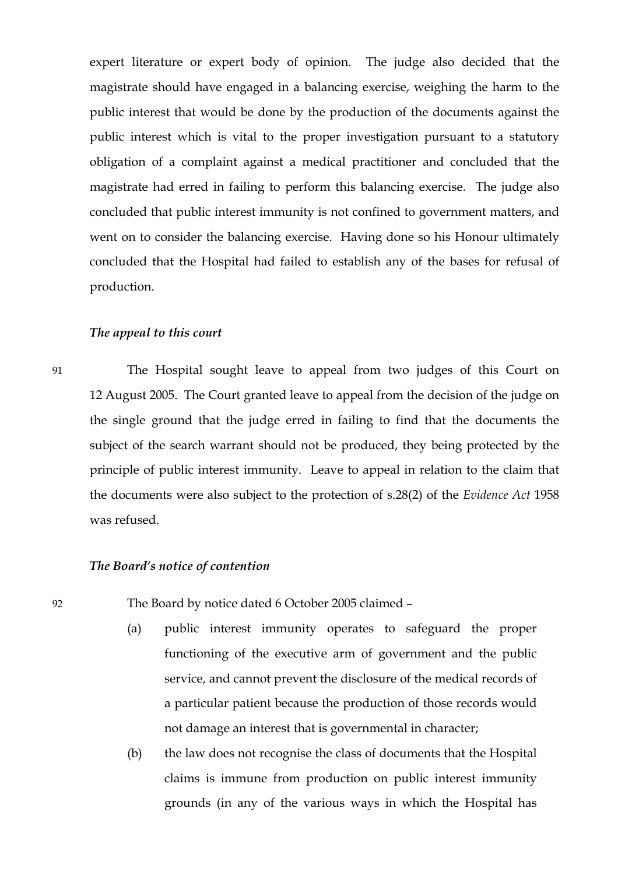expert literature or expert body of opinion. The judge also decided that the magistrate should have engaged in a balancing exercise, weighing the harm to the public interest that would be done by the production of the documents against the public interest which is vital to the proper investigation pursuant to a statutory obligation of a complaint against a medical practitioner and concluded that the magistrate had erred in failing to perform this balancing exercise. The judge also concluded that public interest immunity is not confined to government matters, and went on to consider the balancing exercise. Having done so his Honour ultimately concluded that the Hospital had failed to establish any of the bases for refusal of production.

#### *The appeal to this court*

91 The Hospital sought leave to appeal from two judges of this Court on 12 August 2005. The Court granted leave to appeal from the decision of the judge on the single ground that the judge erred in failing to find that the documents the subject of the search warrant should not be produced, they being protected by the principle of public interest immunity. Leave to appeal in relation to the claim that the documents were also subject to the protection of s.28(2) of the *Evidence Act* 1958 was refused.

### *The Board's notice of contention*

92 The Board by notice dated 6 October 2005 claimed –

- (a) public interest immunity operates to safeguard the proper functioning of the executive arm of government and the public service, and cannot prevent the disclosure of the medical records of a particular patient because the production of those records would not damage an interest that is governmental in character;
- (b) the law does not recognise the class of documents that the Hospital claims is immune from production on public interest immunity grounds (in any of the various ways in which the Hospital has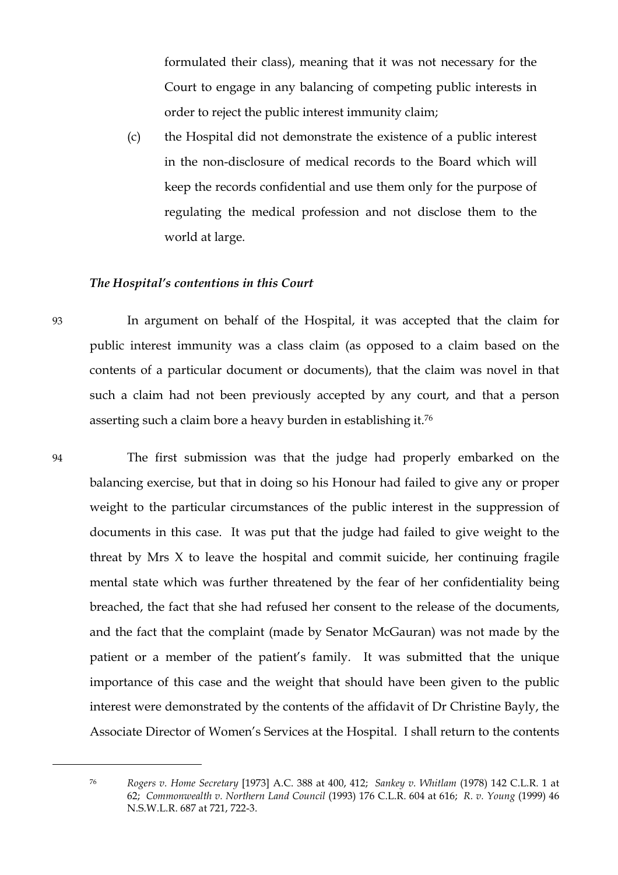formulated their class), meaning that it was not necessary for the Court to engage in any balancing of competing public interests in order to reject the public interest immunity claim;

(c) the Hospital did not demonstrate the existence of a public interest in the non-disclosure of medical records to the Board which will keep the records confidential and use them only for the purpose of regulating the medical profession and not disclose them to the world at large.

## *The Hospital's contentions in this Court*

93 In argument on behalf of the Hospital, it was accepted that the claim for public interest immunity was a class claim (as opposed to a claim based on the contents of a particular document or documents), that the claim was novel in that such a claim had not been previously accepted by any court, and that a person asserting such a claim bore a heavy burden in establishing it.76

94 The first submission was that the judge had properly embarked on the balancing exercise, but that in doing so his Honour had failed to give any or proper weight to the particular circumstances of the public interest in the suppression of documents in this case. It was put that the judge had failed to give weight to the threat by Mrs X to leave the hospital and commit suicide, her continuing fragile mental state which was further threatened by the fear of her confidentiality being breached, the fact that she had refused her consent to the release of the documents, and the fact that the complaint (made by Senator McGauran) was not made by the patient or a member of the patient's family. It was submitted that the unique importance of this case and the weight that should have been given to the public interest were demonstrated by the contents of the affidavit of Dr Christine Bayly, the Associate Director of Women's Services at the Hospital. I shall return to the contents

<sup>76</sup> *Rogers v. Home Secretary* [1973] A.C. 388 at 400, 412; *Sankey v. Whitlam* (1978) 142 C.L.R. 1 at 62; *Commonwealth v. Northern Land Council* (1993) 176 C.L.R. 604 at 616; *R. v. Young* (1999) 46 N.S.W.L.R. 687 at 721, 722-3.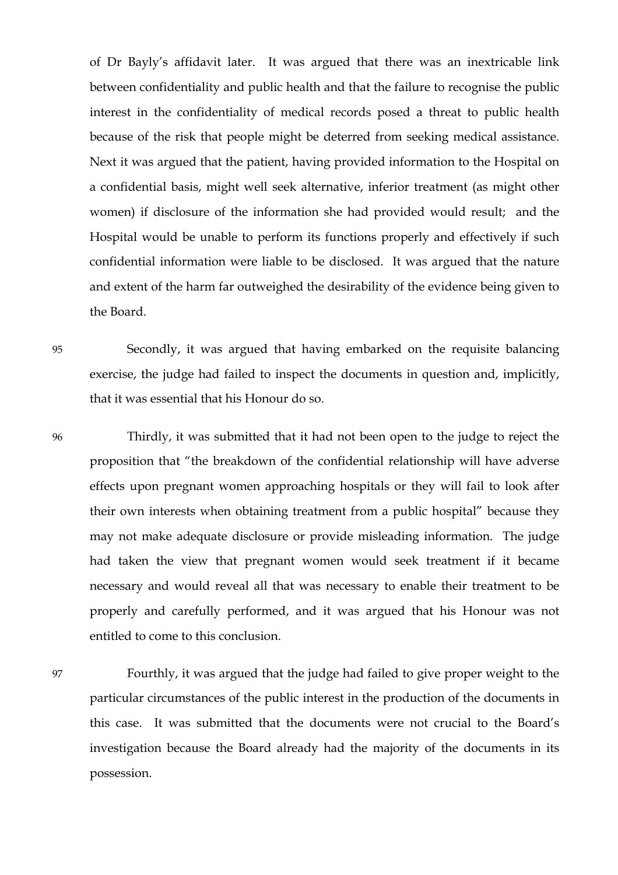of Dr Bayly's affidavit later. It was argued that there was an inextricable link between confidentiality and public health and that the failure to recognise the public interest in the confidentiality of medical records posed a threat to public health because of the risk that people might be deterred from seeking medical assistance. Next it was argued that the patient, having provided information to the Hospital on a confidential basis, might well seek alternative, inferior treatment (as might other women) if disclosure of the information she had provided would result; and the Hospital would be unable to perform its functions properly and effectively if such confidential information were liable to be disclosed. It was argued that the nature and extent of the harm far outweighed the desirability of the evidence being given to the Board.

95 Secondly, it was argued that having embarked on the requisite balancing exercise, the judge had failed to inspect the documents in question and, implicitly, that it was essential that his Honour do so.

96 Thirdly, it was submitted that it had not been open to the judge to reject the proposition that "the breakdown of the confidential relationship will have adverse effects upon pregnant women approaching hospitals or they will fail to look after their own interests when obtaining treatment from a public hospital" because they may not make adequate disclosure or provide misleading information. The judge had taken the view that pregnant women would seek treatment if it became necessary and would reveal all that was necessary to enable their treatment to be properly and carefully performed, and it was argued that his Honour was not entitled to come to this conclusion.

97 Fourthly, it was argued that the judge had failed to give proper weight to the particular circumstances of the public interest in the production of the documents in this case. It was submitted that the documents were not crucial to the Board's investigation because the Board already had the majority of the documents in its possession.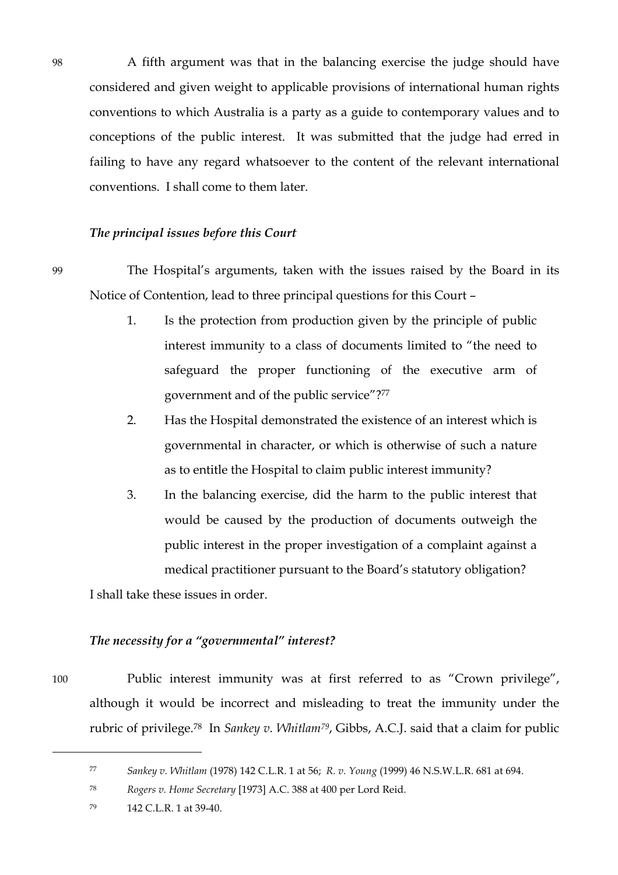98 A fifth argument was that in the balancing exercise the judge should have considered and given weight to applicable provisions of international human rights conventions to which Australia is a party as a guide to contemporary values and to conceptions of the public interest. It was submitted that the judge had erred in failing to have any regard whatsoever to the content of the relevant international conventions. I shall come to them later.

#### *The principal issues before this Court*

99 The Hospital's arguments, taken with the issues raised by the Board in its Notice of Contention, lead to three principal questions for this Court –

- 1. Is the protection from production given by the principle of public interest immunity to a class of documents limited to "the need to safeguard the proper functioning of the executive arm of government and of the public service"?77
- 2. Has the Hospital demonstrated the existence of an interest which is governmental in character, or which is otherwise of such a nature as to entitle the Hospital to claim public interest immunity?
- 3. In the balancing exercise, did the harm to the public interest that would be caused by the production of documents outweigh the public interest in the proper investigation of a complaint against a medical practitioner pursuant to the Board's statutory obligation?

I shall take these issues in order.

## *The necessity for a "governmental" interest?*

100 Public interest immunity was at first referred to as "Crown privilege", although it would be incorrect and misleading to treat the immunity under the rubric of privilege.78 In *Sankey v. Whitlam79*, Gibbs, A.C.J. said that a claim for public

<sup>77</sup> *Sankey v. Whitlam* (1978) 142 C.L.R. 1 at 56; *R. v. Young* (1999) 46 N.S.W.L.R. 681 at 694.

<sup>78</sup> *Rogers v. Home Secretary* [1973] A.C. 388 at 400 per Lord Reid.

<sup>79</sup> 142 C.L.R. 1 at 39-40.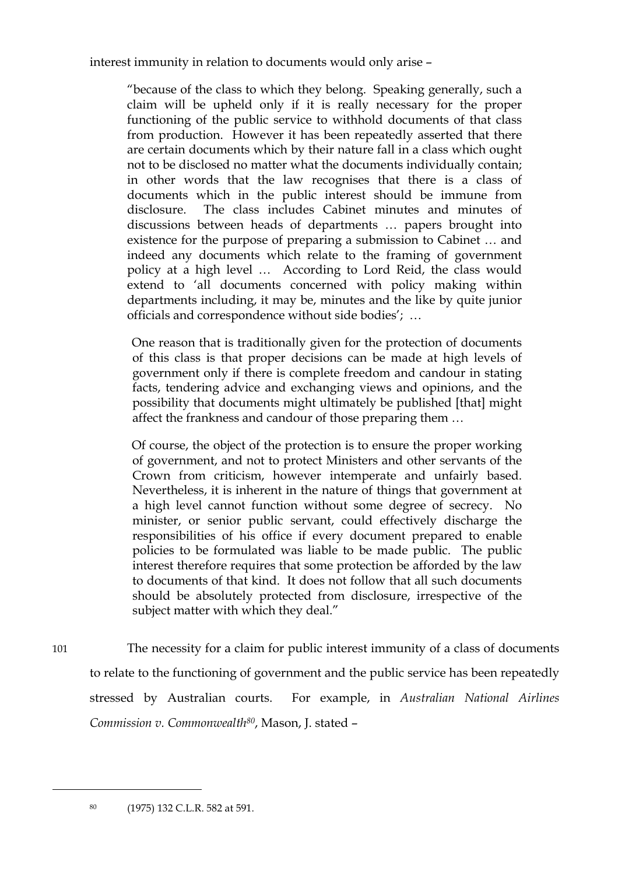interest immunity in relation to documents would only arise –

"because of the class to which they belong. Speaking generally, such a claim will be upheld only if it is really necessary for the proper functioning of the public service to withhold documents of that class from production. However it has been repeatedly asserted that there are certain documents which by their nature fall in a class which ought not to be disclosed no matter what the documents individually contain; in other words that the law recognises that there is a class of documents which in the public interest should be immune from disclosure. The class includes Cabinet minutes and minutes of discussions between heads of departments … papers brought into existence for the purpose of preparing a submission to Cabinet … and indeed any documents which relate to the framing of government policy at a high level … According to Lord Reid, the class would extend to 'all documents concerned with policy making within departments including, it may be, minutes and the like by quite junior officials and correspondence without side bodies'; …

One reason that is traditionally given for the protection of documents of this class is that proper decisions can be made at high levels of government only if there is complete freedom and candour in stating facts, tendering advice and exchanging views and opinions, and the possibility that documents might ultimately be published [that] might affect the frankness and candour of those preparing them …

Of course, the object of the protection is to ensure the proper working of government, and not to protect Ministers and other servants of the Crown from criticism, however intemperate and unfairly based. Nevertheless, it is inherent in the nature of things that government at a high level cannot function without some degree of secrecy. No minister, or senior public servant, could effectively discharge the responsibilities of his office if every document prepared to enable policies to be formulated was liable to be made public. The public interest therefore requires that some protection be afforded by the law to documents of that kind. It does not follow that all such documents should be absolutely protected from disclosure, irrespective of the subject matter with which they deal."

101 The necessity for a claim for public interest immunity of a class of documents to relate to the functioning of government and the public service has been repeatedly stressed by Australian courts. For example, in *Australian National Airlines Commission v. Commonwealth80*, Mason, J. stated –

<sup>80</sup> (1975) 132 C.L.R. 582 at 591.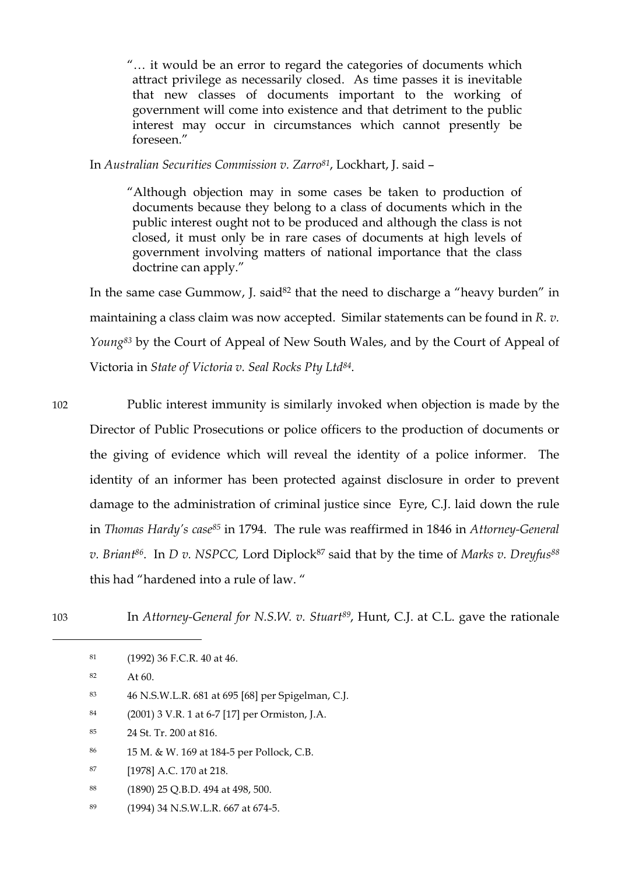"… it would be an error to regard the categories of documents which attract privilege as necessarily closed. As time passes it is inevitable that new classes of documents important to the working of government will come into existence and that detriment to the public interest may occur in circumstances which cannot presently be foreseen."

In *Australian Securities Commission v. Zarro81*, Lockhart, J. said –

"Although objection may in some cases be taken to production of documents because they belong to a class of documents which in the public interest ought not to be produced and although the class is not closed, it must only be in rare cases of documents at high levels of government involving matters of national importance that the class doctrine can apply."

In the same case Gummow, J. said<sup>82</sup> that the need to discharge a "heavy burden" in maintaining a class claim was now accepted. Similar statements can be found in *R. v. Young83* by the Court of Appeal of New South Wales, and by the Court of Appeal of Victoria in *State of Victoria v. Seal Rocks Pty Ltd84*.

102 Public interest immunity is similarly invoked when objection is made by the Director of Public Prosecutions or police officers to the production of documents or the giving of evidence which will reveal the identity of a police informer. The identity of an informer has been protected against disclosure in order to prevent damage to the administration of criminal justice since Eyre, C.J. laid down the rule in *Thomas Hardy's case85* in 1794. The rule was reaffirmed in 1846 in *Attorney-General v. Briant<sup>86</sup>.* In *D v. NSPCC*, Lord Diplock<sup>87</sup> said that by the time of *Marks v. Dreyfus*<sup>88</sup> this had "hardened into a rule of law. "

 $\overline{a}$ 

103 In *Attorney-General for N.S.W. v. Stuart89*, Hunt, C.J. at C.L. gave the rationale

- <sup>85</sup> 24 St. Tr. 200 at 816.
- <sup>86</sup> 15 M. & W. 169 at 184-5 per Pollock, C.B.
- <sup>87</sup> [1978] A.C. 170 at 218.
- <sup>88</sup> (1890) 25 Q.B.D. 494 at 498, 500.
- <sup>89</sup> (1994) 34 N.S.W.L.R. 667 at 674-5.

<sup>81</sup> (1992) 36 F.C.R. 40 at 46.

<sup>82</sup> At 60.

<sup>83</sup> 46 N.S.W.L.R. 681 at 695 [68] per Spigelman, C.J.

<sup>84</sup> (2001) 3 V.R. 1 at 6-7 [17] per Ormiston, J.A.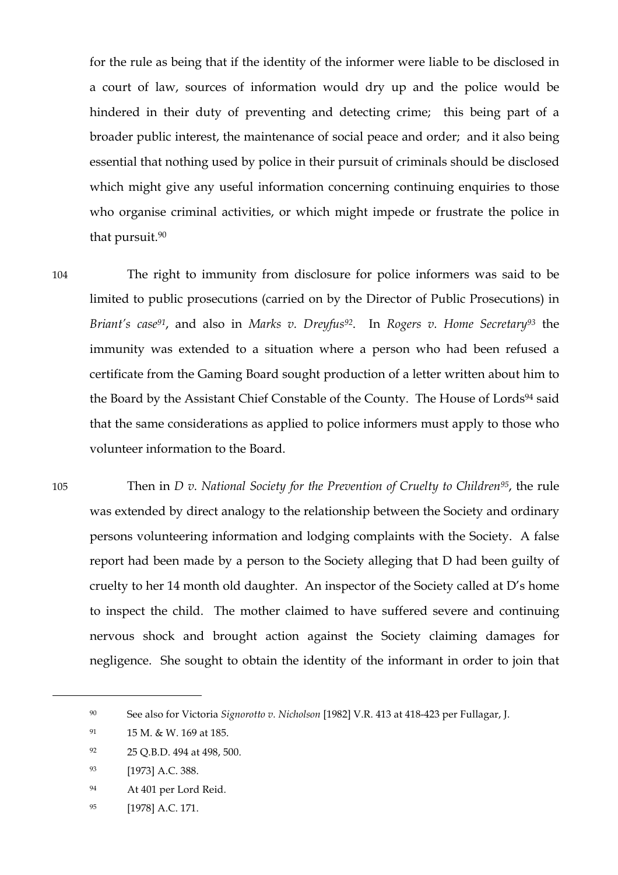for the rule as being that if the identity of the informer were liable to be disclosed in a court of law, sources of information would dry up and the police would be hindered in their duty of preventing and detecting crime; this being part of a broader public interest, the maintenance of social peace and order; and it also being essential that nothing used by police in their pursuit of criminals should be disclosed which might give any useful information concerning continuing enquiries to those who organise criminal activities, or which might impede or frustrate the police in that pursuit.90

104 The right to immunity from disclosure for police informers was said to be limited to public prosecutions (carried on by the Director of Public Prosecutions) in *Briant's case91*, and also in *Marks v. Dreyfus92*. In *Rogers v. Home Secretary93* the immunity was extended to a situation where a person who had been refused a certificate from the Gaming Board sought production of a letter written about him to the Board by the Assistant Chief Constable of the County. The House of Lords<sup>94</sup> said that the same considerations as applied to police informers must apply to those who volunteer information to the Board.

105 Then in *D v. National Society for the Prevention of Cruelty to Children95*, the rule was extended by direct analogy to the relationship between the Society and ordinary persons volunteering information and lodging complaints with the Society. A false report had been made by a person to the Society alleging that D had been guilty of cruelty to her 14 month old daughter. An inspector of the Society called at D's home to inspect the child. The mother claimed to have suffered severe and continuing nervous shock and brought action against the Society claiming damages for negligence. She sought to obtain the identity of the informant in order to join that

<sup>90</sup> See also for Victoria *Signorotto v. Nicholson* [1982] V.R. 413 at 418-423 per Fullagar, J.

<sup>91 15</sup> M. & W. 169 at 185.

<sup>92</sup> 25 Q.B.D. 494 at 498, 500.

<sup>93 [1973]</sup> A.C. 388.

<sup>94</sup> At 401 per Lord Reid.

<sup>95</sup> [1978] A.C. 171.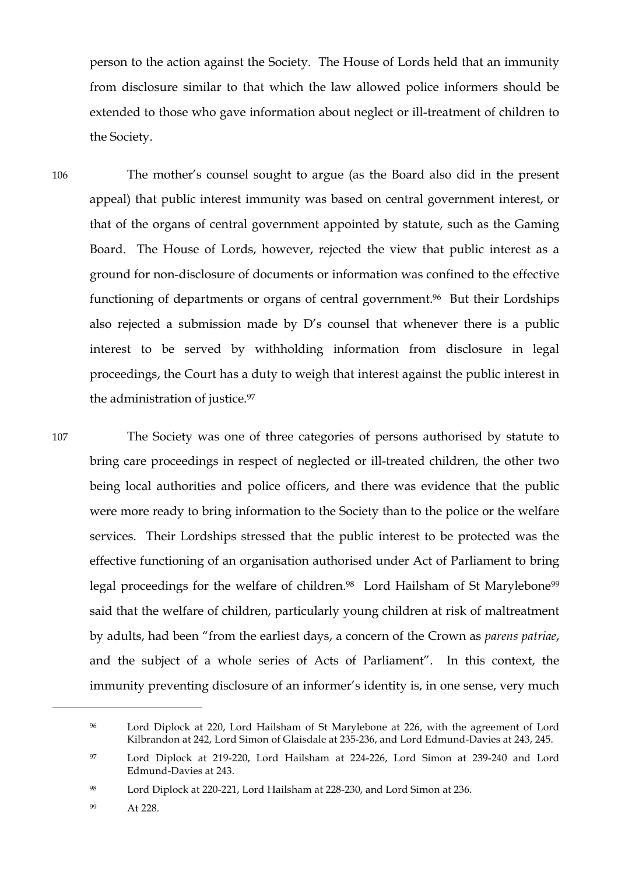person to the action against the Society. The House of Lords held that an immunity from disclosure similar to that which the law allowed police informers should be extended to those who gave information about neglect or ill-treatment of children to the Society.

106 The mother's counsel sought to argue (as the Board also did in the present appeal) that public interest immunity was based on central government interest, or that of the organs of central government appointed by statute, such as the Gaming Board. The House of Lords, however, rejected the view that public interest as a ground for non-disclosure of documents or information was confined to the effective functioning of departments or organs of central government.<sup>96</sup> But their Lordships also rejected a submission made by D's counsel that whenever there is a public interest to be served by withholding information from disclosure in legal proceedings, the Court has a duty to weigh that interest against the public interest in the administration of justice.<sup>97</sup>

107 The Society was one of three categories of persons authorised by statute to bring care proceedings in respect of neglected or ill-treated children, the other two being local authorities and police officers, and there was evidence that the public were more ready to bring information to the Society than to the police or the welfare services. Their Lordships stressed that the public interest to be protected was the effective functioning of an organisation authorised under Act of Parliament to bring legal proceedings for the welfare of children.<sup>98</sup> Lord Hailsham of St Marylebone<sup>99</sup> said that the welfare of children, particularly young children at risk of maltreatment by adults, had been "from the earliest days, a concern of the Crown as *parens patriae*, and the subject of a whole series of Acts of Parliament". In this context, the immunity preventing disclosure of an informer's identity is, in one sense, very much

<sup>96</sup> Lord Diplock at 220, Lord Hailsham of St Marylebone at 226, with the agreement of Lord Kilbrandon at 242, Lord Simon of Glaisdale at 235-236, and Lord Edmund-Davies at 243, 245.

<sup>97</sup> Lord Diplock at 219-220, Lord Hailsham at 224-226, Lord Simon at 239-240 and Lord Edmund-Davies at 243.

<sup>98</sup> Lord Diplock at 220-221, Lord Hailsham at 228-230, and Lord Simon at 236.

<sup>99</sup> At 228.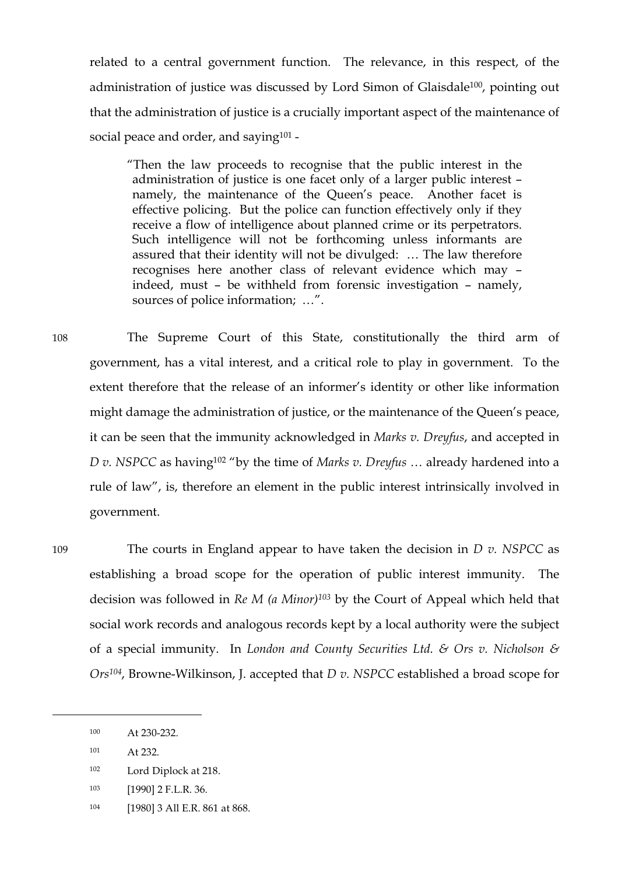related to a central government function. The relevance, in this respect, of the administration of justice was discussed by Lord Simon of Glaisdale100, pointing out that the administration of justice is a crucially important aspect of the maintenance of social peace and order, and saying<sup>101</sup> -

"Then the law proceeds to recognise that the public interest in the administration of justice is one facet only of a larger public interest – namely, the maintenance of the Queen's peace. Another facet is effective policing. But the police can function effectively only if they receive a flow of intelligence about planned crime or its perpetrators. Such intelligence will not be forthcoming unless informants are assured that their identity will not be divulged: … The law therefore recognises here another class of relevant evidence which may – indeed, must – be withheld from forensic investigation – namely, sources of police information; …".

108 The Supreme Court of this State, constitutionally the third arm of government, has a vital interest, and a critical role to play in government. To the extent therefore that the release of an informer's identity or other like information might damage the administration of justice, or the maintenance of the Queen's peace, it can be seen that the immunity acknowledged in *Marks v. Dreyfus*, and accepted in *D v*. *NSPCC* as having<sup>102</sup> "by the time of *Marks v. Dreyfus* ... already hardened into a rule of law", is, therefore an element in the public interest intrinsically involved in government.

109 The courts in England appear to have taken the decision in *D v. NSPCC* as establishing a broad scope for the operation of public interest immunity. The decision was followed in *Re M (a Minor)103* by the Court of Appeal which held that social work records and analogous records kept by a local authority were the subject of a special immunity. In *London and County Securities Ltd. & Ors v. Nicholson & Ors104*, Browne-Wilkinson, J. accepted that *D v. NSPCC* established a broad scope for

<sup>100</sup> At 230-232.

<sup>101</sup> At 232.

<sup>102</sup> Lord Diplock at 218.

<sup>103 [1990] 2</sup> F.L.R. 36.

<sup>104</sup> [1980] 3 All E.R. 861 at 868.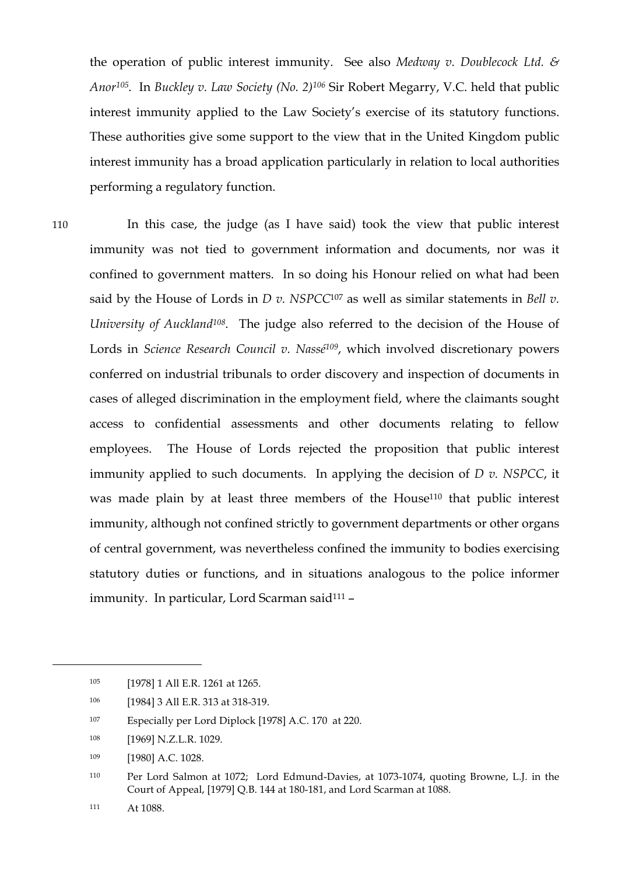the operation of public interest immunity. See also *Medway v. Doublecock Ltd. & Anor105*. In *Buckley v. Law Society (No. 2)106* Sir Robert Megarry, V.C. held that public interest immunity applied to the Law Society's exercise of its statutory functions. These authorities give some support to the view that in the United Kingdom public interest immunity has a broad application particularly in relation to local authorities performing a regulatory function.

110 In this case, the judge (as I have said) took the view that public interest immunity was not tied to government information and documents, nor was it confined to government matters. In so doing his Honour relied on what had been said by the House of Lords in *D v. NSPCC*<sup>107</sup> as well as similar statements in *Bell v. University of Auckland108*. The judge also referred to the decision of the House of Lords in *Science Research Council v. Nassé109*, which involved discretionary powers conferred on industrial tribunals to order discovery and inspection of documents in cases of alleged discrimination in the employment field, where the claimants sought access to confidential assessments and other documents relating to fellow employees. The House of Lords rejected the proposition that public interest immunity applied to such documents. In applying the decision of *D v. NSPCC*, it was made plain by at least three members of the House<sup>110</sup> that public interest immunity, although not confined strictly to government departments or other organs of central government, was nevertheless confined the immunity to bodies exercising statutory duties or functions, and in situations analogous to the police informer immunity. In particular, Lord Scarman said<sup>111</sup> -

109 [1980] A.C. 1028.

<sup>105 [1978] 1</sup> All E.R. 1261 at 1265.

<sup>106</sup> [1984] 3 All E.R. 313 at 318-319.

<sup>107</sup> Especially per Lord Diplock [1978] A.C. 170 at 220.

<sup>108 [1969]</sup> N.Z.L.R. 1029.

<sup>110</sup> Per Lord Salmon at 1072; Lord Edmund-Davies, at 1073-1074, quoting Browne, L.J. in the Court of Appeal, [1979] Q.B. 144 at 180-181, and Lord Scarman at 1088.

<sup>111</sup> At 1088.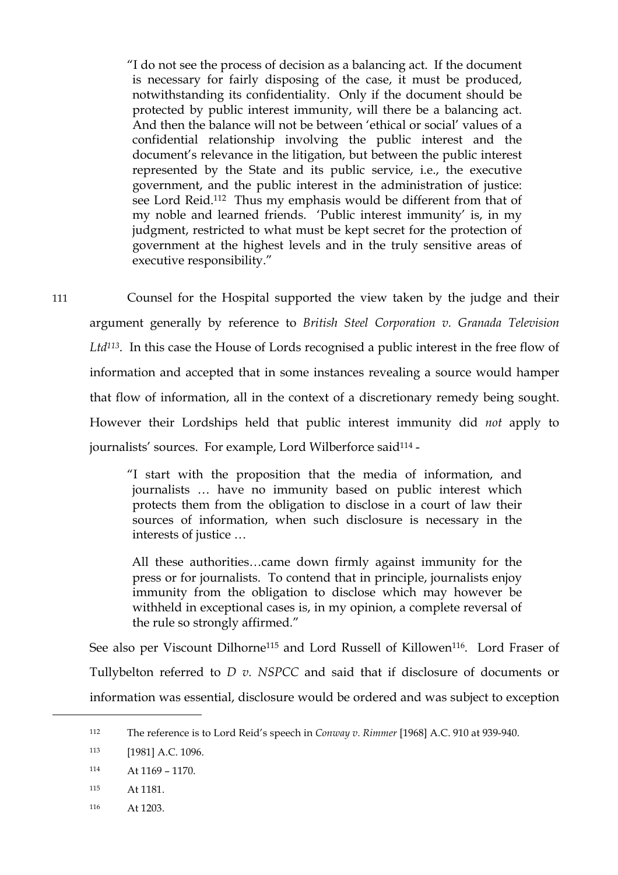"I do not see the process of decision as a balancing act. If the document is necessary for fairly disposing of the case, it must be produced, notwithstanding its confidentiality. Only if the document should be protected by public interest immunity, will there be a balancing act. And then the balance will not be between 'ethical or social' values of a confidential relationship involving the public interest and the document's relevance in the litigation, but between the public interest represented by the State and its public service, i.e., the executive government, and the public interest in the administration of justice: see Lord Reid.112 Thus my emphasis would be different from that of my noble and learned friends. 'Public interest immunity' is, in my judgment, restricted to what must be kept secret for the protection of government at the highest levels and in the truly sensitive areas of executive responsibility."

111 Counsel for the Hospital supported the view taken by the judge and their argument generally by reference to *British Steel Corporation v. Granada Television Ltd113*. In this case the House of Lords recognised a public interest in the free flow of information and accepted that in some instances revealing a source would hamper that flow of information, all in the context of a discretionary remedy being sought. However their Lordships held that public interest immunity did *not* apply to journalists' sources. For example, Lord Wilberforce said<sup>114</sup> -

> "I start with the proposition that the media of information, and journalists … have no immunity based on public interest which protects them from the obligation to disclose in a court of law their sources of information, when such disclosure is necessary in the interests of justice …

All these authorities…came down firmly against immunity for the press or for journalists. To contend that in principle, journalists enjoy immunity from the obligation to disclose which may however be withheld in exceptional cases is, in my opinion, a complete reversal of the rule so strongly affirmed."

See also per Viscount Dilhorne<sup>115</sup> and Lord Russell of Killowen<sup>116</sup>. Lord Fraser of Tullybelton referred to *D v. NSPCC* and said that if disclosure of documents or information was essential, disclosure would be ordered and was subject to exception

<sup>112</sup> The reference is to Lord Reid's speech in *Conway v. Rimmer* [1968] A.C. 910 at 939-940.

<sup>113 [1981]</sup> A.C. 1096.

<sup>114</sup> At 1169 – 1170.

<sup>115</sup> At 1181.

<sup>116</sup> At 1203.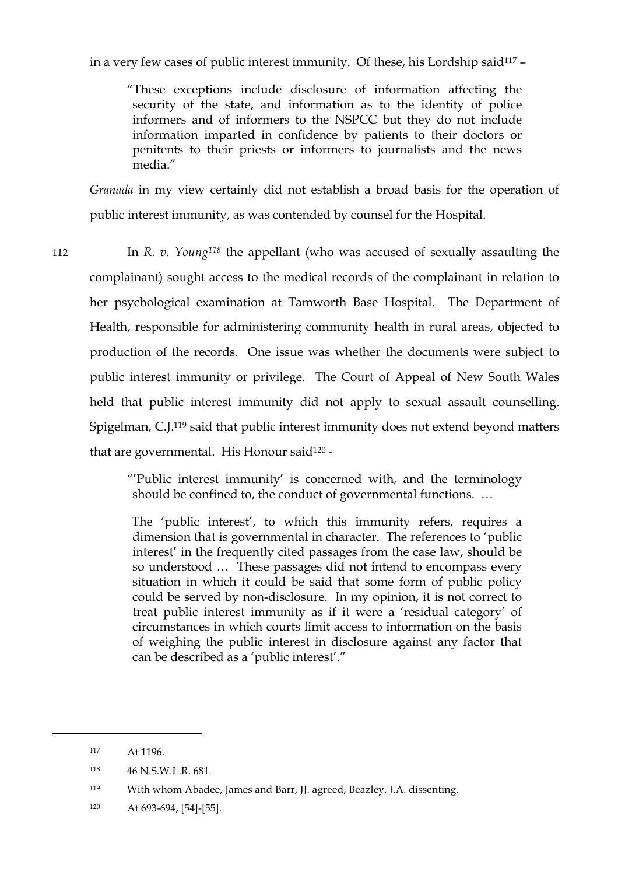in a very few cases of public interest immunity. Of these, his Lordship said $117$  –

"These exceptions include disclosure of information affecting the security of the state, and information as to the identity of police informers and of informers to the NSPCC but they do not include information imparted in confidence by patients to their doctors or penitents to their priests or informers to journalists and the news media."

*Granada* in my view certainly did not establish a broad basis for the operation of public interest immunity, as was contended by counsel for the Hospital.

112 In *R. v. Young118* the appellant (who was accused of sexually assaulting the complainant) sought access to the medical records of the complainant in relation to her psychological examination at Tamworth Base Hospital. The Department of Health, responsible for administering community health in rural areas, objected to production of the records. One issue was whether the documents were subject to public interest immunity or privilege. The Court of Appeal of New South Wales held that public interest immunity did not apply to sexual assault counselling. Spigelman, C.J.119 said that public interest immunity does not extend beyond matters that are governmental. His Honour said<sup>120</sup> -

> "'Public interest immunity' is concerned with, and the terminology should be confined to, the conduct of governmental functions. …

The 'public interest', to which this immunity refers, requires a dimension that is governmental in character. The references to 'public interest' in the frequently cited passages from the case law, should be so understood … These passages did not intend to encompass every situation in which it could be said that some form of public policy could be served by non-disclosure. In my opinion, it is not correct to treat public interest immunity as if it were a 'residual category' of circumstances in which courts limit access to information on the basis of weighing the public interest in disclosure against any factor that can be described as a 'public interest'."

<sup>117</sup> At 1196.

<sup>118</sup> 46 N.S.W.L.R. 681.

<sup>119</sup> With whom Abadee, James and Barr, JJ. agreed, Beazley, J.A. dissenting.

<sup>120</sup> At 693-694, [54]-[55].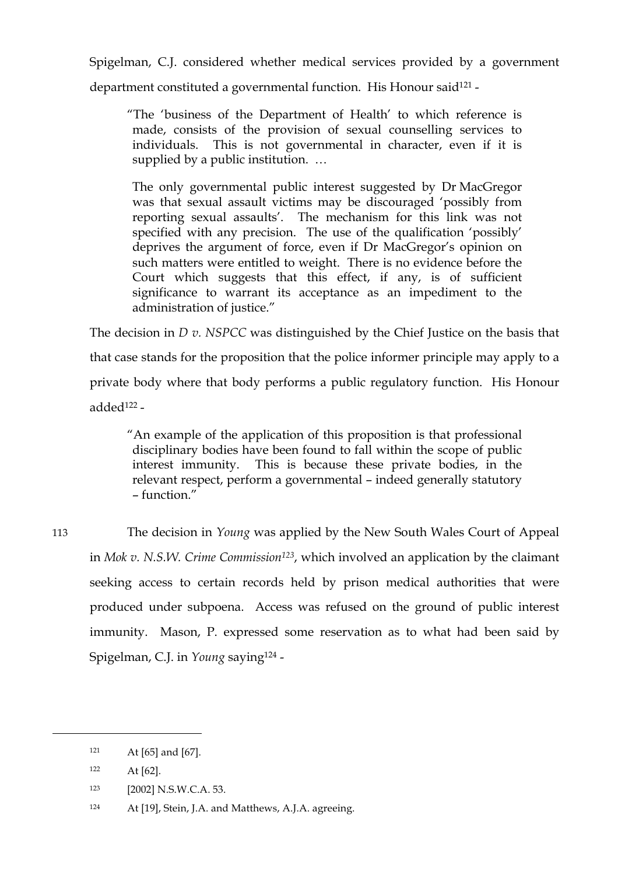Spigelman, C.J. considered whether medical services provided by a government department constituted a governmental function. His Honour said<sup>121</sup> -

"The 'business of the Department of Health' to which reference is made, consists of the provision of sexual counselling services to individuals. This is not governmental in character, even if it is supplied by a public institution. …

The only governmental public interest suggested by Dr MacGregor was that sexual assault victims may be discouraged 'possibly from reporting sexual assaults'. The mechanism for this link was not specified with any precision. The use of the qualification 'possibly' deprives the argument of force, even if Dr MacGregor's opinion on such matters were entitled to weight. There is no evidence before the Court which suggests that this effect, if any, is of sufficient significance to warrant its acceptance as an impediment to the administration of justice."

The decision in *D v. NSPCC* was distinguished by the Chief Justice on the basis that that case stands for the proposition that the police informer principle may apply to a private body where that body performs a public regulatory function. His Honour added122 -

"An example of the application of this proposition is that professional disciplinary bodies have been found to fall within the scope of public interest immunity. This is because these private bodies, in the relevant respect, perform a governmental – indeed generally statutory – function."

113 The decision in *Young* was applied by the New South Wales Court of Appeal in *Mok v. N.S.W. Crime Commission123*, which involved an application by the claimant seeking access to certain records held by prison medical authorities that were produced under subpoena. Access was refused on the ground of public interest immunity. Mason, P. expressed some reservation as to what had been said by Spigelman, C.J. in *Young* saying124 -

<sup>121</sup> At [65] and [67].

<sup>122</sup> At [62].

<sup>123 [2002]</sup> N.S.W.C.A. 53.

<sup>124</sup> At [19], Stein, J.A. and Matthews, A.J.A. agreeing.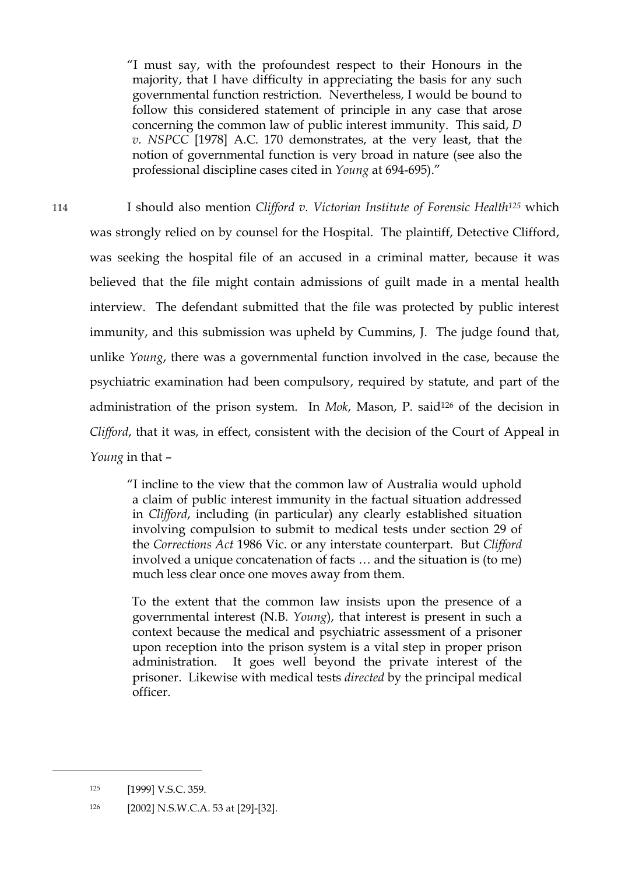"I must say, with the profoundest respect to their Honours in the majority, that I have difficulty in appreciating the basis for any such governmental function restriction. Nevertheless, I would be bound to follow this considered statement of principle in any case that arose concerning the common law of public interest immunity. This said, *D v. NSPCC* [1978] A.C. 170 demonstrates, at the very least, that the notion of governmental function is very broad in nature (see also the professional discipline cases cited in *Young* at 694-695)."

114 I should also mention *Clifford v. Victorian Institute of Forensic Health125* which was strongly relied on by counsel for the Hospital. The plaintiff, Detective Clifford, was seeking the hospital file of an accused in a criminal matter, because it was believed that the file might contain admissions of guilt made in a mental health interview. The defendant submitted that the file was protected by public interest immunity, and this submission was upheld by Cummins, J. The judge found that, unlike *Young*, there was a governmental function involved in the case, because the psychiatric examination had been compulsory, required by statute, and part of the administration of the prison system. In *Mok*, Mason, P. said126 of the decision in *Clifford*, that it was, in effect, consistent with the decision of the Court of Appeal in *Young* in that –

> "I incline to the view that the common law of Australia would uphold a claim of public interest immunity in the factual situation addressed in *Clifford*, including (in particular) any clearly established situation involving compulsion to submit to medical tests under section 29 of the *Corrections Act* 1986 Vic. or any interstate counterpart. But *Clifford* involved a unique concatenation of facts … and the situation is (to me) much less clear once one moves away from them.

To the extent that the common law insists upon the presence of a governmental interest (N.B. *Young*), that interest is present in such a context because the medical and psychiatric assessment of a prisoner upon reception into the prison system is a vital step in proper prison administration. It goes well beyond the private interest of the prisoner. Likewise with medical tests *directed* by the principal medical officer.

<sup>125 [1999]</sup> V.S.C. 359.

<sup>126</sup> [2002] N.S.W.C.A. 53 at [29]-[32].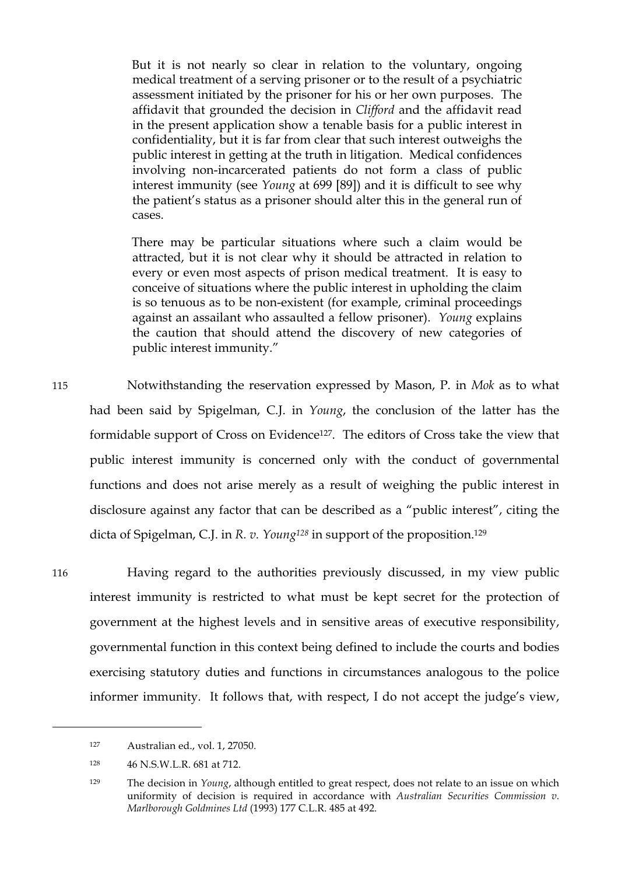But it is not nearly so clear in relation to the voluntary, ongoing medical treatment of a serving prisoner or to the result of a psychiatric assessment initiated by the prisoner for his or her own purposes. The affidavit that grounded the decision in *Clifford* and the affidavit read in the present application show a tenable basis for a public interest in confidentiality, but it is far from clear that such interest outweighs the public interest in getting at the truth in litigation. Medical confidences involving non-incarcerated patients do not form a class of public interest immunity (see *Young* at 699 [89]) and it is difficult to see why the patient's status as a prisoner should alter this in the general run of cases.

There may be particular situations where such a claim would be attracted, but it is not clear why it should be attracted in relation to every or even most aspects of prison medical treatment. It is easy to conceive of situations where the public interest in upholding the claim is so tenuous as to be non-existent (for example, criminal proceedings against an assailant who assaulted a fellow prisoner). *Young* explains the caution that should attend the discovery of new categories of public interest immunity."

115 Notwithstanding the reservation expressed by Mason, P. in *Mok* as to what had been said by Spigelman, C.J. in *Young*, the conclusion of the latter has the formidable support of Cross on Evidence127. The editors of Cross take the view that public interest immunity is concerned only with the conduct of governmental functions and does not arise merely as a result of weighing the public interest in disclosure against any factor that can be described as a "public interest", citing the dicta of Spigelman, C.J. in *R. v. Young*<sup>128</sup> in support of the proposition.<sup>129</sup>

116 Having regard to the authorities previously discussed, in my view public interest immunity is restricted to what must be kept secret for the protection of government at the highest levels and in sensitive areas of executive responsibility, governmental function in this context being defined to include the courts and bodies exercising statutory duties and functions in circumstances analogous to the police informer immunity. It follows that, with respect, I do not accept the judge's view,

<sup>127</sup> Australian ed., vol. 1, 27050.

<sup>128</sup> 46 N.S.W.L.R. 681 at 712.

<sup>129</sup> The decision in *Young*, although entitled to great respect, does not relate to an issue on which uniformity of decision is required in accordance with *Australian Securities Commission v. Marlborough Goldmines Ltd* (1993) 177 C.L.R. 485 at 492.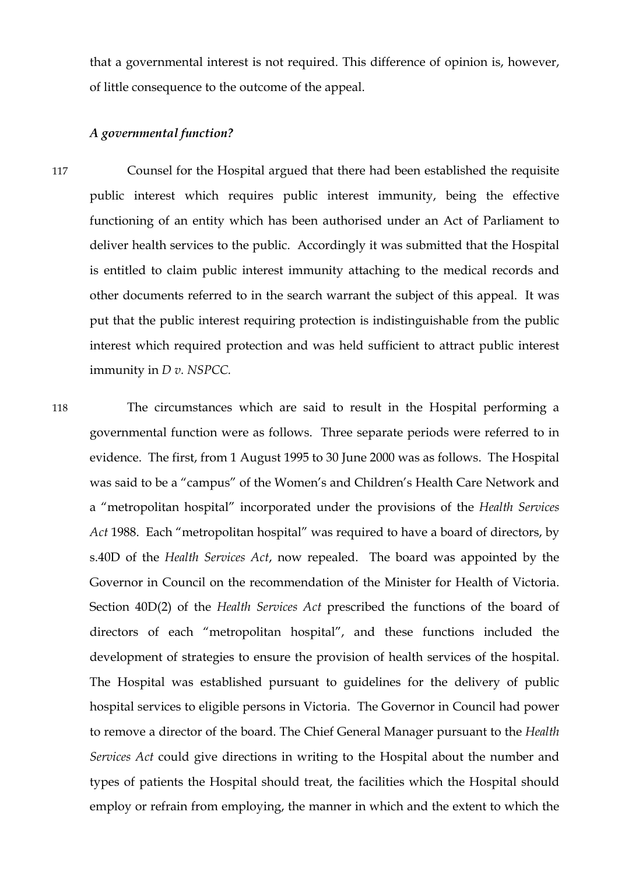that a governmental interest is not required. This difference of opinion is, however, of little consequence to the outcome of the appeal.

## *A governmental function?*

117 Counsel for the Hospital argued that there had been established the requisite public interest which requires public interest immunity, being the effective functioning of an entity which has been authorised under an Act of Parliament to deliver health services to the public. Accordingly it was submitted that the Hospital is entitled to claim public interest immunity attaching to the medical records and other documents referred to in the search warrant the subject of this appeal. It was put that the public interest requiring protection is indistinguishable from the public interest which required protection and was held sufficient to attract public interest immunity in *D v. NSPCC.* 

118 The circumstances which are said to result in the Hospital performing a governmental function were as follows. Three separate periods were referred to in evidence. The first, from 1 August 1995 to 30 June 2000 was as follows. The Hospital was said to be a "campus" of the Women's and Children's Health Care Network and a "metropolitan hospital" incorporated under the provisions of the *Health Services Act* 1988. Each "metropolitan hospital" was required to have a board of directors, by s.40D of the *Health Services Act*, now repealed. The board was appointed by the Governor in Council on the recommendation of the Minister for Health of Victoria. Section 40D(2) of the *Health Services Act* prescribed the functions of the board of directors of each "metropolitan hospital", and these functions included the development of strategies to ensure the provision of health services of the hospital. The Hospital was established pursuant to guidelines for the delivery of public hospital services to eligible persons in Victoria. The Governor in Council had power to remove a director of the board. The Chief General Manager pursuant to the *Health Services Act* could give directions in writing to the Hospital about the number and types of patients the Hospital should treat, the facilities which the Hospital should employ or refrain from employing, the manner in which and the extent to which the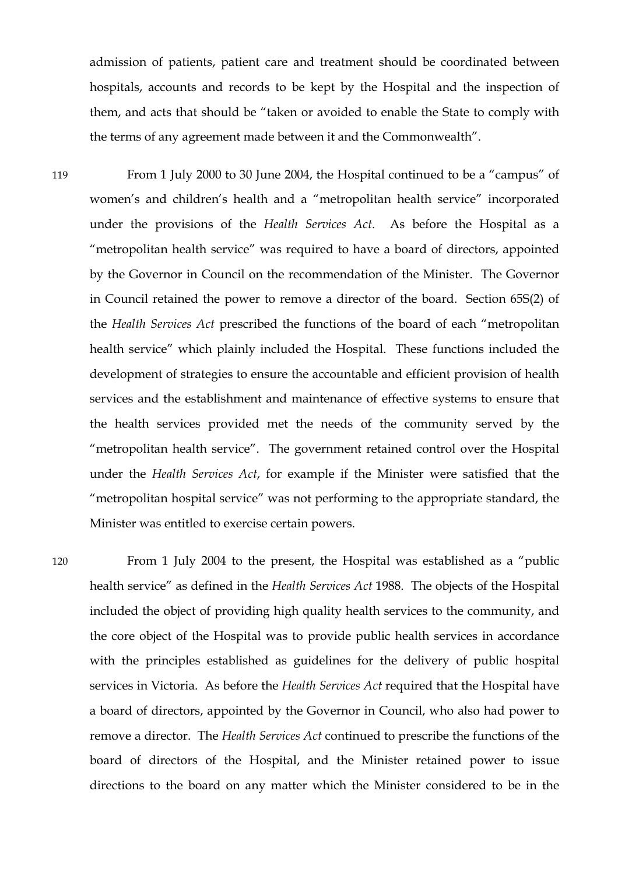admission of patients, patient care and treatment should be coordinated between hospitals, accounts and records to be kept by the Hospital and the inspection of them, and acts that should be "taken or avoided to enable the State to comply with the terms of any agreement made between it and the Commonwealth".

119 From 1 July 2000 to 30 June 2004, the Hospital continued to be a "campus" of women's and children's health and a "metropolitan health service" incorporated under the provisions of the *Health Services Act*. As before the Hospital as a "metropolitan health service" was required to have a board of directors, appointed by the Governor in Council on the recommendation of the Minister. The Governor in Council retained the power to remove a director of the board. Section 65S(2) of the *Health Services Act* prescribed the functions of the board of each "metropolitan health service" which plainly included the Hospital. These functions included the development of strategies to ensure the accountable and efficient provision of health services and the establishment and maintenance of effective systems to ensure that the health services provided met the needs of the community served by the "metropolitan health service". The government retained control over the Hospital under the *Health Services Act*, for example if the Minister were satisfied that the "metropolitan hospital service" was not performing to the appropriate standard, the Minister was entitled to exercise certain powers.

120 From 1 July 2004 to the present, the Hospital was established as a "public health service" as defined in the *Health Services Act* 1988. The objects of the Hospital included the object of providing high quality health services to the community, and the core object of the Hospital was to provide public health services in accordance with the principles established as guidelines for the delivery of public hospital services in Victoria. As before the *Health Services Act* required that the Hospital have a board of directors, appointed by the Governor in Council, who also had power to remove a director. The *Health Services Act* continued to prescribe the functions of the board of directors of the Hospital, and the Minister retained power to issue directions to the board on any matter which the Minister considered to be in the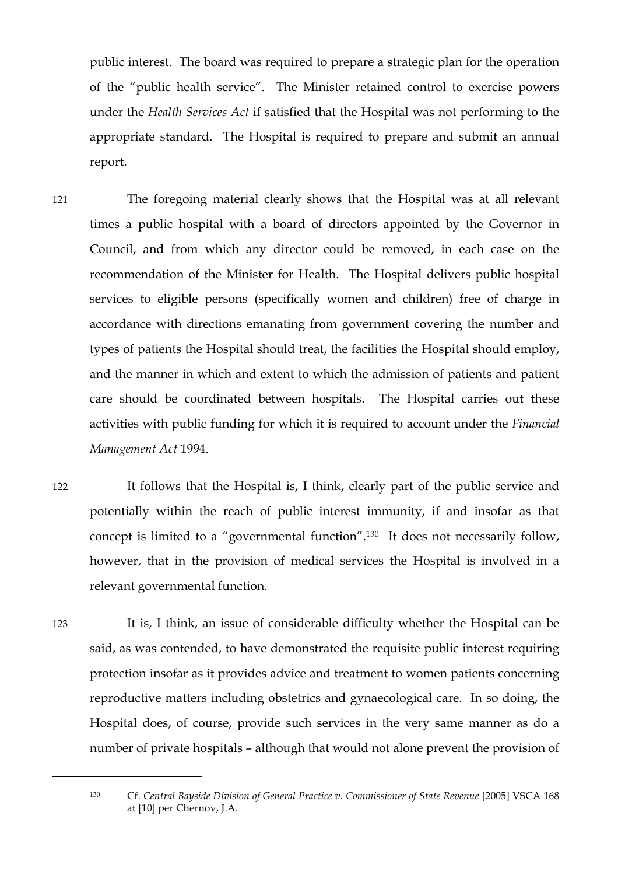public interest. The board was required to prepare a strategic plan for the operation of the "public health service". The Minister retained control to exercise powers under the *Health Services Act* if satisfied that the Hospital was not performing to the appropriate standard. The Hospital is required to prepare and submit an annual report.

121 The foregoing material clearly shows that the Hospital was at all relevant times a public hospital with a board of directors appointed by the Governor in Council, and from which any director could be removed, in each case on the recommendation of the Minister for Health. The Hospital delivers public hospital services to eligible persons (specifically women and children) free of charge in accordance with directions emanating from government covering the number and types of patients the Hospital should treat, the facilities the Hospital should employ, and the manner in which and extent to which the admission of patients and patient care should be coordinated between hospitals. The Hospital carries out these activities with public funding for which it is required to account under the *Financial Management Act* 1994.

122 It follows that the Hospital is, I think, clearly part of the public service and potentially within the reach of public interest immunity, if and insofar as that concept is limited to a "governmental function".130 It does not necessarily follow, however, that in the provision of medical services the Hospital is involved in a relevant governmental function.

123 It is, I think, an issue of considerable difficulty whether the Hospital can be said, as was contended, to have demonstrated the requisite public interest requiring protection insofar as it provides advice and treatment to women patients concerning reproductive matters including obstetrics and gynaecological care. In so doing, the Hospital does, of course, provide such services in the very same manner as do a number of private hospitals – although that would not alone prevent the provision of

<sup>130</sup> Cf. *Central Bayside Division of General Practice v. Commissioner of State Revenue* [2005] VSCA 168 at [10] per Chernov, J.A.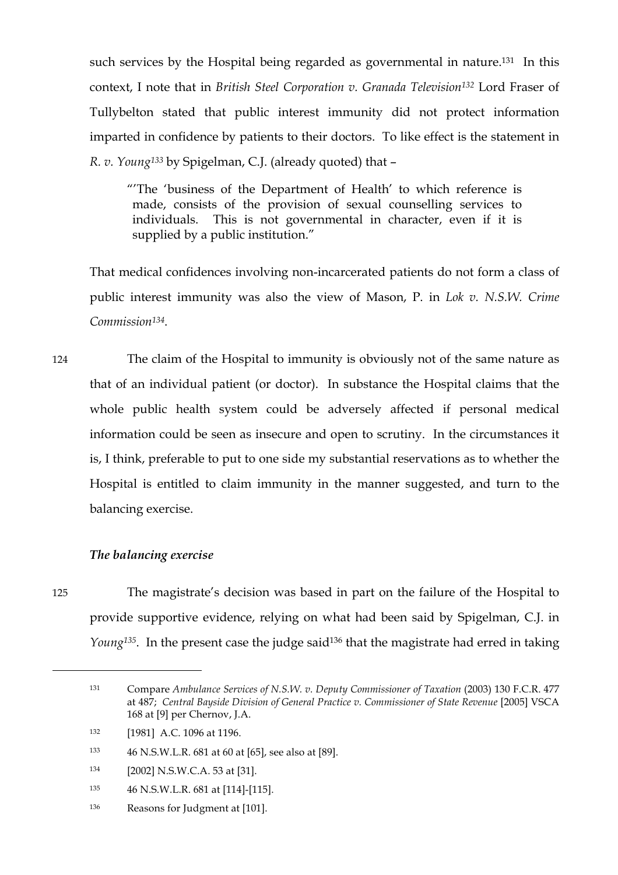such services by the Hospital being regarded as governmental in nature.<sup>131</sup> In this context, I note that in *British Steel Corporation v. Granada Television132* Lord Fraser of Tullybelton stated that public interest immunity did not protect information imparted in confidence by patients to their doctors. To like effect is the statement in *R. v. Young133* by Spigelman, C.J. (already quoted) that –

"'The 'business of the Department of Health' to which reference is made, consists of the provision of sexual counselling services to individuals. This is not governmental in character, even if it is supplied by a public institution."

That medical confidences involving non-incarcerated patients do not form a class of public interest immunity was also the view of Mason, P. in *Lok v. N.S.W. Crime Commission134*.

124 The claim of the Hospital to immunity is obviously not of the same nature as that of an individual patient (or doctor). In substance the Hospital claims that the whole public health system could be adversely affected if personal medical information could be seen as insecure and open to scrutiny. In the circumstances it is, I think, preferable to put to one side my substantial reservations as to whether the Hospital is entitled to claim immunity in the manner suggested, and turn to the balancing exercise.

## *The balancing exercise*

 $\overline{a}$ 

125 The magistrate's decision was based in part on the failure of the Hospital to provide supportive evidence, relying on what had been said by Spigelman, C.J. in *Young*<sup>135</sup>. In the present case the judge said<sup>136</sup> that the magistrate had erred in taking

- <sup>133</sup> 46 N.S.W.L.R. 681 at 60 at [65], see also at [89].
- <sup>134</sup> [2002] N.S.W.C.A. 53 at [31].
- <sup>135</sup> 46 N.S.W.L.R. 681 at [114]-[115].
- <sup>136</sup> Reasons for Judgment at [101].

<sup>131</sup> Compare *Ambulance Services of N.S.W. v. Deputy Commissioner of Taxation* (2003) 130 F.C.R. 477 at 487; *Central Bayside Division of General Practice v. Commissioner of State Revenue* [2005] VSCA 168 at [9] per Chernov, J.A.

<sup>132 [1981]</sup> A.C. 1096 at 1196.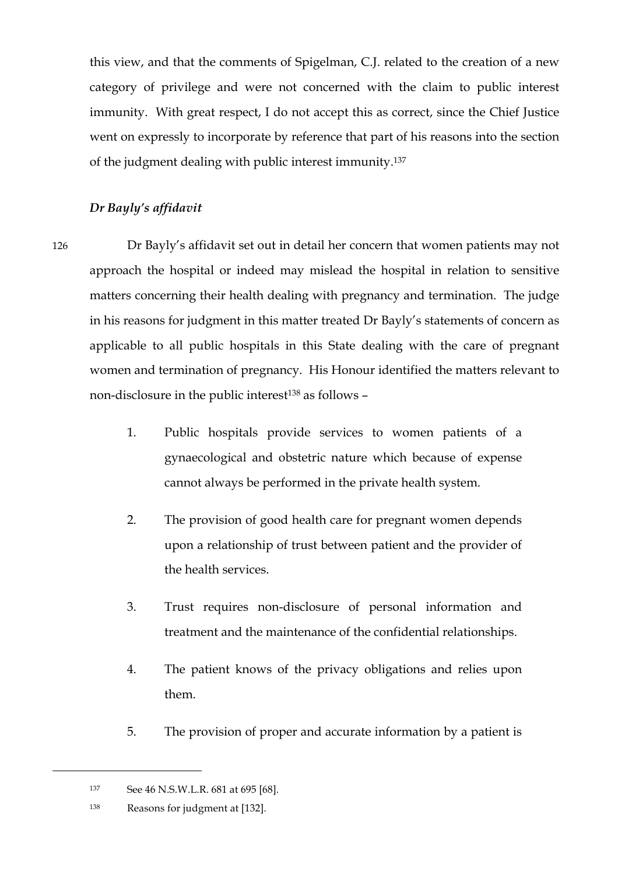this view, and that the comments of Spigelman, C.J. related to the creation of a new category of privilege and were not concerned with the claim to public interest immunity. With great respect, I do not accept this as correct, since the Chief Justice went on expressly to incorporate by reference that part of his reasons into the section of the judgment dealing with public interest immunity.137

## *Dr Bayly's affidavit*

126 Dr Bayly's affidavit set out in detail her concern that women patients may not approach the hospital or indeed may mislead the hospital in relation to sensitive matters concerning their health dealing with pregnancy and termination. The judge in his reasons for judgment in this matter treated Dr Bayly's statements of concern as applicable to all public hospitals in this State dealing with the care of pregnant women and termination of pregnancy. His Honour identified the matters relevant to non-disclosure in the public interest<sup>138</sup> as follows -

- 1. Public hospitals provide services to women patients of a gynaecological and obstetric nature which because of expense cannot always be performed in the private health system.
- 2. The provision of good health care for pregnant women depends upon a relationship of trust between patient and the provider of the health services.
- 3. Trust requires non-disclosure of personal information and treatment and the maintenance of the confidential relationships.
- 4. The patient knows of the privacy obligations and relies upon them.
- 5. The provision of proper and accurate information by a patient is

<sup>137</sup> See 46 N.S.W.L.R. 681 at 695 [68].

<sup>138</sup> Reasons for judgment at [132].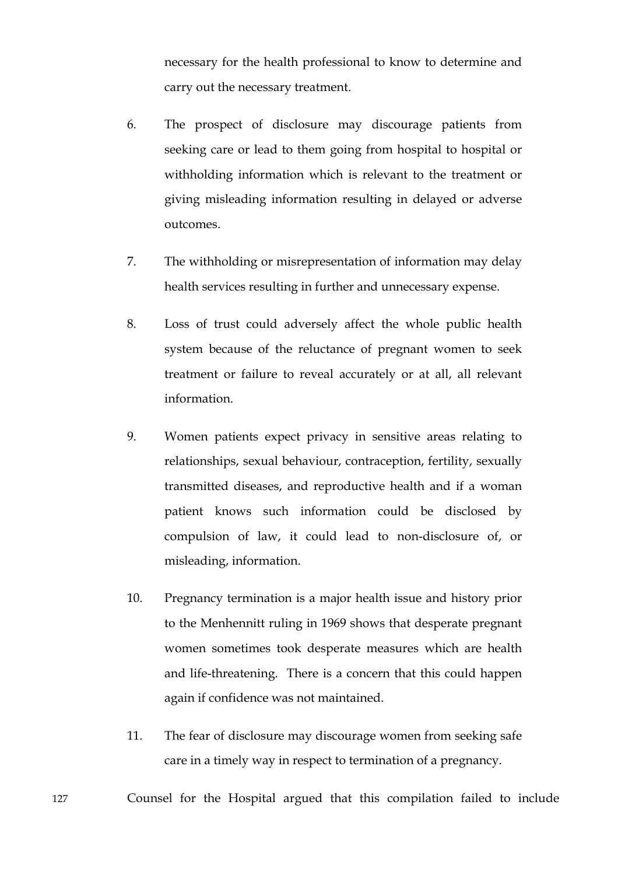necessary for the health professional to know to determine and carry out the necessary treatment.

- 6. The prospect of disclosure may discourage patients from seeking care or lead to them going from hospital to hospital or withholding information which is relevant to the treatment or giving misleading information resulting in delayed or adverse outcomes.
- 7. The withholding or misrepresentation of information may delay health services resulting in further and unnecessary expense.
- 8. Loss of trust could adversely affect the whole public health system because of the reluctance of pregnant women to seek treatment or failure to reveal accurately or at all, all relevant information.
- 9. Women patients expect privacy in sensitive areas relating to relationships, sexual behaviour, contraception, fertility, sexually transmitted diseases, and reproductive health and if a woman patient knows such information could be disclosed by compulsion of law, it could lead to non-disclosure of, or misleading, information.
- 10. Pregnancy termination is a major health issue and history prior to the Menhennitt ruling in 1969 shows that desperate pregnant women sometimes took desperate measures which are health and life-threatening. There is a concern that this could happen again if confidence was not maintained.
- 11. The fear of disclosure may discourage women from seeking safe care in a timely way in respect to termination of a pregnancy.
- 127 Counsel for the Hospital argued that this compilation failed to include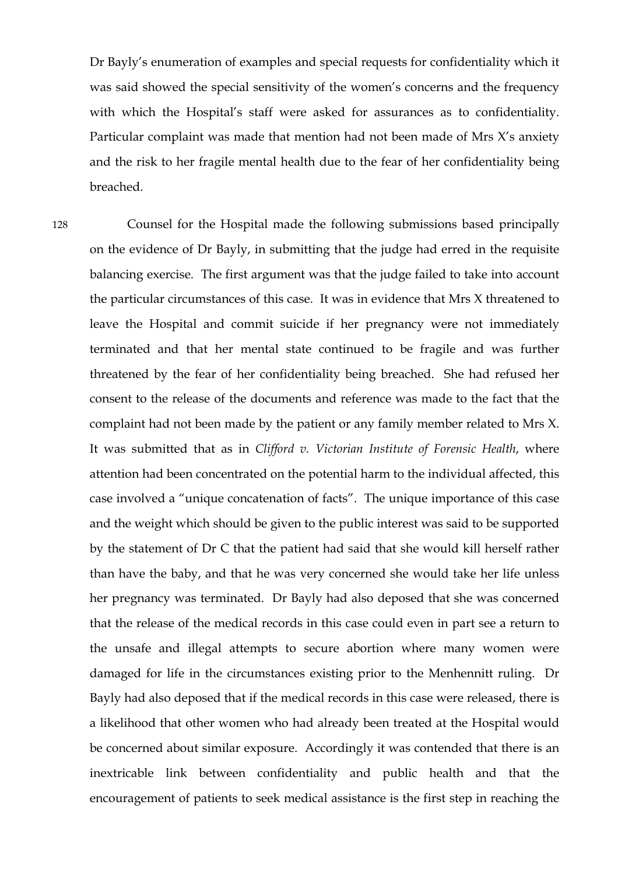Dr Bayly's enumeration of examples and special requests for confidentiality which it was said showed the special sensitivity of the women's concerns and the frequency with which the Hospital's staff were asked for assurances as to confidentiality. Particular complaint was made that mention had not been made of Mrs X's anxiety and the risk to her fragile mental health due to the fear of her confidentiality being breached.

128 Counsel for the Hospital made the following submissions based principally on the evidence of Dr Bayly, in submitting that the judge had erred in the requisite balancing exercise. The first argument was that the judge failed to take into account the particular circumstances of this case. It was in evidence that Mrs X threatened to leave the Hospital and commit suicide if her pregnancy were not immediately terminated and that her mental state continued to be fragile and was further threatened by the fear of her confidentiality being breached. She had refused her consent to the release of the documents and reference was made to the fact that the complaint had not been made by the patient or any family member related to Mrs X. It was submitted that as in *Clifford v. Victorian Institute of Forensic Health*, where attention had been concentrated on the potential harm to the individual affected, this case involved a "unique concatenation of facts". The unique importance of this case and the weight which should be given to the public interest was said to be supported by the statement of Dr C that the patient had said that she would kill herself rather than have the baby, and that he was very concerned she would take her life unless her pregnancy was terminated. Dr Bayly had also deposed that she was concerned that the release of the medical records in this case could even in part see a return to the unsafe and illegal attempts to secure abortion where many women were damaged for life in the circumstances existing prior to the Menhennitt ruling. Dr Bayly had also deposed that if the medical records in this case were released, there is a likelihood that other women who had already been treated at the Hospital would be concerned about similar exposure. Accordingly it was contended that there is an inextricable link between confidentiality and public health and that the encouragement of patients to seek medical assistance is the first step in reaching the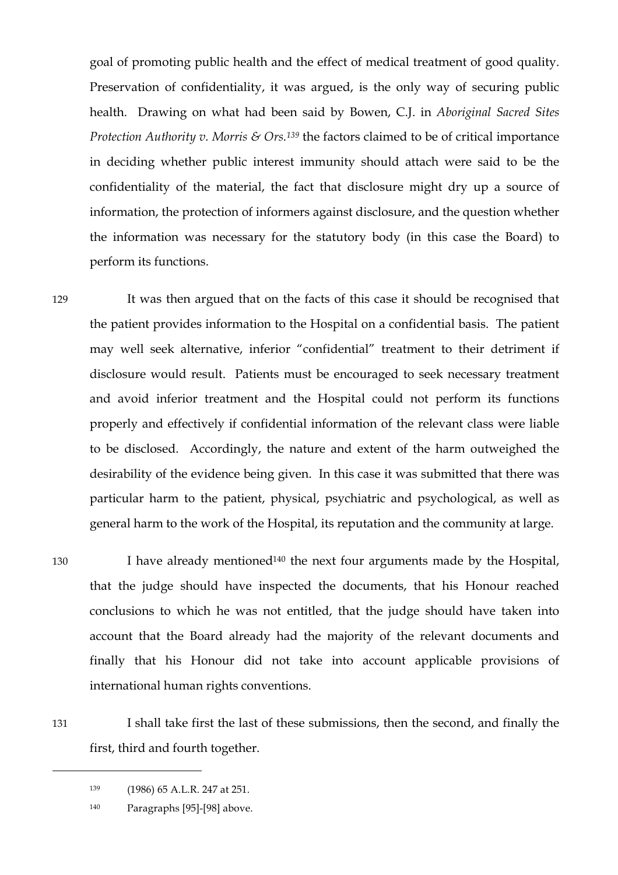goal of promoting public health and the effect of medical treatment of good quality. Preservation of confidentiality, it was argued, is the only way of securing public health. Drawing on what had been said by Bowen, C.J. in *Aboriginal Sacred Sites Protection Authority v. Morris & Ors.*<sup>139</sup> the factors claimed to be of critical importance in deciding whether public interest immunity should attach were said to be the confidentiality of the material, the fact that disclosure might dry up a source of information, the protection of informers against disclosure, and the question whether the information was necessary for the statutory body (in this case the Board) to perform its functions.

129 It was then argued that on the facts of this case it should be recognised that the patient provides information to the Hospital on a confidential basis. The patient may well seek alternative, inferior "confidential" treatment to their detriment if disclosure would result. Patients must be encouraged to seek necessary treatment and avoid inferior treatment and the Hospital could not perform its functions properly and effectively if confidential information of the relevant class were liable to be disclosed. Accordingly, the nature and extent of the harm outweighed the desirability of the evidence being given. In this case it was submitted that there was particular harm to the patient, physical, psychiatric and psychological, as well as general harm to the work of the Hospital, its reputation and the community at large.

130 I have already mentioned<sup>140</sup> the next four arguments made by the Hospital, that the judge should have inspected the documents, that his Honour reached conclusions to which he was not entitled, that the judge should have taken into account that the Board already had the majority of the relevant documents and finally that his Honour did not take into account applicable provisions of international human rights conventions.

 $\overline{a}$ 

131 I shall take first the last of these submissions, then the second, and finally the first, third and fourth together.

<sup>139</sup> (1986) 65 A.L.R. 247 at 251.

<sup>140</sup> Paragraphs [95]-[98] above.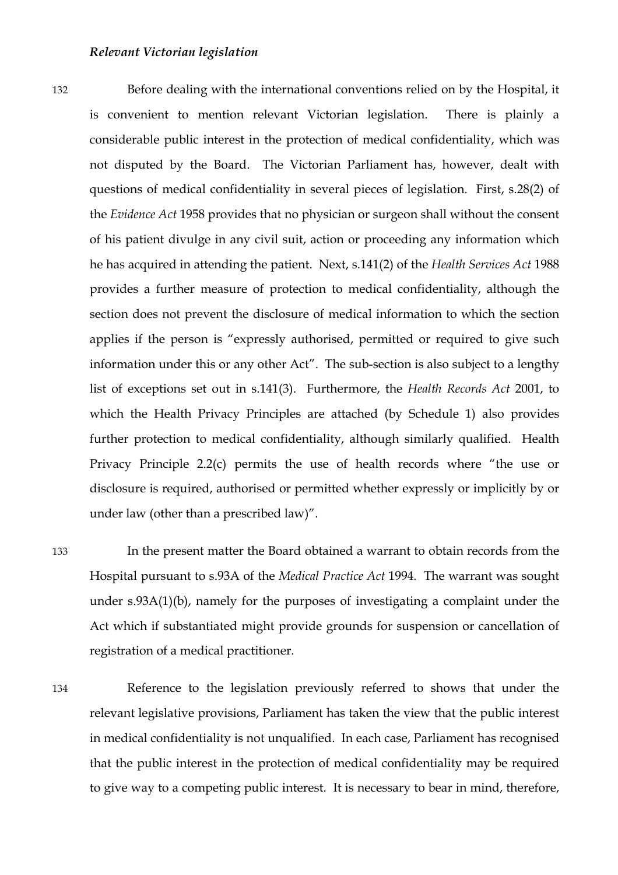132 Before dealing with the international conventions relied on by the Hospital, it is convenient to mention relevant Victorian legislation. There is plainly a considerable public interest in the protection of medical confidentiality, which was not disputed by the Board. The Victorian Parliament has, however, dealt with questions of medical confidentiality in several pieces of legislation. First, s.28(2) of the *Evidence Act* 1958 provides that no physician or surgeon shall without the consent of his patient divulge in any civil suit, action or proceeding any information which he has acquired in attending the patient. Next, s.141(2) of the *Health Services Act* 1988 provides a further measure of protection to medical confidentiality, although the section does not prevent the disclosure of medical information to which the section applies if the person is "expressly authorised, permitted or required to give such information under this or any other Act". The sub-section is also subject to a lengthy list of exceptions set out in s.141(3). Furthermore, the *Health Records Act* 2001, to which the Health Privacy Principles are attached (by Schedule 1) also provides further protection to medical confidentiality, although similarly qualified. Health Privacy Principle 2.2(c) permits the use of health records where "the use or disclosure is required, authorised or permitted whether expressly or implicitly by or under law (other than a prescribed law)".

133 In the present matter the Board obtained a warrant to obtain records from the Hospital pursuant to s.93A of the *Medical Practice Act* 1994. The warrant was sought under s.93A(1)(b), namely for the purposes of investigating a complaint under the Act which if substantiated might provide grounds for suspension or cancellation of registration of a medical practitioner.

134 Reference to the legislation previously referred to shows that under the relevant legislative provisions, Parliament has taken the view that the public interest in medical confidentiality is not unqualified. In each case, Parliament has recognised that the public interest in the protection of medical confidentiality may be required to give way to a competing public interest. It is necessary to bear in mind, therefore,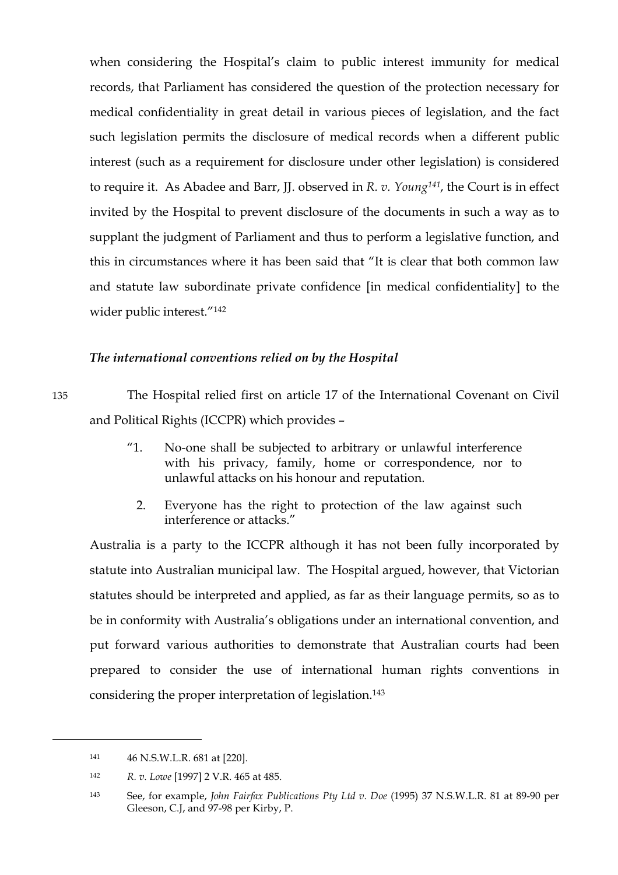when considering the Hospital's claim to public interest immunity for medical records, that Parliament has considered the question of the protection necessary for medical confidentiality in great detail in various pieces of legislation, and the fact such legislation permits the disclosure of medical records when a different public interest (such as a requirement for disclosure under other legislation) is considered to require it. As Abadee and Barr, JJ. observed in *R. v. Young141*, the Court is in effect invited by the Hospital to prevent disclosure of the documents in such a way as to supplant the judgment of Parliament and thus to perform a legislative function, and this in circumstances where it has been said that "It is clear that both common law and statute law subordinate private confidence [in medical confidentiality] to the wider public interest."142

## *The international conventions relied on by the Hospital*

135 The Hospital relied first on article 17 of the International Covenant on Civil and Political Rights (ICCPR) which provides –

- "1. No-one shall be subjected to arbitrary or unlawful interference with his privacy, family, home or correspondence, nor to unlawful attacks on his honour and reputation.
	- 2. Everyone has the right to protection of the law against such interference or attacks."

Australia is a party to the ICCPR although it has not been fully incorporated by statute into Australian municipal law. The Hospital argued, however, that Victorian statutes should be interpreted and applied, as far as their language permits, so as to be in conformity with Australia's obligations under an international convention, and put forward various authorities to demonstrate that Australian courts had been prepared to consider the use of international human rights conventions in considering the proper interpretation of legislation.143

<sup>141</sup> 46 N.S.W.L.R. 681 at [220].

<sup>142</sup> *R. v. Lowe* [1997] 2 V.R. 465 at 485.

<sup>143</sup> See, for example, *John Fairfax Publications Pty Ltd v. Doe* (1995) 37 N.S.W.L.R. 81 at 89-90 per Gleeson, C.J, and 97-98 per Kirby, P.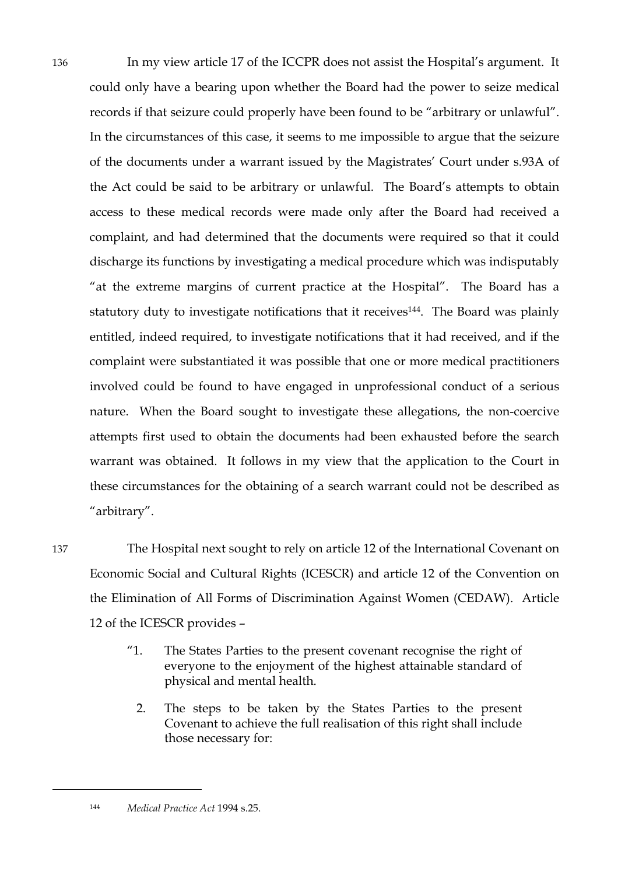136 In my view article 17 of the ICCPR does not assist the Hospital's argument. It could only have a bearing upon whether the Board had the power to seize medical records if that seizure could properly have been found to be "arbitrary or unlawful". In the circumstances of this case, it seems to me impossible to argue that the seizure of the documents under a warrant issued by the Magistrates' Court under s.93A of the Act could be said to be arbitrary or unlawful. The Board's attempts to obtain access to these medical records were made only after the Board had received a complaint, and had determined that the documents were required so that it could discharge its functions by investigating a medical procedure which was indisputably "at the extreme margins of current practice at the Hospital". The Board has a statutory duty to investigate notifications that it receives<sup>144</sup>. The Board was plainly entitled, indeed required, to investigate notifications that it had received, and if the complaint were substantiated it was possible that one or more medical practitioners involved could be found to have engaged in unprofessional conduct of a serious nature. When the Board sought to investigate these allegations, the non-coercive attempts first used to obtain the documents had been exhausted before the search warrant was obtained. It follows in my view that the application to the Court in these circumstances for the obtaining of a search warrant could not be described as "arbitrary".

137 The Hospital next sought to rely on article 12 of the International Covenant on Economic Social and Cultural Rights (ICESCR) and article 12 of the Convention on the Elimination of All Forms of Discrimination Against Women (CEDAW). Article 12 of the ICESCR provides –

- "1. The States Parties to the present covenant recognise the right of everyone to the enjoyment of the highest attainable standard of physical and mental health.
	- 2. The steps to be taken by the States Parties to the present Covenant to achieve the full realisation of this right shall include those necessary for:

<sup>144</sup> *Medical Practice Act* 1994 s.25.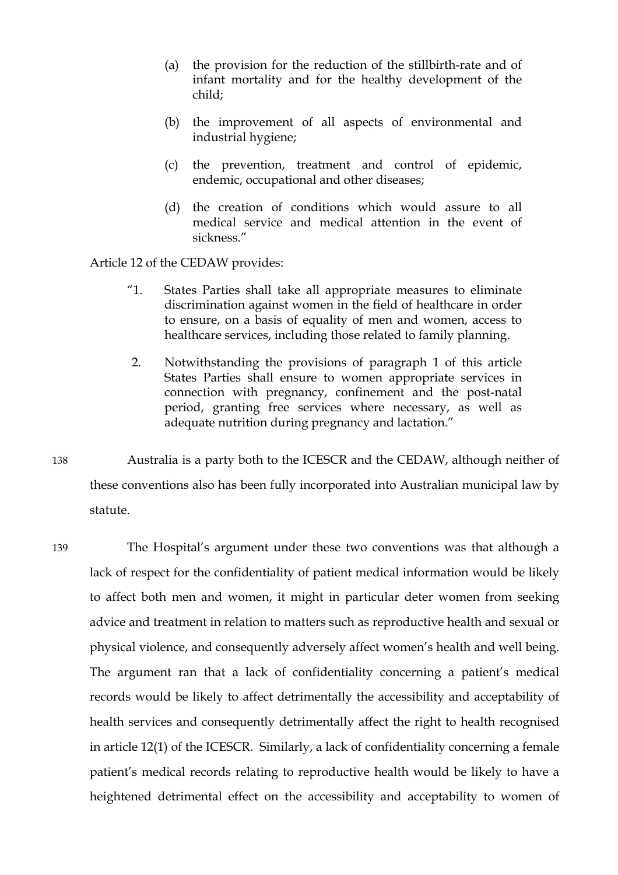- (a) the provision for the reduction of the stillbirth-rate and of infant mortality and for the healthy development of the child;
- (b) the improvement of all aspects of environmental and industrial hygiene;
- (c) the prevention, treatment and control of epidemic, endemic, occupational and other diseases;
- (d) the creation of conditions which would assure to all medical service and medical attention in the event of sickness."

Article 12 of the CEDAW provides:

- "1. States Parties shall take all appropriate measures to eliminate discrimination against women in the field of healthcare in order to ensure, on a basis of equality of men and women, access to healthcare services, including those related to family planning.
- 2. Notwithstanding the provisions of paragraph 1 of this article States Parties shall ensure to women appropriate services in connection with pregnancy, confinement and the post-natal period, granting free services where necessary, as well as adequate nutrition during pregnancy and lactation."

138 Australia is a party both to the ICESCR and the CEDAW, although neither of these conventions also has been fully incorporated into Australian municipal law by statute.

139 The Hospital's argument under these two conventions was that although a lack of respect for the confidentiality of patient medical information would be likely to affect both men and women, it might in particular deter women from seeking advice and treatment in relation to matters such as reproductive health and sexual or physical violence, and consequently adversely affect women's health and well being. The argument ran that a lack of confidentiality concerning a patient's medical records would be likely to affect detrimentally the accessibility and acceptability of health services and consequently detrimentally affect the right to health recognised in article 12(1) of the ICESCR. Similarly, a lack of confidentiality concerning a female patient's medical records relating to reproductive health would be likely to have a heightened detrimental effect on the accessibility and acceptability to women of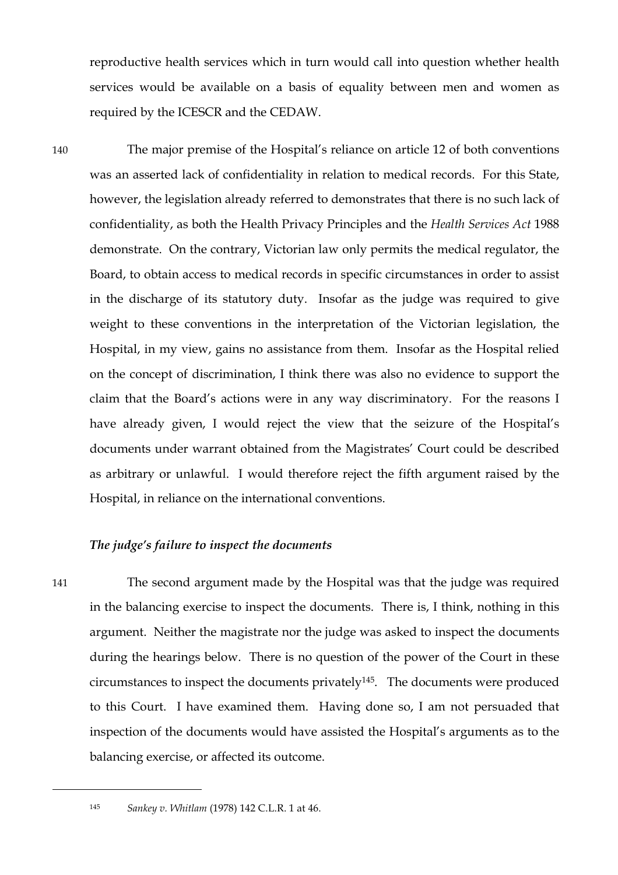reproductive health services which in turn would call into question whether health services would be available on a basis of equality between men and women as required by the ICESCR and the CEDAW.

140 The major premise of the Hospital's reliance on article 12 of both conventions was an asserted lack of confidentiality in relation to medical records. For this State, however, the legislation already referred to demonstrates that there is no such lack of confidentiality, as both the Health Privacy Principles and the *Health Services Act* 1988 demonstrate. On the contrary, Victorian law only permits the medical regulator, the Board, to obtain access to medical records in specific circumstances in order to assist in the discharge of its statutory duty. Insofar as the judge was required to give weight to these conventions in the interpretation of the Victorian legislation, the Hospital, in my view, gains no assistance from them. Insofar as the Hospital relied on the concept of discrimination, I think there was also no evidence to support the claim that the Board's actions were in any way discriminatory. For the reasons I have already given, I would reject the view that the seizure of the Hospital's documents under warrant obtained from the Magistrates' Court could be described as arbitrary or unlawful. I would therefore reject the fifth argument raised by the Hospital, in reliance on the international conventions.

## *The judge's failure to inspect the documents*

141 The second argument made by the Hospital was that the judge was required in the balancing exercise to inspect the documents. There is, I think, nothing in this argument. Neither the magistrate nor the judge was asked to inspect the documents during the hearings below. There is no question of the power of the Court in these circumstances to inspect the documents privately145. The documents were produced

to this Court. I have examined them. Having done so, I am not persuaded that inspection of the documents would have assisted the Hospital's arguments as to the balancing exercise, or affected its outcome.

<sup>145</sup> *Sankey v. Whitlam* (1978) 142 C.L.R. 1 at 46.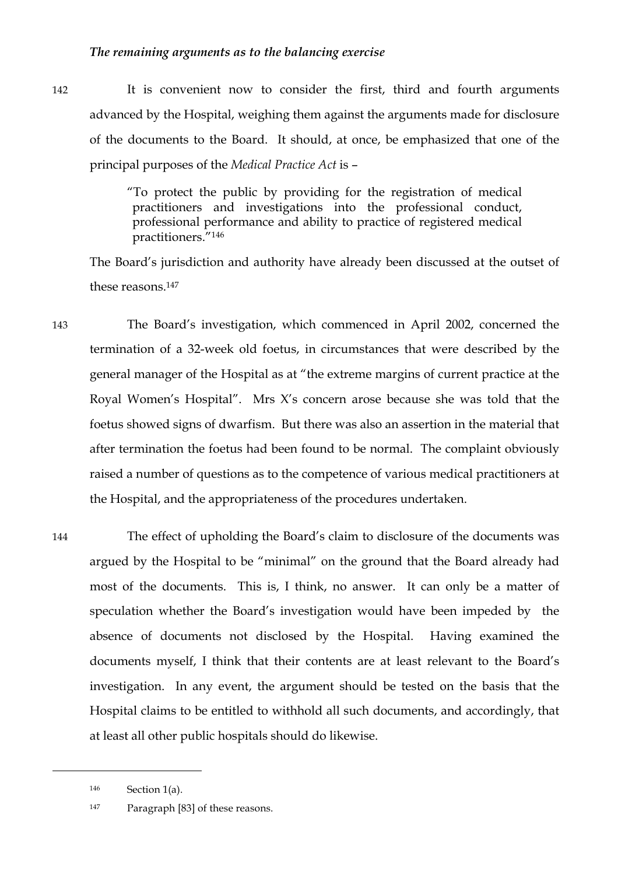#### *The remaining arguments as to the balancing exercise*

142 It is convenient now to consider the first, third and fourth arguments advanced by the Hospital, weighing them against the arguments made for disclosure of the documents to the Board. It should, at once, be emphasized that one of the principal purposes of the *Medical Practice Act* is –

> "To protect the public by providing for the registration of medical practitioners and investigations into the professional conduct, professional performance and ability to practice of registered medical practitioners."146

The Board's jurisdiction and authority have already been discussed at the outset of these reasons.147

143 The Board's investigation, which commenced in April 2002, concerned the termination of a 32-week old foetus, in circumstances that were described by the general manager of the Hospital as at "the extreme margins of current practice at the Royal Women's Hospital". Mrs X's concern arose because she was told that the foetus showed signs of dwarfism. But there was also an assertion in the material that after termination the foetus had been found to be normal. The complaint obviously raised a number of questions as to the competence of various medical practitioners at the Hospital, and the appropriateness of the procedures undertaken.

144 The effect of upholding the Board's claim to disclosure of the documents was argued by the Hospital to be "minimal" on the ground that the Board already had most of the documents. This is, I think, no answer. It can only be a matter of speculation whether the Board's investigation would have been impeded by the absence of documents not disclosed by the Hospital. Having examined the documents myself, I think that their contents are at least relevant to the Board's investigation. In any event, the argument should be tested on the basis that the Hospital claims to be entitled to withhold all such documents, and accordingly, that at least all other public hospitals should do likewise.

<sup>146</sup> Section 1(a).

<sup>147</sup> Paragraph [83] of these reasons.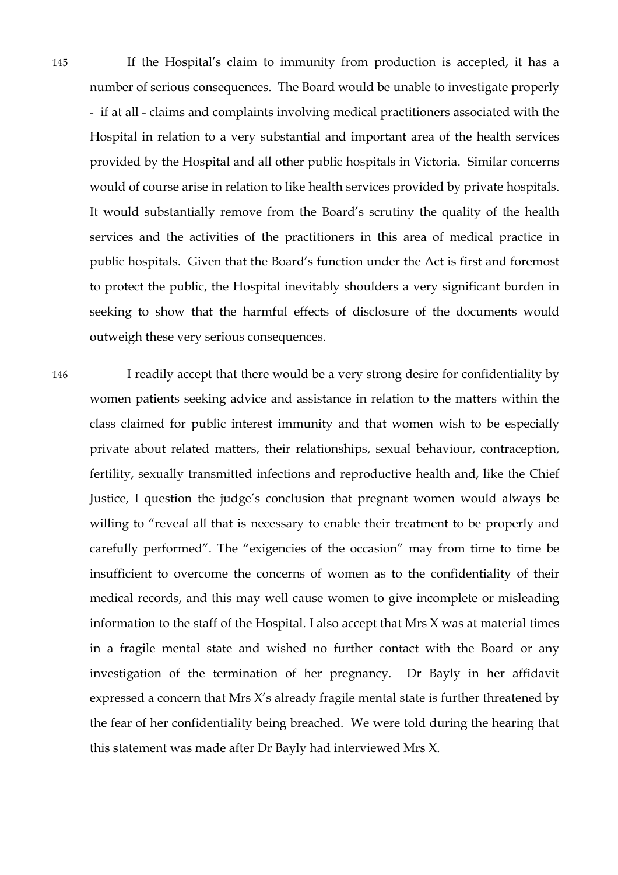145 If the Hospital's claim to immunity from production is accepted, it has a number of serious consequences. The Board would be unable to investigate properly - if at all - claims and complaints involving medical practitioners associated with the Hospital in relation to a very substantial and important area of the health services provided by the Hospital and all other public hospitals in Victoria. Similar concerns would of course arise in relation to like health services provided by private hospitals. It would substantially remove from the Board's scrutiny the quality of the health services and the activities of the practitioners in this area of medical practice in public hospitals. Given that the Board's function under the Act is first and foremost to protect the public, the Hospital inevitably shoulders a very significant burden in seeking to show that the harmful effects of disclosure of the documents would outweigh these very serious consequences.

146 I readily accept that there would be a very strong desire for confidentiality by women patients seeking advice and assistance in relation to the matters within the class claimed for public interest immunity and that women wish to be especially private about related matters, their relationships, sexual behaviour, contraception, fertility, sexually transmitted infections and reproductive health and, like the Chief Justice, I question the judge's conclusion that pregnant women would always be willing to "reveal all that is necessary to enable their treatment to be properly and carefully performed". The "exigencies of the occasion" may from time to time be insufficient to overcome the concerns of women as to the confidentiality of their medical records, and this may well cause women to give incomplete or misleading information to the staff of the Hospital. I also accept that Mrs X was at material times in a fragile mental state and wished no further contact with the Board or any investigation of the termination of her pregnancy. Dr Bayly in her affidavit expressed a concern that Mrs X's already fragile mental state is further threatened by the fear of her confidentiality being breached. We were told during the hearing that this statement was made after Dr Bayly had interviewed Mrs X.

RWH v MPB CHARLES, J.A.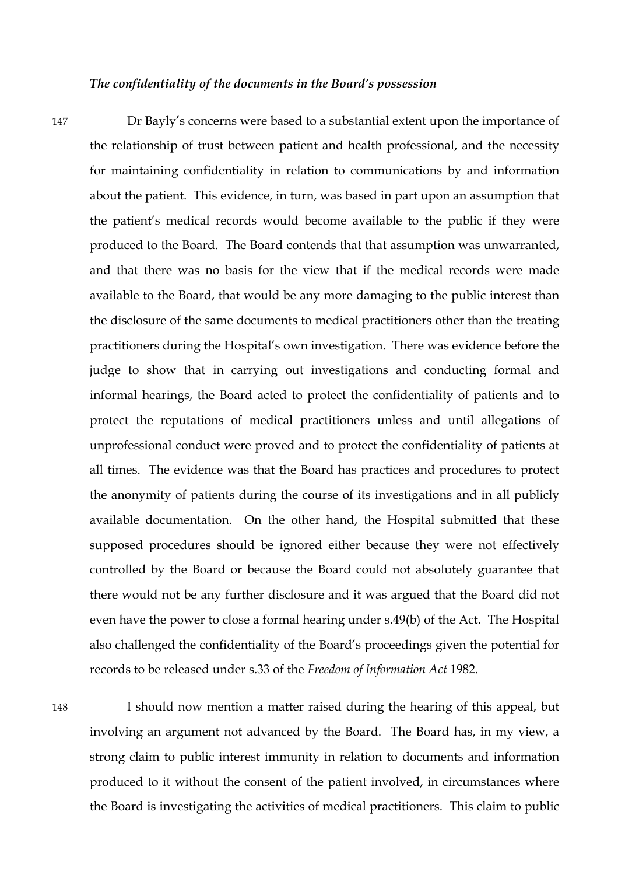#### *The confidentiality of the documents in the Board's possession*

147 Dr Bayly's concerns were based to a substantial extent upon the importance of the relationship of trust between patient and health professional, and the necessity for maintaining confidentiality in relation to communications by and information about the patient. This evidence, in turn, was based in part upon an assumption that the patient's medical records would become available to the public if they were produced to the Board. The Board contends that that assumption was unwarranted, and that there was no basis for the view that if the medical records were made available to the Board, that would be any more damaging to the public interest than the disclosure of the same documents to medical practitioners other than the treating practitioners during the Hospital's own investigation. There was evidence before the judge to show that in carrying out investigations and conducting formal and informal hearings, the Board acted to protect the confidentiality of patients and to protect the reputations of medical practitioners unless and until allegations of unprofessional conduct were proved and to protect the confidentiality of patients at all times. The evidence was that the Board has practices and procedures to protect the anonymity of patients during the course of its investigations and in all publicly available documentation. On the other hand, the Hospital submitted that these supposed procedures should be ignored either because they were not effectively controlled by the Board or because the Board could not absolutely guarantee that there would not be any further disclosure and it was argued that the Board did not even have the power to close a formal hearing under s.49(b) of the Act. The Hospital also challenged the confidentiality of the Board's proceedings given the potential for records to be released under s.33 of the *Freedom of Information Act* 1982.

148 I should now mention a matter raised during the hearing of this appeal, but involving an argument not advanced by the Board. The Board has, in my view, a strong claim to public interest immunity in relation to documents and information produced to it without the consent of the patient involved, in circumstances where the Board is investigating the activities of medical practitioners. This claim to public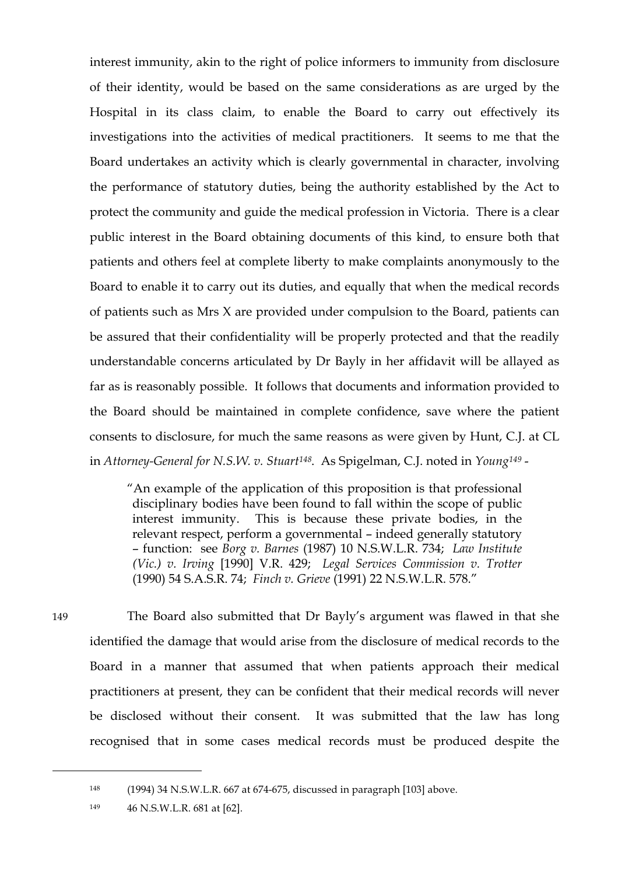interest immunity, akin to the right of police informers to immunity from disclosure of their identity, would be based on the same considerations as are urged by the Hospital in its class claim, to enable the Board to carry out effectively its investigations into the activities of medical practitioners. It seems to me that the Board undertakes an activity which is clearly governmental in character, involving the performance of statutory duties, being the authority established by the Act to protect the community and guide the medical profession in Victoria. There is a clear public interest in the Board obtaining documents of this kind, to ensure both that patients and others feel at complete liberty to make complaints anonymously to the Board to enable it to carry out its duties, and equally that when the medical records of patients such as Mrs X are provided under compulsion to the Board, patients can be assured that their confidentiality will be properly protected and that the readily understandable concerns articulated by Dr Bayly in her affidavit will be allayed as far as is reasonably possible. It follows that documents and information provided to the Board should be maintained in complete confidence, save where the patient consents to disclosure, for much the same reasons as were given by Hunt, C.J. at CL in *Attorney-General for N.S.W. v. Stuart148*. As Spigelman, C.J. noted in *Young149* -

"An example of the application of this proposition is that professional disciplinary bodies have been found to fall within the scope of public interest immunity. This is because these private bodies, in the relevant respect, perform a governmental – indeed generally statutory – function: see *Borg v. Barnes* (1987) 10 N.S.W.L.R. 734; *Law Institute (Vic.) v. Irving* [1990] V.R. 429; *Legal Services Commission v. Trotter*  (1990) 54 S.A.S.R. 74; *Finch v. Grieve* (1991) 22 N.S.W.L.R. 578."

 $\overline{a}$ 

149 The Board also submitted that Dr Bayly's argument was flawed in that she identified the damage that would arise from the disclosure of medical records to the Board in a manner that assumed that when patients approach their medical practitioners at present, they can be confident that their medical records will never be disclosed without their consent. It was submitted that the law has long recognised that in some cases medical records must be produced despite the

<sup>148</sup> (1994) 34 N.S.W.L.R. 667 at 674-675, discussed in paragraph [103] above.

<sup>149</sup> 46 N.S.W.L.R. 681 at [62].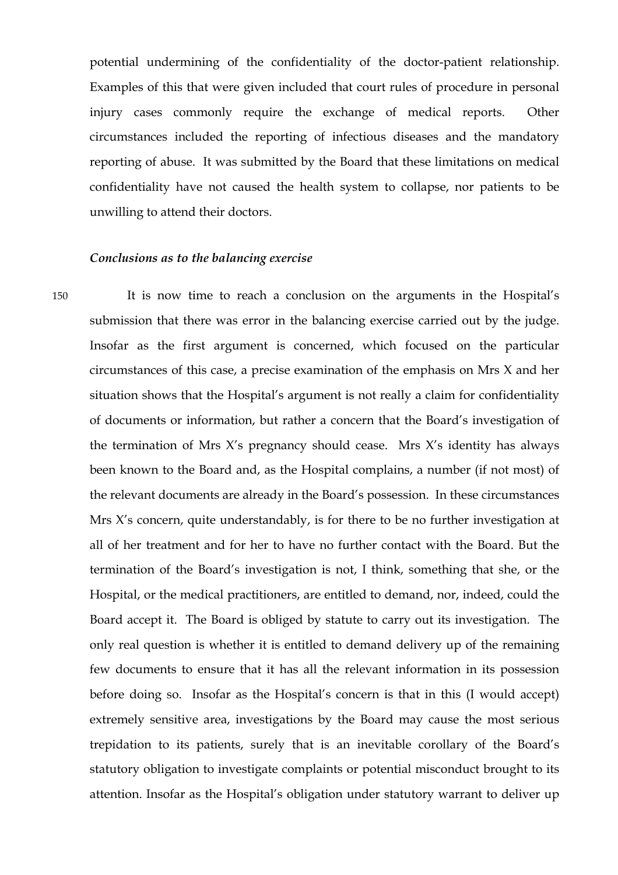potential undermining of the confidentiality of the doctor-patient relationship. Examples of this that were given included that court rules of procedure in personal injury cases commonly require the exchange of medical reports. Other circumstances included the reporting of infectious diseases and the mandatory reporting of abuse. It was submitted by the Board that these limitations on medical confidentiality have not caused the health system to collapse, nor patients to be unwilling to attend their doctors.

#### *Conclusions as to the balancing exercise*

150 It is now time to reach a conclusion on the arguments in the Hospital's submission that there was error in the balancing exercise carried out by the judge. Insofar as the first argument is concerned, which focused on the particular circumstances of this case, a precise examination of the emphasis on Mrs X and her situation shows that the Hospital's argument is not really a claim for confidentiality of documents or information, but rather a concern that the Board's investigation of the termination of Mrs X's pregnancy should cease. Mrs X's identity has always been known to the Board and, as the Hospital complains, a number (if not most) of the relevant documents are already in the Board's possession. In these circumstances Mrs X's concern, quite understandably, is for there to be no further investigation at all of her treatment and for her to have no further contact with the Board. But the termination of the Board's investigation is not, I think, something that she, or the Hospital, or the medical practitioners, are entitled to demand, nor, indeed, could the Board accept it. The Board is obliged by statute to carry out its investigation. The only real question is whether it is entitled to demand delivery up of the remaining few documents to ensure that it has all the relevant information in its possession before doing so. Insofar as the Hospital's concern is that in this (I would accept) extremely sensitive area, investigations by the Board may cause the most serious trepidation to its patients, surely that is an inevitable corollary of the Board's statutory obligation to investigate complaints or potential misconduct brought to its attention. Insofar as the Hospital's obligation under statutory warrant to deliver up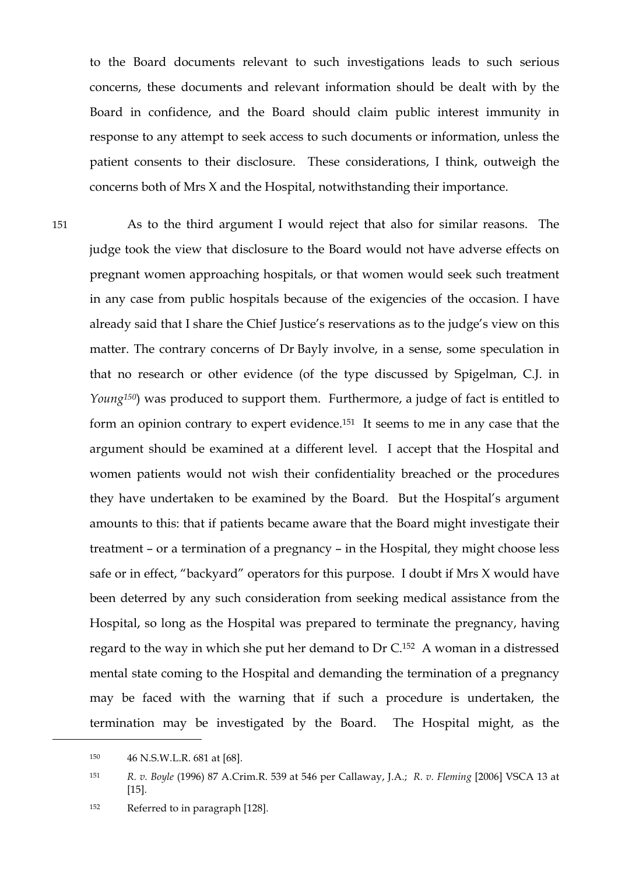to the Board documents relevant to such investigations leads to such serious concerns, these documents and relevant information should be dealt with by the Board in confidence, and the Board should claim public interest immunity in response to any attempt to seek access to such documents or information, unless the patient consents to their disclosure. These considerations, I think, outweigh the concerns both of Mrs X and the Hospital, notwithstanding their importance.

151 As to the third argument I would reject that also for similar reasons. The judge took the view that disclosure to the Board would not have adverse effects on pregnant women approaching hospitals, or that women would seek such treatment in any case from public hospitals because of the exigencies of the occasion. I have already said that I share the Chief Justice's reservations as to the judge's view on this matter. The contrary concerns of Dr Bayly involve, in a sense, some speculation in that no research or other evidence (of the type discussed by Spigelman, C.J. in *Young150*) was produced to support them. Furthermore, a judge of fact is entitled to form an opinion contrary to expert evidence.151 It seems to me in any case that the argument should be examined at a different level. I accept that the Hospital and women patients would not wish their confidentiality breached or the procedures they have undertaken to be examined by the Board. But the Hospital's argument amounts to this: that if patients became aware that the Board might investigate their treatment – or a termination of a pregnancy – in the Hospital, they might choose less safe or in effect, "backyard" operators for this purpose. I doubt if Mrs X would have been deterred by any such consideration from seeking medical assistance from the Hospital, so long as the Hospital was prepared to terminate the pregnancy, having regard to the way in which she put her demand to Dr C.152 A woman in a distressed mental state coming to the Hospital and demanding the termination of a pregnancy may be faced with the warning that if such a procedure is undertaken, the termination may be investigated by the Board. The Hospital might, as the

<sup>152</sup> Referred to in paragraph [128].

<sup>150</sup> 46 N.S.W.L.R. 681 at [68].

<sup>151</sup> *R. v. Boyle* (1996) 87 A.Crim.R. 539 at 546 per Callaway, J.A.; *R. v. Fleming* [2006] VSCA 13 at [15].